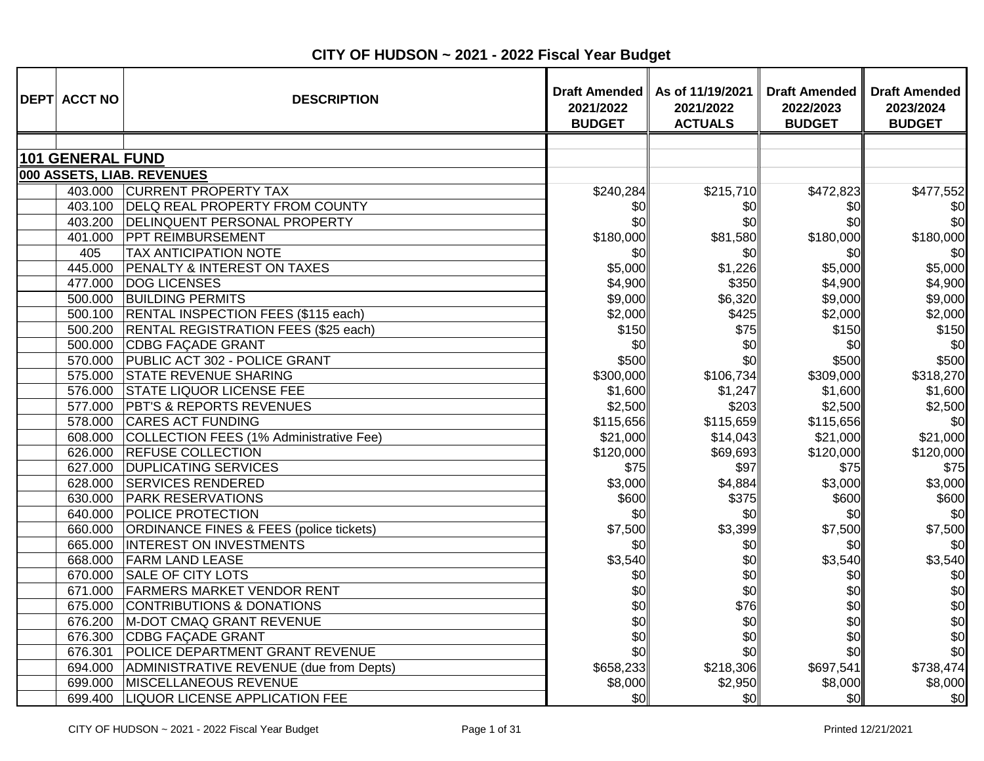| <b>DEPT ACCT NO</b>     | <b>DESCRIPTION</b>                           | <b>Draft Amended</b><br>2021/2022<br><b>BUDGET</b> | As of 11/19/2021<br>2021/2022<br><b>ACTUALS</b> | <b>Draft Amended</b><br>2022/2023<br><b>BUDGET</b> | <b>Draft Amended</b><br>2023/2024<br><b>BUDGET</b> |
|-------------------------|----------------------------------------------|----------------------------------------------------|-------------------------------------------------|----------------------------------------------------|----------------------------------------------------|
|                         |                                              |                                                    |                                                 |                                                    |                                                    |
| <b>101 GENERAL FUND</b> |                                              |                                                    |                                                 |                                                    |                                                    |
|                         | 000 ASSETS, LIAB. REVENUES                   |                                                    |                                                 |                                                    |                                                    |
|                         | 403.000 CURRENT PROPERTY TAX                 | \$240,284                                          | \$215,710                                       | \$472,823                                          | \$477,552                                          |
|                         | 403.100 DELQ REAL PROPERTY FROM COUNTY       | \$0                                                | \$0                                             | \$0                                                | \$0                                                |
|                         | 403.200 DELINQUENT PERSONAL PROPERTY         | \$0                                                | \$0                                             | \$0                                                | \$0                                                |
|                         | 401.000 PPT REIMBURSEMENT                    | \$180,000                                          | \$81,580                                        | \$180,000                                          | \$180,000                                          |
| 405                     | <b>TAX ANTICIPATION NOTE</b>                 | \$0                                                | \$0                                             | \$0                                                | \$0                                                |
| 445.000                 | <b>PENALTY &amp; INTEREST ON TAXES</b>       | \$5,000                                            | \$1,226                                         | \$5,000                                            | \$5,000                                            |
| 477.000                 | <b>DOG LICENSES</b>                          | \$4,900                                            | \$350                                           | \$4,900                                            | \$4,900                                            |
| 500.000                 | <b>BUILDING PERMITS</b>                      | \$9,000                                            | \$6,320                                         | \$9,000                                            | \$9,000                                            |
|                         | 500.100 RENTAL INSPECTION FEES (\$115 each)  | \$2,000                                            | \$425                                           | \$2,000                                            | \$2,000                                            |
|                         | 500.200 RENTAL REGISTRATION FEES (\$25 each) | \$150                                              | \$75                                            | \$150                                              | \$150                                              |
| 500.000                 | CDBG FAÇADE GRANT                            | \$0                                                | \$0                                             | \$0                                                | \$0                                                |
|                         | 570.000 PUBLIC ACT 302 - POLICE GRANT        | \$500                                              | \$0                                             | \$500                                              | \$500                                              |
| 575.000                 | <b>STATE REVENUE SHARING</b>                 | \$300,000                                          | \$106,734                                       | \$309,000                                          | \$318,270                                          |
|                         | 576.000 STATE LIQUOR LICENSE FEE             | \$1,600                                            | \$1,247                                         | \$1,600                                            | \$1,600                                            |
|                         | 577.000 PBT'S & REPORTS REVENUES             | \$2,500                                            | \$203                                           | \$2,500                                            | \$2,500                                            |
| 578.000                 | <b>CARES ACT FUNDING</b>                     | \$115,656                                          | \$115,659                                       | \$115,656                                          | \$0                                                |
| 608.000                 | COLLECTION FEES (1% Administrative Fee)      | \$21,000                                           | \$14,043                                        | \$21,000                                           | \$21,000                                           |
| 626.000                 | <b>REFUSE COLLECTION</b>                     | \$120,000                                          | \$69,693                                        | \$120,000                                          | \$120,000                                          |
| 627.000                 | <b>DUPLICATING SERVICES</b>                  | \$75                                               | \$97                                            | \$75                                               | \$75                                               |
|                         | 628.000 SERVICES RENDERED                    | \$3,000                                            | \$4,884                                         | \$3,000                                            | \$3,000                                            |
|                         | 630.000 PARK RESERVATIONS                    | \$600                                              | \$375                                           | \$600                                              | \$600                                              |
|                         | 640.000 POLICE PROTECTION                    | \$0                                                | \$0                                             | \$0                                                | \$0                                                |
| 660.000                 | ORDINANCE FINES & FEES (police tickets)      | \$7,500                                            | \$3,399                                         | \$7,500                                            | \$7,500                                            |
| 665.000                 | <b>INTEREST ON INVESTMENTS</b>               | \$0                                                | \$0                                             | \$0                                                | \$0                                                |
|                         | 668.000 FARM LAND LEASE                      | \$3,540                                            | \$0                                             | \$3,540                                            | \$3,540                                            |
|                         | 670.000 SALE OF CITY LOTS                    | \$0                                                | \$0                                             | \$0                                                | \$0                                                |
|                         | 671.000 FARMERS MARKET VENDOR RENT           | \$0                                                | \$0                                             | \$0                                                | \$0                                                |
| 675.000                 | <b>CONTRIBUTIONS &amp; DONATIONS</b>         | \$0                                                | \$76                                            | \$0                                                | \$0                                                |
| 676.200                 | M-DOT CMAQ GRANT REVENUE                     | \$0                                                | \$0                                             | \$0                                                | \$0                                                |
|                         | 676.300 CDBG FAÇADE GRANT                    | \$0                                                | \$0                                             | \$0                                                | \$0                                                |
| 676.301                 | POLICE DEPARTMENT GRANT REVENUE              | \$0                                                | \$0                                             | \$0                                                | \$0                                                |
| 694.000                 | ADMINISTRATIVE REVENUE (due from Depts)      | \$658,233                                          | \$218,306                                       | \$697,541                                          | \$738,474                                          |
| 699.000                 | <b>MISCELLANEOUS REVENUE</b>                 | \$8,000                                            | \$2,950                                         | \$8,000                                            | \$8,000                                            |
| 699.400                 | <b>LIQUOR LICENSE APPLICATION FEE</b>        | \$0                                                | \$0                                             | \$0 <sub>l</sub>                                   | \$0                                                |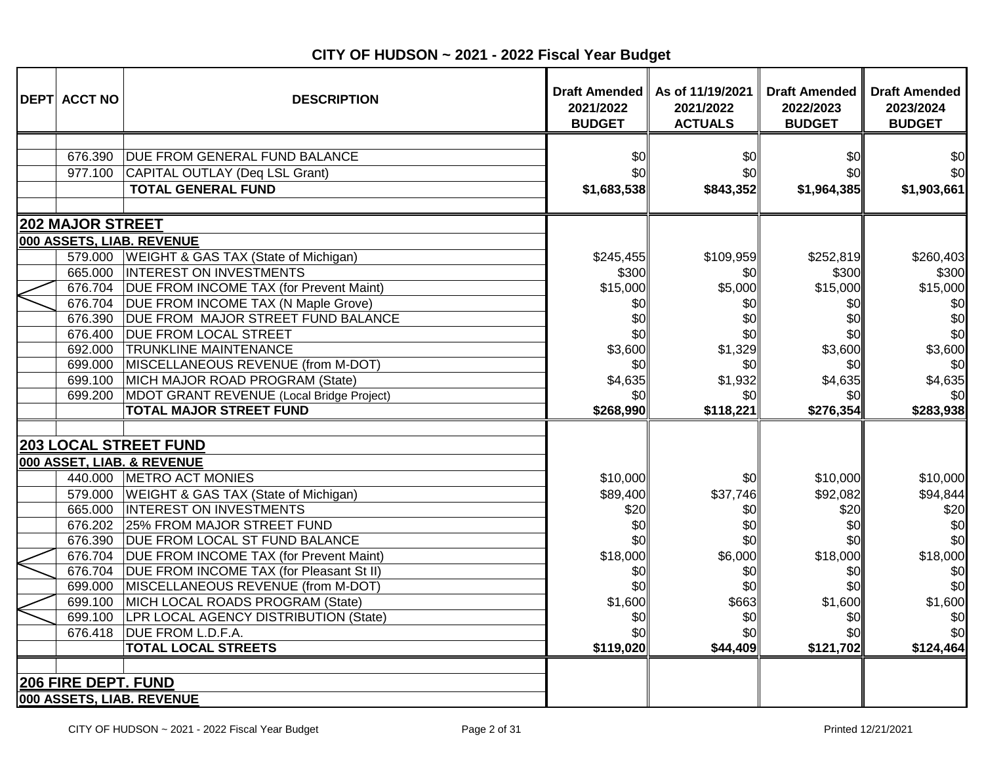| <b>DEPT ACCT NO</b>     | <b>DESCRIPTION</b>                                                                                                                                            | 2021/2022<br><b>BUDGET</b>          | Draft Amended   As of 11/19/2021<br>2021/2022<br><b>ACTUALS</b> | <b>Draft Amended</b><br>2022/2023<br><b>BUDGET</b> | <b>Draft Amended</b><br>2023/2024<br><b>BUDGET</b> |
|-------------------------|---------------------------------------------------------------------------------------------------------------------------------------------------------------|-------------------------------------|-----------------------------------------------------------------|----------------------------------------------------|----------------------------------------------------|
| 676.390<br>977.100      | <b>DUE FROM GENERAL FUND BALANCE</b><br>CAPITAL OUTLAY (Deq LSL Grant)<br><b>TOTAL GENERAL FUND</b>                                                           | \$0<br>\$0<br>\$1,683,538           | \$0<br>\$0<br>\$843,352                                         | \$0<br>\$0<br>\$1,964,385                          | \$0<br>\$0<br>\$1,903,661                          |
| <b>202 MAJOR STREET</b> |                                                                                                                                                               |                                     |                                                                 |                                                    |                                                    |
|                         | 000 ASSETS, LIAB. REVENUE                                                                                                                                     |                                     |                                                                 |                                                    |                                                    |
|                         | 579.000   WEIGHT & GAS TAX (State of Michigan)<br>665.000  INTEREST ON INVESTMENTS<br>676.704   DUE FROM INCOME TAX (for Prevent Maint)                       | \$245,455<br>\$300<br>\$15,000      | \$109,959<br>\$0<br>\$5,000                                     | \$252,819<br>\$300<br>\$15,000                     | \$260,403<br>\$300<br>\$15,000                     |
|                         | 676.704   DUE FROM INCOME TAX (N Maple Grove)<br>676.390 DUE FROM MAJOR STREET FUND BALANCE<br>676.400 DUE FROM LOCAL STREET<br>692.000 TRUNKLINE MAINTENANCE | \$0<br>\$0<br>\$0<br>\$3,600        | \$0<br>\$0<br>\$0<br>\$1,329                                    | \$0<br>\$0<br>\$0<br>\$3,600                       | \$0<br>\$0<br>\$0<br>\$3,600                       |
| 699.200                 | 699.000 MISCELLANEOUS REVENUE (from M-DOT)<br>699.100 MICH MAJOR ROAD PROGRAM (State)<br>MDOT GRANT REVENUE (Local Bridge Project)                            | \$0<br>\$4,635<br>\$0               | \$0<br>\$1,932<br>\$0                                           | \$0<br>\$4,635<br>\$0                              | \$0<br>\$4,635<br>\$0                              |
|                         | <b>TOTAL MAJOR STREET FUND</b>                                                                                                                                | \$268,990                           | \$118,221                                                       | \$276,354                                          | \$283,938                                          |
|                         | <b>203 LOCAL STREET FUND</b><br>000 ASSET, LIAB. & REVENUE                                                                                                    |                                     |                                                                 |                                                    |                                                    |
|                         | 440.000 METRO ACT MONIES<br>579.000   WEIGHT & GAS TAX (State of Michigan)<br>665.000  INTEREST ON INVESTMENTS<br>676.202 25% FROM MAJOR STREET FUND          | \$10,000<br>\$89,400<br>\$20<br>\$0 | \$0<br>\$37,746<br>\$0<br>\$0                                   | \$10,000<br>\$92,082<br>\$20<br>\$0                | \$10,000<br>\$94,844<br>\$20<br>\$0                |
|                         | 676.390 DUE FROM LOCAL ST FUND BALANCE                                                                                                                        | \$0                                 | \$0                                                             | \$0                                                | \$0                                                |
|                         | 676.704   DUE FROM INCOME TAX (for Prevent Maint)<br>676.704   DUE FROM INCOME TAX (for Pleasant St II)<br>699.000 MISCELLANEOUS REVENUE (from M-DOT)         | \$18,000<br>\$0<br>\$0              | \$6,000<br>\$0<br>\$0                                           | \$18,000<br>\$0<br>\$0                             | \$18,000<br>\$0<br>\$0                             |
| 699.100                 | 699.100 MICH LOCAL ROADS PROGRAM (State)<br>LPR LOCAL AGENCY DISTRIBUTION (State)                                                                             | \$1,600<br>\$0                      | \$663<br>\$0                                                    | \$1,600<br>\$0                                     | \$1,600<br>\$0                                     |
| 676.418                 | <b>DUE FROM L.D.F.A.</b><br><b>TOTAL LOCAL STREETS</b>                                                                                                        | \$0<br>\$119,020                    | \$0<br>\$44,409                                                 | \$0<br>\$121,702                                   | \$0<br>\$124,464                                   |
| 206 FIRE DEPT. FUND     | 000 ASSETS, LIAB. REVENUE                                                                                                                                     |                                     |                                                                 |                                                    |                                                    |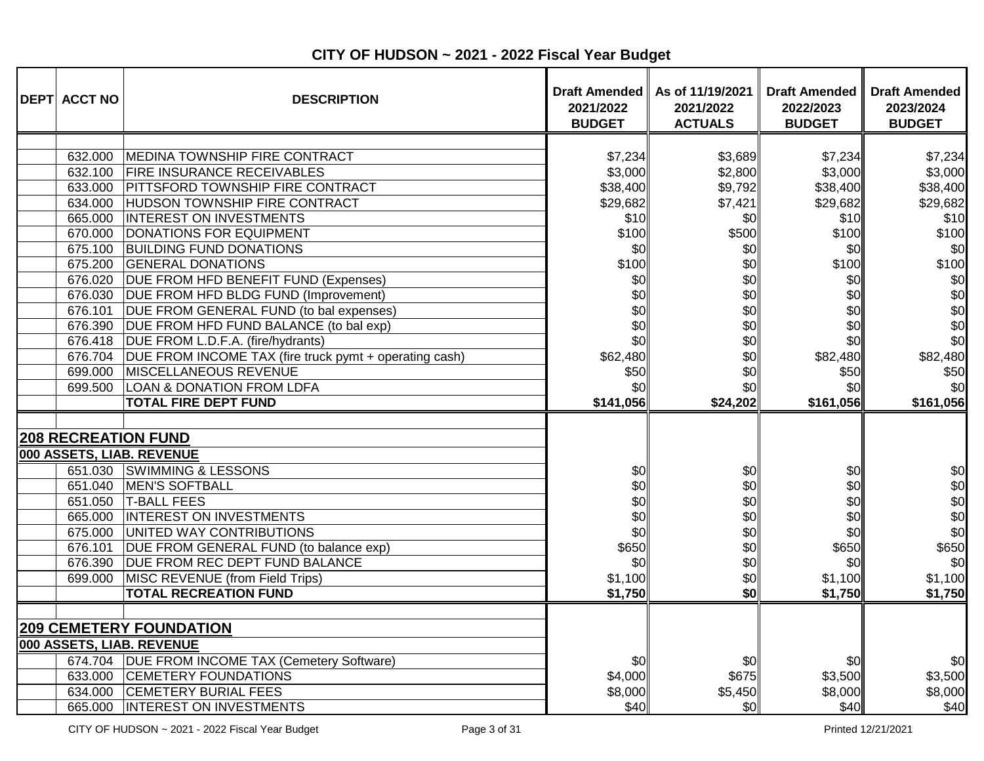| <b>DEPT ACCT NO</b>                                                                                                                                    | <b>DESCRIPTION</b>                                                                                                                                                                                                                                                                                                                                                                                                                                                                                                                                                                                                                           | 2021/2022<br><b>BUDGET</b>                                                                                                                | Draft Amended   As of 11/19/2021<br>2021/2022<br><b>ACTUALS</b>                                                                | <b>Draft Amended</b><br>2022/2023<br><b>BUDGET</b>                                                                                        | <b>Draft Amended</b><br>2023/2024<br><b>BUDGET</b>                                                                                        |
|--------------------------------------------------------------------------------------------------------------------------------------------------------|----------------------------------------------------------------------------------------------------------------------------------------------------------------------------------------------------------------------------------------------------------------------------------------------------------------------------------------------------------------------------------------------------------------------------------------------------------------------------------------------------------------------------------------------------------------------------------------------------------------------------------------------|-------------------------------------------------------------------------------------------------------------------------------------------|--------------------------------------------------------------------------------------------------------------------------------|-------------------------------------------------------------------------------------------------------------------------------------------|-------------------------------------------------------------------------------------------------------------------------------------------|
| 632.000<br>633.000<br>634.000<br>665.000<br>670.000<br>675.100<br>675.200<br>676.020<br>676.030<br>676.101<br>676.418<br>676.704<br>699.000<br>699.500 | <b>MEDINA TOWNSHIP FIRE CONTRACT</b><br>632.100 FIRE INSURANCE RECEIVABLES<br><b>PITTSFORD TOWNSHIP FIRE CONTRACT</b><br><b>HUDSON TOWNSHIP FIRE CONTRACT</b><br><b>INTEREST ON INVESTMENTS</b><br><b>DONATIONS FOR EQUIPMENT</b><br><b>BUILDING FUND DONATIONS</b><br><b>GENERAL DONATIONS</b><br>DUE FROM HFD BENEFIT FUND (Expenses)<br>DUE FROM HFD BLDG FUND (Improvement)<br>DUE FROM GENERAL FUND (to bal expenses)<br>676.390 DUE FROM HFD FUND BALANCE (to bal exp)<br>DUE FROM L.D.F.A. (fire/hydrants)<br>DUE FROM INCOME TAX (fire truck pymt + operating cash)<br>MISCELLANEOUS REVENUE<br><b>LOAN &amp; DONATION FROM LDFA</b> | \$7,234<br>\$3,000<br>\$38,400<br>\$29,682<br>\$10<br>\$100<br>\$0<br>\$100<br>\$0<br>\$0<br>\$0<br>\$0<br>\$0<br>\$62,480<br>\$50<br>\$0 | \$3,689<br>\$2,800<br>\$9,792<br>\$7,421<br>\$0<br>\$500<br>\$0<br>\$0<br>\$0<br>\$0<br>\$0<br>\$0<br>\$0<br>\$0<br>\$0<br>\$0 | \$7,234<br>\$3,000<br>\$38,400<br>\$29,682<br>\$10<br>\$100<br>\$0<br>\$100<br>\$0<br>\$0<br>\$0<br>\$0<br>\$0<br>\$82,480<br>\$50<br>\$0 | \$7,234<br>\$3,000<br>\$38,400<br>\$29,682<br>\$10<br>\$100<br>\$0<br>\$100<br>\$0<br>\$0<br>\$0<br>\$0<br>\$0<br>\$82,480<br>\$50<br>\$0 |
|                                                                                                                                                        | <b>TOTAL FIRE DEPT FUND</b>                                                                                                                                                                                                                                                                                                                                                                                                                                                                                                                                                                                                                  | \$141,056                                                                                                                                 | \$24,202                                                                                                                       | \$161,056                                                                                                                                 | \$161,056                                                                                                                                 |
| 651.030<br>651.040<br>651.050<br>675.000<br>676.101<br>676.390<br>699.000                                                                              | <b>208 RECREATION FUND</b><br>000 ASSETS, LIAB. REVENUE<br><b>SWIMMING &amp; LESSONS</b><br>MEN'S SOFTBALL<br><b>T-BALL FEES</b><br>665.000  INTEREST ON INVESTMENTS<br>UNITED WAY CONTRIBUTIONS<br>DUE FROM GENERAL FUND (to balance exp)<br><b>DUE FROM REC DEPT FUND BALANCE</b><br>MISC REVENUE (from Field Trips)<br><b>TOTAL RECREATION FUND</b>                                                                                                                                                                                                                                                                                       | \$0<br>\$0<br>\$0<br>\$0<br>\$0<br>\$650<br>\$0<br>\$1,100<br>\$1,750                                                                     | \$0<br>\$0<br>\$0<br>\$0<br>\$0<br>\$0<br>\$0<br>\$0<br>\$0                                                                    | \$0<br>\$0<br>\$0<br>\$0<br>\$0<br>\$650<br>\$0<br>\$1,100<br>\$1,750                                                                     | \$0<br>\$0<br>\$0<br>\$0<br>\$0<br>\$650<br>\$0<br>\$1,100<br>\$1,750                                                                     |
| 634.000<br>665.000                                                                                                                                     | <b>209 CEMETERY FOUNDATION</b><br>000 ASSETS, LIAB. REVENUE<br>674.704 DUE FROM INCOME TAX (Cemetery Software)<br>633.000 CEMETERY FOUNDATIONS<br><b>CEMETERY BURIAL FEES</b><br><b>INTEREST ON INVESTMENTS</b>                                                                                                                                                                                                                                                                                                                                                                                                                              | \$0<br>\$4,000<br>\$8,000<br>\$40                                                                                                         | \$0<br>\$675<br>\$5,450<br>\$0                                                                                                 | \$0<br>\$3,500<br>\$8,000<br>\$40                                                                                                         | \$0<br>\$3,500<br>\$8,000<br>\$40                                                                                                         |

**CITY OF HUDSON ~ 2021 - 2022 Fiscal Year Budget**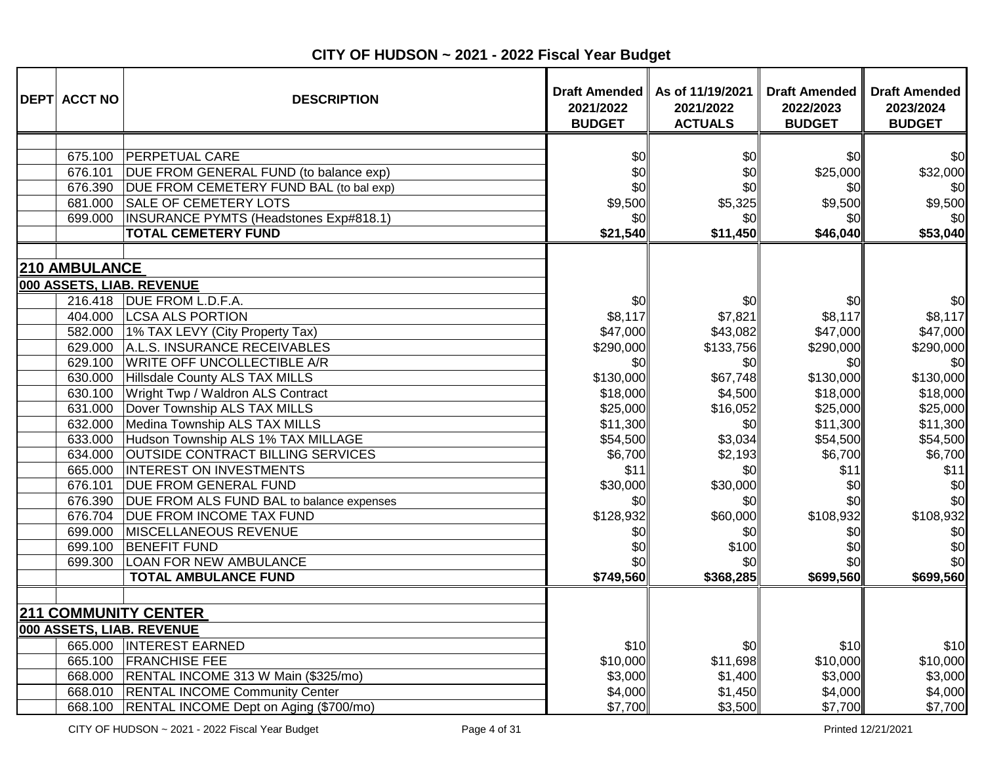| <b>DEPT ACCT NO</b>  | <b>DESCRIPTION</b>                                                       | 2021/2022<br><b>BUDGET</b> | Draft Amended   As of 11/19/2021<br>2021/2022<br><b>ACTUALS</b> | <b>Draft Amended</b><br>2022/2023<br><b>BUDGET</b> | <b>Draft Amended</b><br>2023/2024<br><b>BUDGET</b> |
|----------------------|--------------------------------------------------------------------------|----------------------------|-----------------------------------------------------------------|----------------------------------------------------|----------------------------------------------------|
|                      |                                                                          |                            |                                                                 |                                                    |                                                    |
|                      | 675.100 PERPETUAL CARE<br>676.101 DUE FROM GENERAL FUND (to balance exp) | \$0<br>\$0                 | \$0<br>\$0                                                      | \$0<br>\$25,000                                    | \$0<br>\$32,000                                    |
|                      | 676.390 DUE FROM CEMETERY FUND BAL (to bal exp)                          | \$0                        | \$0                                                             | \$0                                                | \$0                                                |
|                      | 681.000 SALE OF CEMETERY LOTS                                            | \$9,500                    | \$5,325                                                         | \$9,500                                            | \$9,500                                            |
| 699.000              | INSURANCE PYMTS (Headstones Exp#818.1)                                   | \$0                        | \$0                                                             | \$0                                                | \$0                                                |
|                      | <b>TOTAL CEMETERY FUND</b>                                               | \$21,540                   | \$11,450                                                        | \$46,040                                           | \$53,040                                           |
| <b>210 AMBULANCE</b> |                                                                          |                            |                                                                 |                                                    |                                                    |
|                      | 000 ASSETS, LIAB. REVENUE                                                |                            |                                                                 |                                                    |                                                    |
|                      | 216.418   DUE FROM L.D.F.A.                                              | \$0                        | \$0                                                             | \$0                                                | \$0                                                |
|                      | 404.000   LCSA ALS PORTION                                               | \$8,117                    | \$7,821                                                         | \$8,117                                            | \$8,117                                            |
|                      | 582.000 1% TAX LEVY (City Property Tax)                                  | \$47,000                   | \$43,082                                                        | \$47,000                                           | \$47,000                                           |
|                      | 629.000 A.L.S. INSURANCE RECEIVABLES                                     | \$290,000                  | \$133,756                                                       | \$290,000                                          | \$290,000                                          |
|                      | 629.100 WRITE OFF UNCOLLECTIBLE A/R                                      | \$0                        | \$0                                                             | \$0                                                | \$0                                                |
| 630.000              | Hillsdale County ALS TAX MILLS                                           | \$130,000                  | \$67,748                                                        | \$130,000                                          | \$130,000                                          |
| 630.100              | Wright Twp / Waldron ALS Contract                                        | \$18,000                   | \$4,500                                                         | \$18,000                                           | \$18,000                                           |
| 631.000              | Dover Township ALS TAX MILLS                                             | \$25,000                   | \$16,052                                                        | \$25,000                                           | \$25,000                                           |
| 632.000              | Medina Township ALS TAX MILLS                                            | \$11,300                   | \$0                                                             | \$11,300                                           | \$11,300                                           |
| 633.000              | Hudson Township ALS 1% TAX MILLAGE                                       | \$54,500                   | \$3,034                                                         | \$54,500                                           | \$54,500                                           |
| 634.000              | <b>OUTSIDE CONTRACT BILLING SERVICES</b>                                 | \$6,700                    | \$2,193                                                         | \$6,700                                            | \$6,700                                            |
| 665.000              | <b>INTEREST ON INVESTMENTS</b>                                           | \$11]                      | \$0                                                             | \$11                                               | \$11                                               |
| 676.101              | <b>DUE FROM GENERAL FUND</b>                                             | \$30,000                   | \$30,000                                                        | \$0                                                | \$0                                                |
|                      | 676.390 DUE FROM ALS FUND BAL to balance expenses                        | \$0                        | \$0                                                             | \$0                                                | \$0                                                |
|                      | 676.704   DUE FROM INCOME TAX FUND                                       | \$128,932                  | \$60,000                                                        | \$108,932                                          | \$108,932                                          |
| 699.000              | MISCELLANEOUS REVENUE                                                    | \$0                        | \$0                                                             | \$0                                                | \$0                                                |
| 699.100              | <b>BENEFIT FUND</b>                                                      | \$0                        | \$100                                                           | \$0                                                | \$0                                                |
| 699.300              | <b>LOAN FOR NEW AMBULANCE</b>                                            | \$ol                       | \$0                                                             | \$0                                                | \$0                                                |
|                      | <b>TOTAL AMBULANCE FUND</b>                                              | \$749,560                  | \$368,285                                                       | \$699,560                                          | \$699,560                                          |
|                      |                                                                          |                            |                                                                 |                                                    |                                                    |
|                      | <b>211 COMMUNITY CENTER</b>                                              |                            |                                                                 |                                                    |                                                    |
|                      | 000 ASSETS, LIAB. REVENUE                                                |                            |                                                                 |                                                    |                                                    |
|                      | 665.000   INTEREST EARNED                                                | \$10                       | \$0                                                             | \$10                                               | \$10                                               |
|                      | 665.100 FRANCHISE FEE                                                    | \$10,000                   | \$11,698                                                        | \$10,000                                           | \$10,000                                           |
|                      | 668.000   RENTAL INCOME 313 W Main (\$325/mo)                            | \$3,000                    | \$1,400                                                         | \$3,000                                            | \$3,000                                            |
|                      | 668.010 RENTAL INCOME Community Center                                   | \$4,000                    | \$1,450                                                         | \$4,000                                            | \$4,000                                            |
|                      | 668.100 RENTAL INCOME Dept on Aging (\$700/mo)                           | \$7,700                    | \$3,500                                                         | \$7,700                                            | \$7,700                                            |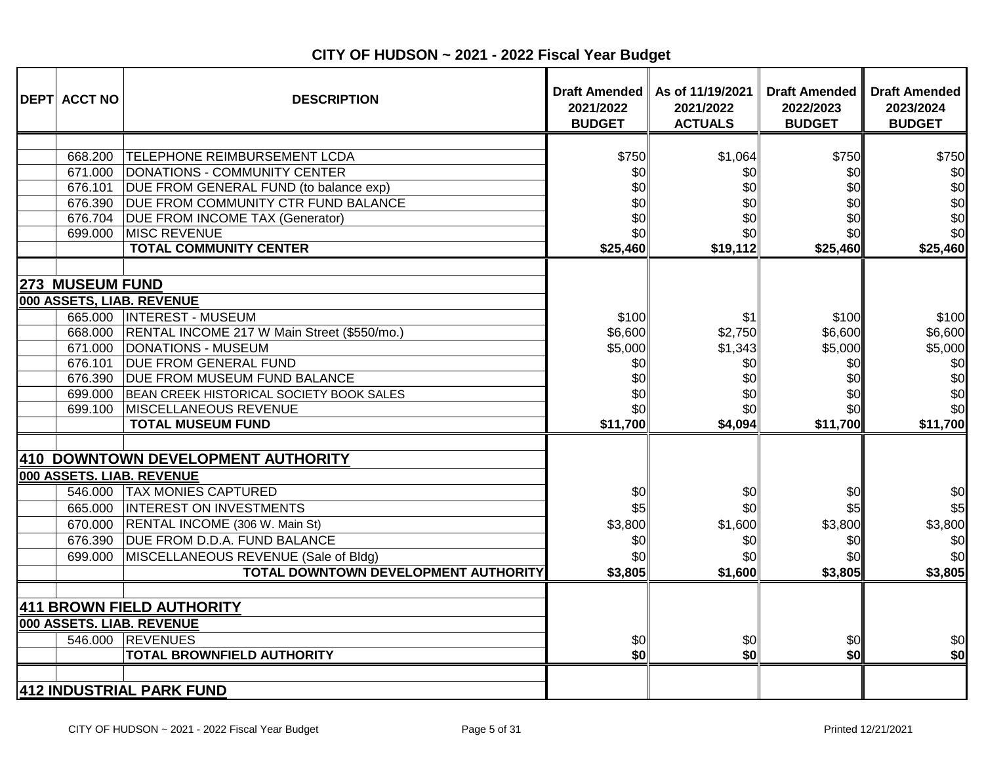| <b>DEPT ACCT NO</b>                                                | <b>DESCRIPTION</b>                                                                                                                                                                                                                                                                                                          | 2021/2022<br><b>BUDGET</b>                                          | Draft Amended   As of 11/19/2021<br>2021/2022<br><b>ACTUALS</b>   | <b>Draft Amended</b><br>2022/2023<br><b>BUDGET</b>                  | <b>Draft Amended</b><br>2023/2024<br><b>BUDGET</b>                  |
|--------------------------------------------------------------------|-----------------------------------------------------------------------------------------------------------------------------------------------------------------------------------------------------------------------------------------------------------------------------------------------------------------------------|---------------------------------------------------------------------|-------------------------------------------------------------------|---------------------------------------------------------------------|---------------------------------------------------------------------|
| 668.200<br>671.000<br>676.101<br>676.390<br>676.704<br>699.000     | <b>TELEPHONE REIMBURSEMENT LCDA</b><br>DONATIONS - COMMUNITY CENTER<br>DUE FROM GENERAL FUND (to balance exp)<br><b>DUE FROM COMMUNITY CTR FUND BALANCE</b><br><b>DUE FROM INCOME TAX (Generator)</b><br>MISC REVENUE                                                                                                       | \$750<br>\$0<br>\$0<br>\$0<br>\$0<br>\$0                            | \$1,064<br>\$0<br>\$0<br>\$0<br>\$0<br>\$0                        | \$750<br>\$0<br>\$0<br>\$0<br>\$0<br>\$0                            | \$750<br>\$0<br>\$0<br>\$0<br>\$0<br>\$0                            |
| <b>273 MUSEUM FUND</b><br>671.000<br>676.101<br>699.000<br>699.100 | <b>TOTAL COMMUNITY CENTER</b><br>000 ASSETS, LIAB. REVENUE<br>665.000  INTEREST - MUSEUM<br>668.000   RENTAL INCOME 217 W Main Street (\$550/mo.)<br><b>DONATIONS - MUSEUM</b><br><b>DUE FROM GENERAL FUND</b><br>676.390 DUE FROM MUSEUM FUND BALANCE<br>BEAN CREEK HISTORICAL SOCIETY BOOK SALES<br>MISCELLANEOUS REVENUE | \$25,460<br>\$100<br>\$6,600<br>\$5,000<br>\$0<br>\$0<br>\$0<br>\$٥ | \$19,112<br>\$1<br>\$2,750<br>\$1,343<br>\$0<br>\$0<br>\$0<br>\$0 | \$25,460<br>\$100<br>\$6,600<br>\$5,000<br>\$0<br>\$0<br>\$0<br>\$0 | \$25,460<br>\$100<br>\$6,600<br>\$5,000<br>\$0<br>\$0<br>\$0<br>\$0 |
| 546.000<br>665.000<br>670.000<br>676.390<br>699.000                | <b>TOTAL MUSEUM FUND</b><br>410 DOWNTOWN DEVELOPMENT AUTHORITY<br>000 ASSETS. LIAB. REVENUE<br><b>TAX MONIES CAPTURED</b><br><b>INTEREST ON INVESTMENTS</b><br>RENTAL INCOME (306 W. Main St)<br><b>DUE FROM D.D.A. FUND BALANCE</b><br>MISCELLANEOUS REVENUE (Sale of Bldg)<br>TOTAL DOWNTOWN DEVELOPMENT AUTHORITY        | \$11,700<br>\$0<br>\$5<br>\$3,800<br>\$0<br>\$0<br>\$3,805          | \$4,094<br>\$0<br>\$0<br>\$1,600<br>\$0<br>\$0<br>\$1,600         | \$11,700<br>\$0<br>\$5<br>\$3,800<br>\$0<br>\$0<br>\$3,805          | \$11,700<br>\$0<br>\$5<br>\$3,800<br>\$0<br>\$0<br>\$3,805          |
| 546.000                                                            | 411 BROWN FIELD AUTHORITY<br>000 ASSETS. LIAB. REVENUE<br><b>REVENUES</b><br><b>TOTAL BROWNFIELD AUTHORITY</b><br>412 INDUSTRIAL PARK FUND                                                                                                                                                                                  | \$0<br>\$0                                                          | \$0<br>\$0                                                        | \$0<br>\$0                                                          | \$0<br>\$0                                                          |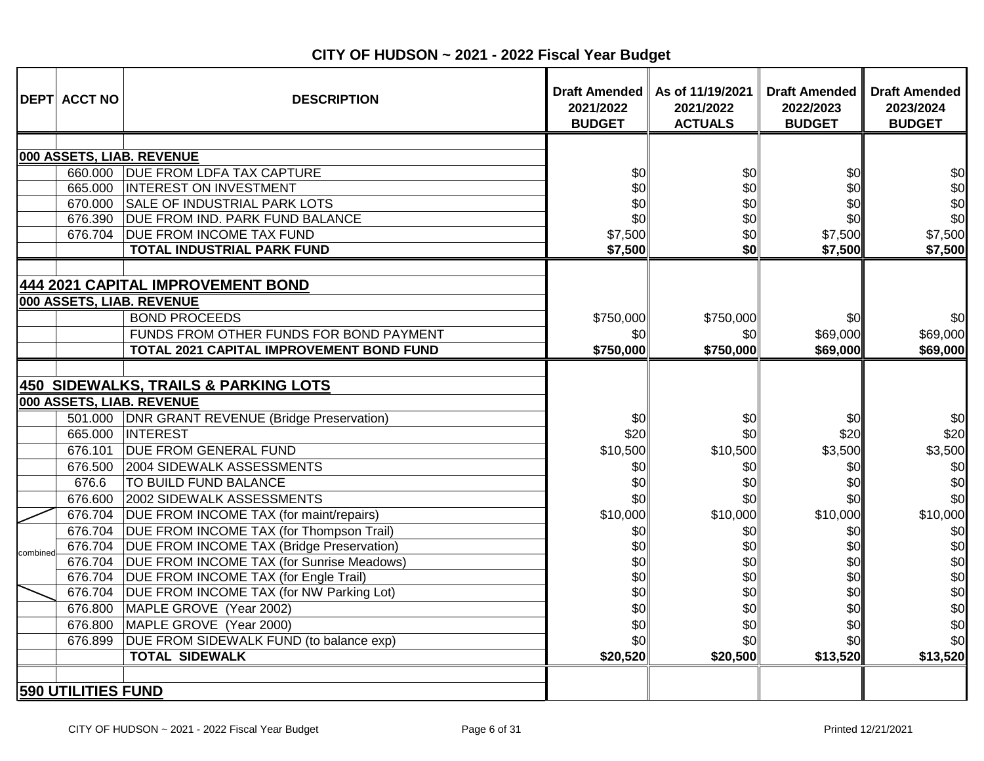| 000 ASSETS, LIAB. REVENUE<br>660.000 DUE FROM LDFA TAX CAPTURE<br>INTEREST ON INVESTMENT<br>665.000<br>670.000 SALE OF INDUSTRIAL PARK LOTS<br>676.390<br><b>DUE FROM IND. PARK FUND BALANCE</b><br><b>DUE FROM INCOME TAX FUND</b><br>676.704<br><b>TOTAL INDUSTRIAL PARK FUND</b><br>444 2021 CAPITAL IMPROVEMENT BOND<br>000 ASSETS, LIAB. REVENUE<br><b>BOND PROCEEDS</b><br>FUNDS FROM OTHER FUNDS FOR BOND PAYMENT<br>TOTAL 2021 CAPITAL IMPROVEMENT BOND FUND<br><b>450 SIDEWALKS, TRAILS &amp; PARKING LOTS</b><br>000 ASSETS, LIAB. REVENUE<br>501.000 DNR GRANT REVENUE (Bridge Preservation)<br>665.000<br><b>INTEREST</b><br><b>DUE FROM GENERAL FUND</b><br>676.101<br>2004 SIDEWALK ASSESSMENTS<br>676.500<br>676.6<br><b>TO BUILD FUND BALANCE</b><br>676.600<br>2002 SIDEWALK ASSESSMENTS<br>676.704<br>DUE FROM INCOME TAX (for maint/repairs)<br>676.704<br>DUE FROM INCOME TAX (for Thompson Trail)<br>676.704<br><b>DUE FROM INCOME TAX (Bridge Preservation)</b><br>combined<br>676.704<br>DUE FROM INCOME TAX (for Sunrise Meadows) | \$0<br>\$0<br>\$0<br>\$0<br>\$7,500<br>\$7,500<br>\$750,000            | \$0<br>\$0<br>\$0<br>\$0<br>\$0<br>\$0                                   | \$0<br>\$0<br>\$0<br>\$0<br>\$7,500<br>\$7,500                        | \$0<br>\$0<br>\$0<br>\$0<br>\$7,500<br>\$7,500                        |
|-----------------------------------------------------------------------------------------------------------------------------------------------------------------------------------------------------------------------------------------------------------------------------------------------------------------------------------------------------------------------------------------------------------------------------------------------------------------------------------------------------------------------------------------------------------------------------------------------------------------------------------------------------------------------------------------------------------------------------------------------------------------------------------------------------------------------------------------------------------------------------------------------------------------------------------------------------------------------------------------------------------------------------------------------------------|------------------------------------------------------------------------|--------------------------------------------------------------------------|-----------------------------------------------------------------------|-----------------------------------------------------------------------|
|                                                                                                                                                                                                                                                                                                                                                                                                                                                                                                                                                                                                                                                                                                                                                                                                                                                                                                                                                                                                                                                           | \$0                                                                    | \$750,000<br>\$0                                                         | \$0<br>\$69,000                                                       | \$0<br>\$69,000                                                       |
|                                                                                                                                                                                                                                                                                                                                                                                                                                                                                                                                                                                                                                                                                                                                                                                                                                                                                                                                                                                                                                                           | \$750,000                                                              | \$750,000                                                                | \$69,000                                                              | \$69,000                                                              |
|                                                                                                                                                                                                                                                                                                                                                                                                                                                                                                                                                                                                                                                                                                                                                                                                                                                                                                                                                                                                                                                           | \$0<br>\$20<br>\$10,500<br>\$0<br>\$0<br>\$0<br>\$10,000<br>\$0<br>\$0 | \$0<br>\$0<br>\$10,500<br>\$0<br>\$0<br>\$0<br>\$10,000<br>\$0<br>\$0    | \$0<br>\$20<br>\$3,500<br>\$0<br>\$0<br>\$0<br>\$10,000<br>\$0<br>\$0 | \$0<br>\$20<br>\$3,500<br>\$0<br>\$0<br>\$0<br>\$10,000<br>\$0<br>\$0 |
| DUE FROM INCOME TAX (for Engle Trail)<br>676.704<br>676.704<br>DUE FROM INCOME TAX (for NW Parking Lot)<br>676.800<br>MAPLE GROVE (Year 2002)<br>MAPLE GROVE (Year 2000)<br>676.800<br>DUE FROM SIDEWALK FUND (to balance exp)<br>676.899<br><b>TOTAL SIDEWALK</b><br><b>590 UTILITIES FUND</b>                                                                                                                                                                                                                                                                                                                                                                                                                                                                                                                                                                                                                                                                                                                                                           | \$0<br>\$0<br>\$0                                                      | \$0<br>\$0<br>\$0<br>\$0<br>\$0<br>\$0<br>\$0<br>\$0 <sub>l</sub><br>\$0 | \$0<br>\$0<br>\$0<br>\$0<br>\$0<br>\$0<br>\$20,500<br>\$13,520        | \$0<br>\$0<br>\$0<br>\$0<br>\$0<br>\$0<br>\$13,520                    |

**CITY OF HUDSON ~ 2021 - 2022 Fiscal Year Budget**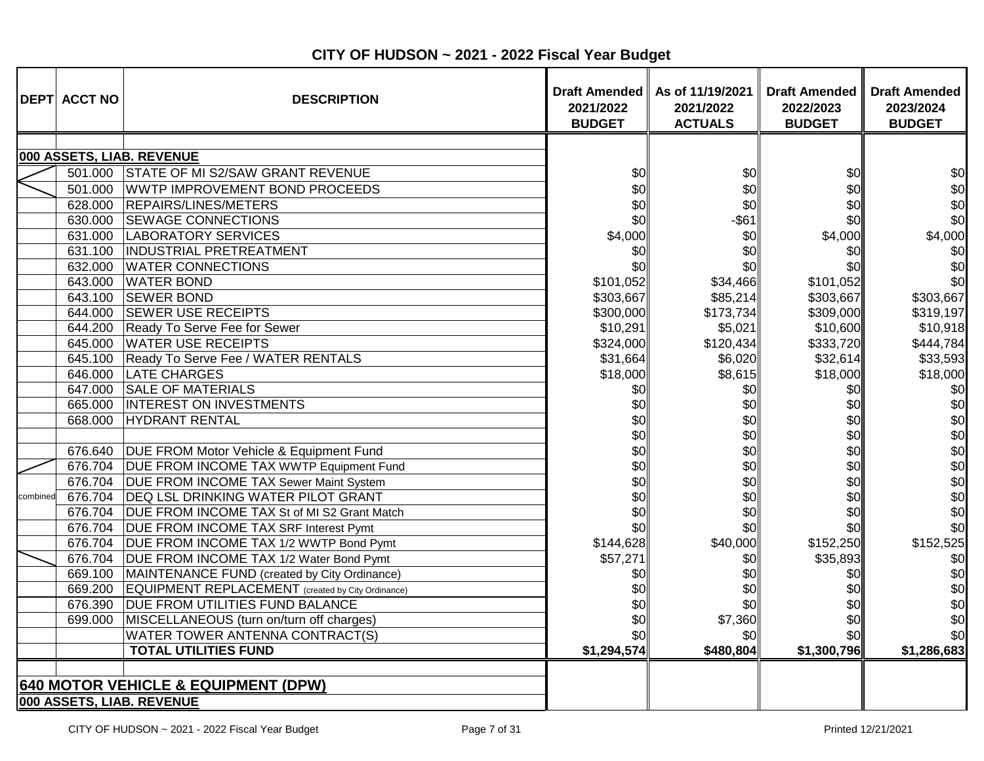|          | <b>DEPT ACCT NO</b> | <b>DESCRIPTION</b>                                                          | <b>Draft Amended</b><br>2021/2022<br><b>BUDGET</b> | As of 11/19/2021<br>2021/2022<br><b>ACTUALS</b> | <b>Draft Amended</b><br>2022/2023<br><b>BUDGET</b> | <b>Draft Amended</b><br>2023/2024<br><b>BUDGET</b> |
|----------|---------------------|-----------------------------------------------------------------------------|----------------------------------------------------|-------------------------------------------------|----------------------------------------------------|----------------------------------------------------|
|          |                     |                                                                             |                                                    |                                                 |                                                    |                                                    |
|          |                     | 000 ASSETS, LIAB. REVENUE                                                   |                                                    |                                                 |                                                    |                                                    |
|          | 501.000             | STATE OF MI S2/SAW GRANT REVENUE                                            | \$0                                                | \$0                                             | \$0                                                | \$0                                                |
|          | 501.000             | WWTP IMPROVEMENT BOND PROCEEDS                                              | \$0                                                | \$0                                             | \$0                                                | \$0                                                |
|          | 628.000             | <b>REPAIRS/LINES/METERS</b>                                                 | \$0                                                | \$0                                             | \$0                                                | \$0                                                |
|          | 630.000             | <b>SEWAGE CONNECTIONS</b>                                                   | \$0                                                | $-$ \$61                                        | \$0                                                | \$0                                                |
|          | 631.000             | LABORATORY SERVICES                                                         | \$4,000                                            | \$0                                             | \$4,000                                            | \$4,000                                            |
|          | 631.100             | <b>INDUSTRIAL PRETREATMENT</b>                                              | \$0                                                | \$0                                             | \$0                                                | \$0                                                |
|          | 632.000             | <b>WATER CONNECTIONS</b>                                                    | \$0                                                | \$0                                             | \$0                                                | \$0                                                |
|          | 643.000             | <b>WATER BOND</b>                                                           | \$101,052                                          | \$34,466                                        | \$101,052                                          | \$0                                                |
|          | 643.100             | <b>SEWER BOND</b>                                                           | \$303,667                                          | \$85,214                                        | \$303,667                                          | \$303,667                                          |
|          | 644.000             | <b>SEWER USE RECEIPTS</b>                                                   | \$300,000                                          | \$173,734                                       | \$309,000                                          | \$319,197                                          |
|          | 644.200             | Ready To Serve Fee for Sewer                                                | \$10,291                                           | \$5,021                                         | \$10,600                                           | \$10,918                                           |
|          | 645.000             | <b>WATER USE RECEIPTS</b>                                                   | \$324,000                                          | \$120,434                                       | \$333,720                                          | \$444,784                                          |
|          |                     | 645.100 Ready To Serve Fee / WATER RENTALS                                  | \$31,664                                           | \$6,020                                         | \$32,614                                           | \$33,593                                           |
|          |                     | 646.000 LATE CHARGES                                                        | \$18,000                                           | \$8,615                                         | \$18,000                                           | \$18,000                                           |
|          | 647.000             | <b>SALE OF MATERIALS</b>                                                    | \$0                                                | \$0                                             | \$0                                                | \$0                                                |
|          | 665.000             | INTEREST ON INVESTMENTS                                                     | \$0                                                | \$0                                             | \$0                                                | \$0                                                |
|          | 668.000             | <b>HYDRANT RENTAL</b>                                                       | \$0                                                | \$0                                             | \$0                                                | \$0                                                |
|          |                     |                                                                             | \$0                                                | \$0                                             | \$0                                                | \$0                                                |
|          | 676.640             | DUE FROM Motor Vehicle & Equipment Fund                                     | \$0                                                | \$0                                             | \$0                                                | \$0                                                |
|          |                     | 676.704 DUE FROM INCOME TAX WWTP Equipment Fund                             | \$0                                                | \$0                                             | \$0                                                | \$0                                                |
|          |                     | 676.704   DUE FROM INCOME TAX Sewer Maint System                            | \$0                                                | \$0                                             | \$0                                                | \$0                                                |
| combined |                     | 676.704 DEQ LSL DRINKING WATER PILOT GRANT                                  | \$0                                                | \$0                                             | \$0                                                | \$0                                                |
|          |                     | 676.704   DUE FROM INCOME TAX St of MI S2 Grant Match                       | \$0                                                | \$0                                             | \$0                                                | \$0                                                |
|          |                     | 676.704   DUE FROM INCOME TAX SRF Interest Pymt                             | \$0                                                | \$0                                             | \$0                                                | \$0                                                |
|          |                     | 676.704 DUE FROM INCOME TAX 1/2 WWTP Bond Pymt                              | \$144,628                                          | \$40,000                                        | \$152,250                                          | \$152,525                                          |
|          |                     | 676.704   DUE FROM INCOME TAX 1/2 Water Bond Pymt                           | \$57,271                                           | \$0                                             | \$35,893                                           | \$0                                                |
|          | 669.100             | MAINTENANCE FUND (created by City Ordinance)                                | \$0                                                | \$0                                             | \$0                                                | \$0                                                |
|          |                     | 669.200 EQUIPMENT REPLACEMENT (created by City Ordinance)                   | \$0                                                | \$0                                             | \$0                                                | \$0                                                |
|          | 676.390             | <b>DUE FROM UTILITIES FUND BALANCE</b>                                      | \$0                                                | \$0                                             | \$0                                                | \$0                                                |
|          | 699.000             | MISCELLANEOUS (turn on/turn off charges)                                    | \$0                                                | \$7,360                                         | \$0                                                | \$0                                                |
|          |                     | WATER TOWER ANTENNA CONTRACT(S)                                             | \$0                                                | \$0                                             | \$0                                                | \$0                                                |
|          |                     | <b>TOTAL UTILITIES FUND</b>                                                 | \$1,294,574                                        | \$480,804                                       | \$1,300,796                                        | \$1,286,683                                        |
|          |                     | <b>640 MOTOR VEHICLE &amp; EQUIPMENT (DPW)</b><br>000 ASSETS, LIAB. REVENUE |                                                    |                                                 |                                                    |                                                    |

**CITY OF HUDSON ~ 2021 - 2022 Fiscal Year Budget**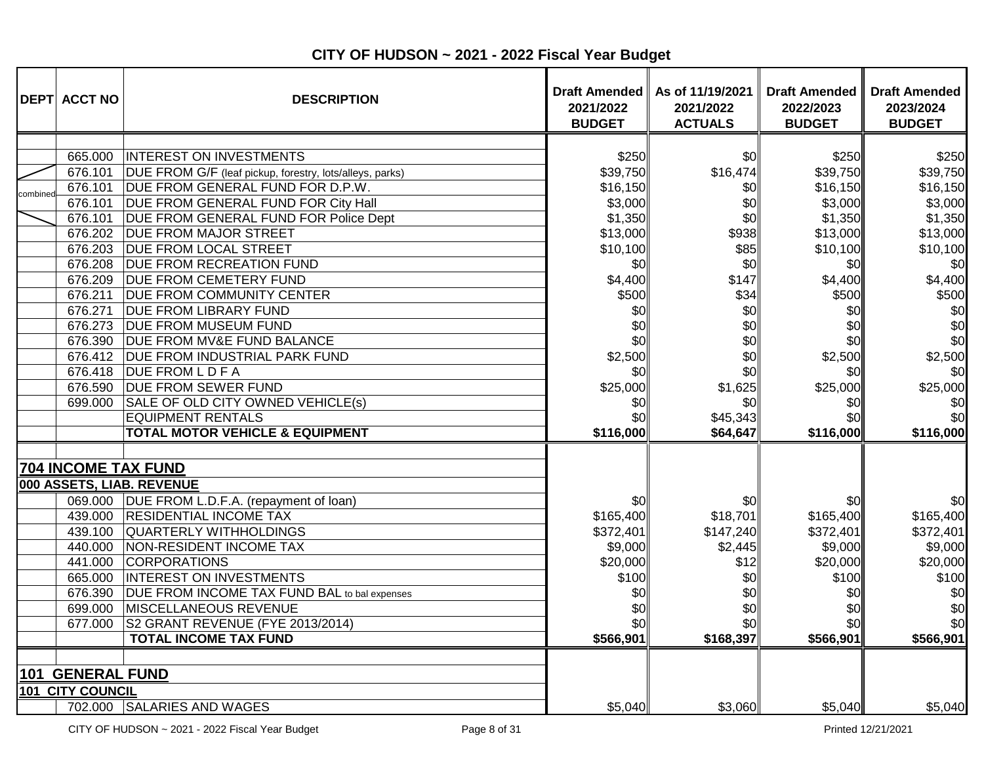|          | <b>DEPT ACCT NO</b>                                                                                                                                                                     | <b>DESCRIPTION</b>                                                                                                                                                                                                                                                                                                                                                                                                                                                                                                                                                                                                                                               | 2021/2022<br><b>BUDGET</b>                                                                                                                                               | Draft Amended   As of 11/19/2021<br>2021/2022<br><b>ACTUALS</b>                                                                                | <b>Draft Amended</b><br>2022/2023<br><b>BUDGET</b>                                                                                                                       | <b>Draft Amended</b><br>2023/2024<br><b>BUDGET</b>                                                                                                                      |
|----------|-----------------------------------------------------------------------------------------------------------------------------------------------------------------------------------------|------------------------------------------------------------------------------------------------------------------------------------------------------------------------------------------------------------------------------------------------------------------------------------------------------------------------------------------------------------------------------------------------------------------------------------------------------------------------------------------------------------------------------------------------------------------------------------------------------------------------------------------------------------------|--------------------------------------------------------------------------------------------------------------------------------------------------------------------------|------------------------------------------------------------------------------------------------------------------------------------------------|--------------------------------------------------------------------------------------------------------------------------------------------------------------------------|-------------------------------------------------------------------------------------------------------------------------------------------------------------------------|
| combined | 665.000<br>676.101<br>676.101<br>676.101<br>676.101<br>676.202<br>676.203<br>676.208<br>676.209<br>676.211<br>676.271<br>676.273<br>676.390<br>676.412<br>676.418<br>676.590<br>699.000 | <b>INTEREST ON INVESTMENTS</b><br>DUE FROM G/F (leaf pickup, forestry, lots/alleys, parks)<br>DUE FROM GENERAL FUND FOR D.P.W.<br>DUE FROM GENERAL FUND FOR City Hall<br>DUE FROM GENERAL FUND FOR Police Dept<br><b>DUE FROM MAJOR STREET</b><br><b>DUE FROM LOCAL STREET</b><br><b>DUE FROM RECREATION FUND</b><br><b>DUE FROM CEMETERY FUND</b><br><b>DUE FROM COMMUNITY CENTER</b><br><b>DUE FROM LIBRARY FUND</b><br><b>DUE FROM MUSEUM FUND</b><br><b>DUE FROM MV&amp;E FUND BALANCE</b><br><b>DUE FROM INDUSTRIAL PARK FUND</b><br><b>DUE FROM L D F A</b><br><b>DUE FROM SEWER FUND</b><br>SALE OF OLD CITY OWNED VEHICLE(s)<br><b>EQUIPMENT RENTALS</b> | \$250<br>\$39,750<br>\$16,150<br>\$3,000<br>\$1,350<br>\$13,000<br>\$10,100<br>\$0<br>\$4,400<br>\$500<br>\$0<br>\$0<br>\$0<br>\$2,500<br>\$OI<br>\$25,000<br>\$0<br>\$0 | \$0<br>\$16,474<br>\$0<br>\$0<br>\$0<br>\$938<br>\$85<br>\$0<br>\$147<br>\$34<br>\$0<br>\$0<br>\$0<br>\$0<br>\$0<br>\$1,625<br>\$0<br>\$45,343 | \$250<br>\$39,750<br>\$16,150<br>\$3,000<br>\$1,350<br>\$13,000<br>\$10,100<br>\$0<br>\$4,400<br>\$500<br>\$0<br>\$0<br>\$0<br>\$2,500<br>\$0l<br>\$25,000<br>\$0<br>\$0 | \$250<br>\$39,750<br>\$16,150<br>\$3,000<br>\$1,350<br>\$13,000<br>\$10,100<br>\$0<br>\$4,400<br>\$500<br>\$0<br>\$0<br>\$0<br>\$2,500<br>\$0<br>\$25,000<br>\$0<br>\$0 |
|          |                                                                                                                                                                                         | <b>TOTAL MOTOR VEHICLE &amp; EQUIPMENT</b><br>704 INCOME TAX FUND                                                                                                                                                                                                                                                                                                                                                                                                                                                                                                                                                                                                | \$116,000                                                                                                                                                                | \$64,647                                                                                                                                       | \$116,000                                                                                                                                                                | \$116,000                                                                                                                                                               |
|          | 439.100<br>440.000<br>441.000<br>665.000<br>676.390<br>699.000<br>677.000                                                                                                               | 000 ASSETS, LIAB. REVENUE<br>069.000 DUE FROM L.D.F.A. (repayment of loan)<br>439.000 RESIDENTIAL INCOME TAX<br>QUARTERLY WITHHOLDINGS<br>NON-RESIDENT INCOME TAX<br><b>CORPORATIONS</b><br><b>INTEREST ON INVESTMENTS</b><br>DUE FROM INCOME TAX FUND BAL to bal expenses<br>MISCELLANEOUS REVENUE<br>S2 GRANT REVENUE (FYE 2013/2014)<br><b>TOTAL INCOME TAX FUND</b>                                                                                                                                                                                                                                                                                          | \$0<br>\$165,400<br>\$372,401<br>\$9,000<br>\$20,000<br>\$100<br>\$0<br>\$0<br>\$0<br>\$566,901                                                                          | \$0<br>\$18,701<br>\$147,240<br>\$2,445<br>\$12<br>\$0<br>\$0<br>\$0<br>\$0<br>\$168,397                                                       | \$0<br>\$165,400<br>\$372,401<br>\$9,000<br>\$20,000<br>\$100<br>\$0<br>\$0<br>\$0<br>\$566,901                                                                          | \$0<br>\$165,400<br>\$372,401<br>\$9,000<br>\$20,000<br>\$100<br>\$0<br>\$0<br>\$0<br>\$566,901                                                                         |
|          | <b>101 GENERAL FUND</b><br>101 CITY COUNCIL                                                                                                                                             | 702.000 SALARIES AND WAGES                                                                                                                                                                                                                                                                                                                                                                                                                                                                                                                                                                                                                                       | \$5,040                                                                                                                                                                  | \$3,060                                                                                                                                        | \$5,040                                                                                                                                                                  | \$5,040                                                                                                                                                                 |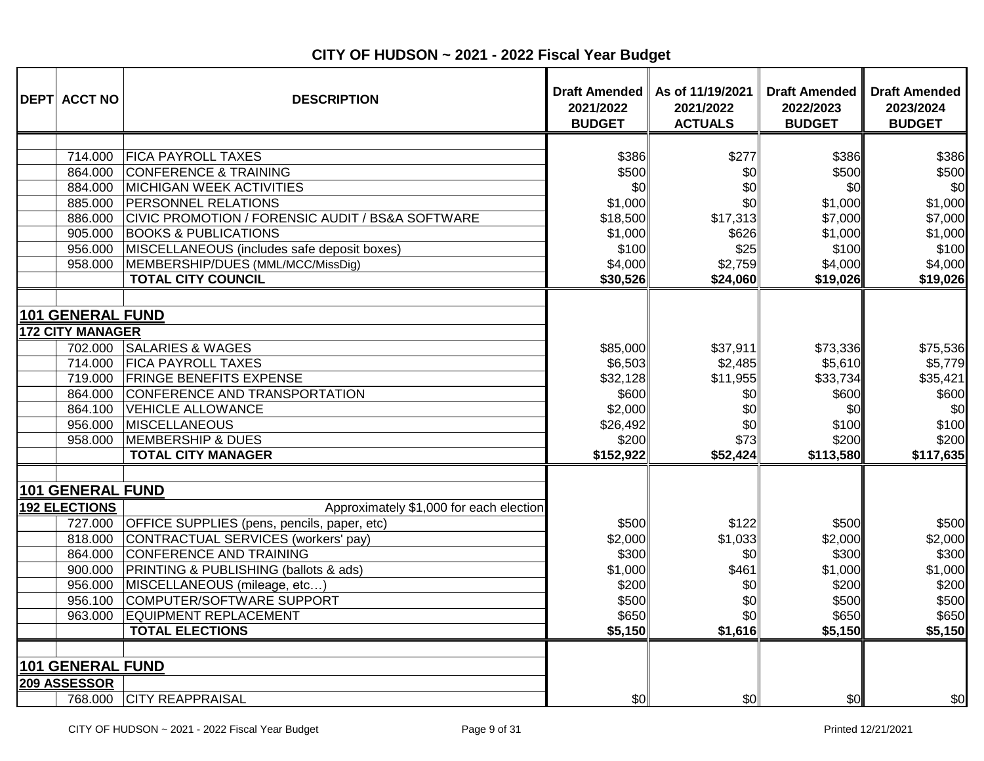| <b>DEPT ACCT NO</b>                                                                                                      | <b>DESCRIPTION</b>                                                                                                                                                                                                                                                                                                                             | 2021/2022<br><b>BUDGET</b>                                                              | Draft Amended   As of 11/19/2021<br>2021/2022<br><b>ACTUALS</b>                | <b>Draft Amended</b><br>2022/2023<br><b>BUDGET</b>                                     | <b>Draft Amended</b><br>2023/2024<br><b>BUDGET</b>                                     |
|--------------------------------------------------------------------------------------------------------------------------|------------------------------------------------------------------------------------------------------------------------------------------------------------------------------------------------------------------------------------------------------------------------------------------------------------------------------------------------|-----------------------------------------------------------------------------------------|--------------------------------------------------------------------------------|----------------------------------------------------------------------------------------|----------------------------------------------------------------------------------------|
| 714.000<br>864.000<br>884.000<br>885.000<br>886.000<br>905.000<br>956.000<br>958.000                                     | <b>FICA PAYROLL TAXES</b><br><b>CONFERENCE &amp; TRAINING</b><br><b>MICHIGAN WEEK ACTIVITIES</b><br><b>PERSONNEL RELATIONS</b><br>CIVIC PROMOTION / FORENSIC AUDIT / BS&A SOFTWARE<br><b>BOOKS &amp; PUBLICATIONS</b><br>MISCELLANEOUS (includes safe deposit boxes)<br>MEMBERSHIP/DUES (MML/MCC/MissDig)<br><b>TOTAL CITY COUNCIL</b>         | \$386<br>\$500<br>\$0<br>\$1,000<br>\$18,500<br>\$1,000<br>\$100<br>\$4,000<br>\$30,526 | \$277<br>\$0<br>\$0<br>\$0<br>\$17,313<br>\$626<br>\$25<br>\$2,759<br>\$24,060 | \$386<br>\$500<br>\$0<br>\$1,000<br>\$7,000<br>\$1,000<br>\$100<br>\$4,000<br>\$19,026 | \$386<br>\$500<br>\$0<br>\$1,000<br>\$7,000<br>\$1,000<br>\$100<br>\$4,000<br>\$19,026 |
| 101 GENERAL FUND<br><b>172 CITY MANAGER</b><br>702.000<br>714.000<br>719.000<br>864.000<br>864.100<br>956.000<br>958.000 | <b>SALARIES &amp; WAGES</b><br><b>FICA PAYROLL TAXES</b><br><b>FRINGE BENEFITS EXPENSE</b><br>CONFERENCE AND TRANSPORTATION<br><b>VEHICLE ALLOWANCE</b><br><b>MISCELLANEOUS</b><br><b>MEMBERSHIP &amp; DUES</b><br><b>TOTAL CITY MANAGER</b>                                                                                                   | \$85,000<br>\$6,503<br>\$32,128<br>\$600<br>\$2,000<br>\$26,492<br>\$200<br>\$152,922   | \$37,911<br>\$2,485<br>\$11,955<br>\$0<br>\$0<br>\$0<br>\$73<br>\$52,424       | \$73,336<br>\$5,610<br>\$33,734<br>\$600<br>\$0<br>\$100<br>\$200<br>\$113,580         | \$75,536<br>\$5,779<br>\$35,421<br>\$600<br>\$0<br>\$100<br>\$200<br>\$117,635         |
| 101 GENERAL FUND<br><b>192 ELECTIONS</b><br>727.000<br>818.000<br>864.000<br>900.000<br>956.000<br>956.100<br>963.000    | Approximately \$1,000 for each election<br>OFFICE SUPPLIES (pens, pencils, paper, etc)<br>CONTRACTUAL SERVICES (workers' pay)<br><b>CONFERENCE AND TRAINING</b><br><b>PRINTING &amp; PUBLISHING (ballots &amp; ads)</b><br>MISCELLANEOUS (mileage, etc)<br>COMPUTER/SOFTWARE SUPPORT<br><b>EQUIPMENT REPLACEMENT</b><br><b>TOTAL ELECTIONS</b> | \$500<br>\$2,000<br>\$300<br>\$1,000<br>\$200<br>\$500<br>\$650<br>\$5,150              | \$122<br>\$1,033<br>\$0<br>\$461<br>\$0<br>\$0<br>\$0<br>\$1,616               | \$500<br>\$2,000<br>\$300<br>\$1,000<br>\$200<br>\$500<br>\$650<br>\$5,150             | \$500<br>\$2,000<br>\$300<br>\$1,000<br>\$200<br>\$500<br>\$650<br>\$5,150             |
| 101 GENERAL FUND<br>209 ASSESSOR                                                                                         | 768.000 CITY REAPPRAISAL                                                                                                                                                                                                                                                                                                                       | \$0                                                                                     | \$0                                                                            | \$0                                                                                    | \$0                                                                                    |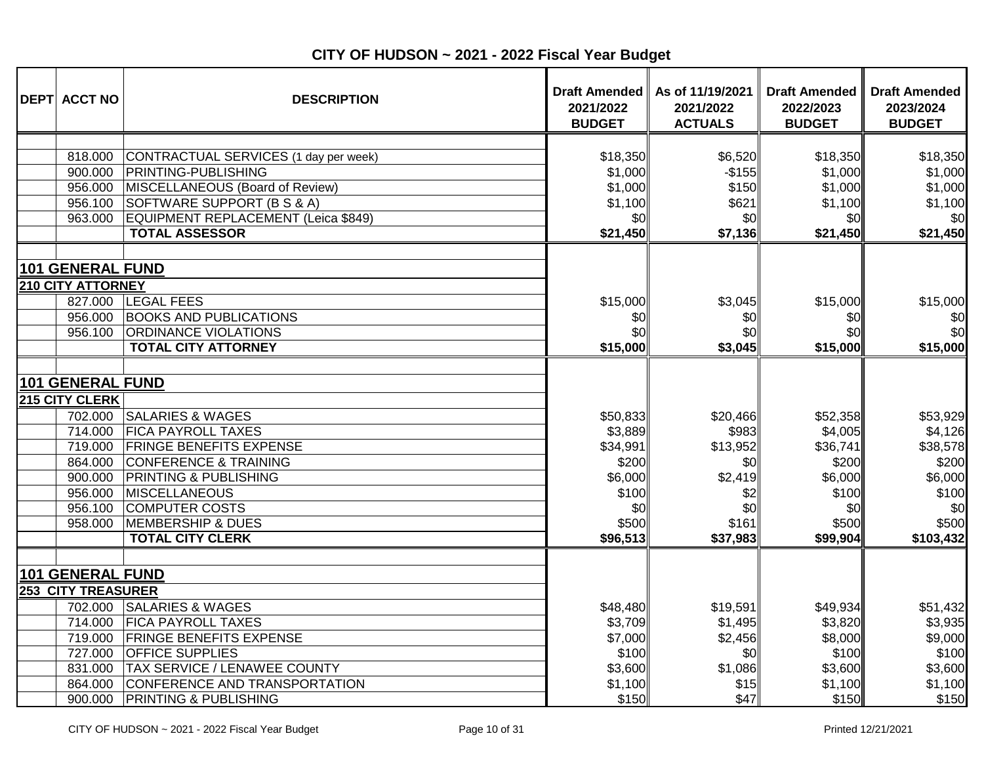| <b>DEPT ACCT NO</b>                                                                                                    | <b>DESCRIPTION</b>                                                                                                                                                                                                                                        | 2021/2022<br><b>BUDGET</b>                                                               | Draft Amended   As of 11/19/2021<br>2021/2022<br><b>ACTUALS</b>                    | <b>Draft Amended</b><br>2022/2023<br><b>BUDGET</b>                                       | <b>Draft Amended</b><br>2023/2024<br><b>BUDGET</b>                                        |
|------------------------------------------------------------------------------------------------------------------------|-----------------------------------------------------------------------------------------------------------------------------------------------------------------------------------------------------------------------------------------------------------|------------------------------------------------------------------------------------------|------------------------------------------------------------------------------------|------------------------------------------------------------------------------------------|-------------------------------------------------------------------------------------------|
| 818.000<br>900.000<br>956.000<br>956.100<br>963.000                                                                    | CONTRACTUAL SERVICES (1 day per week)<br><b>PRINTING-PUBLISHING</b><br>MISCELLANEOUS (Board of Review)<br>SOFTWARE SUPPORT (B S & A)<br>EQUIPMENT REPLACEMENT (Leica \$849)<br><b>TOTAL ASSESSOR</b>                                                      | \$18,350<br>\$1,000<br>\$1,000<br>\$1,100<br>\$0<br>\$21,450                             | \$6,520<br>$-$155$<br>\$150<br>\$621<br>\$0<br>\$7,136                             | \$18,350<br>\$1,000<br>\$1,000<br>\$1,100<br>\$0<br>\$21,450                             | \$18,350<br>\$1,000<br>\$1,000<br>\$1,100<br>\$0<br>\$21,450                              |
| <b>101 GENERAL FUND</b><br><b>210 CITY ATTORNEY</b><br>827,000<br>956.000<br>956.100                                   | <b>LEGAL FEES</b><br><b>BOOKS AND PUBLICATIONS</b><br><b>ORDINANCE VIOLATIONS</b><br><b>TOTAL CITY ATTORNEY</b>                                                                                                                                           | \$15,000<br>\$0<br>\$0<br>\$15,000                                                       | \$3,045<br>\$0<br>\$0<br>\$3,045                                                   | \$15,000<br>\$0<br>\$0<br>\$15,000                                                       | \$15,000<br>\$0<br>\$0<br>\$15,000                                                        |
| <b>101 GENERAL FUND</b><br>215 CITY CLERK<br>714.000<br>719.000<br>864.000<br>900.000<br>956.000<br>956.100<br>958.000 | 702.000 SALARIES & WAGES<br><b>FICA PAYROLL TAXES</b><br><b>FRINGE BENEFITS EXPENSE</b><br><b>CONFERENCE &amp; TRAINING</b><br><b>PRINTING &amp; PUBLISHING</b><br>MISCELLANEOUS<br><b>COMPUTER COSTS</b><br>MEMBERSHIP & DUES<br><b>TOTAL CITY CLERK</b> | \$50,833<br>\$3,889<br>\$34,991<br>\$200<br>\$6,000<br>\$100<br>\$0<br>\$500<br>\$96,513 | \$20,466<br>\$983<br>\$13,952<br>\$0<br>\$2,419<br>\$2<br>\$0<br>\$161<br>\$37,983 | \$52,358<br>\$4,005<br>\$36,741<br>\$200<br>\$6,000<br>\$100<br>\$0<br>\$500<br>\$99,904 | \$53,929<br>\$4,126<br>\$38,578<br>\$200<br>\$6,000<br>\$100<br>\$0<br>\$500<br>\$103,432 |
| <b>101 GENERAL FUND</b><br><b>253 CITY TREASURER</b><br>719.000<br>727.000<br>831.000<br>864.000<br>900.000            | 702.000 SALARIES & WAGES<br>714.000 FICA PAYROLL TAXES<br><b>FRINGE BENEFITS EXPENSE</b><br><b>OFFICE SUPPLIES</b><br><b>TAX SERVICE / LENAWEE COUNTY</b><br>CONFERENCE AND TRANSPORTATION<br><b>PRINTING &amp; PUBLISHING</b>                            | \$48,480<br>\$3,709<br>\$7,000<br>\$100<br>\$3,600<br>\$1,100<br>\$150                   | \$19,591<br>\$1,495<br>\$2,456<br>\$0<br>\$1,086<br>\$15<br>\$47                   | \$49,934<br>\$3,820<br>\$8,000<br>\$100<br>\$3,600<br>\$1,100<br>\$150                   | \$51,432<br>\$3,935<br>\$9,000<br>\$100<br>\$3,600<br>\$1,100<br>\$150                    |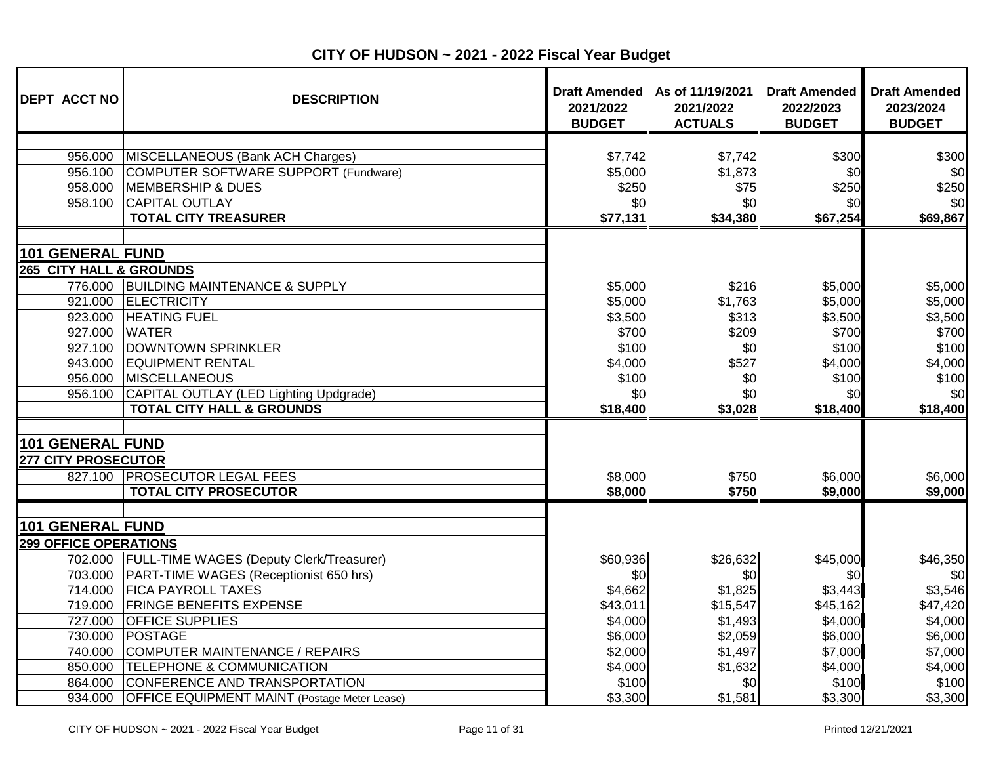| <b>DEPT ACCT NO</b>          | <b>DESCRIPTION</b>                                                       | 2021/2022<br><b>BUDGET</b> | Draft Amended   As of 11/19/2021<br>2021/2022<br><b>ACTUALS</b> | <b>Draft Amended</b><br>2022/2023<br><b>BUDGET</b> | <b>Draft Amended</b><br>2023/2024<br><b>BUDGET</b> |
|------------------------------|--------------------------------------------------------------------------|----------------------------|-----------------------------------------------------------------|----------------------------------------------------|----------------------------------------------------|
| 956.000                      |                                                                          |                            |                                                                 |                                                    | \$300                                              |
| 956.100                      | MISCELLANEOUS (Bank ACH Charges)<br>COMPUTER SOFTWARE SUPPORT (Fundware) | \$7,742<br>\$5,000         | \$7,742<br>\$1,873                                              | \$300<br>\$0                                       | \$0                                                |
| 958.000                      | <b>MEMBERSHIP &amp; DUES</b>                                             | \$250                      | \$75                                                            | \$250                                              | \$250                                              |
| 958.100                      | <b>CAPITAL OUTLAY</b>                                                    | \$0                        | \$0                                                             | \$0                                                | \$0                                                |
|                              | <b>TOTAL CITY TREASURER</b>                                              | \$77,131                   | \$34,380                                                        | \$67,254                                           | \$69,867                                           |
| 101 GENERAL FUND             |                                                                          |                            |                                                                 |                                                    |                                                    |
|                              | <b>265 CITY HALL &amp; GROUNDS</b>                                       |                            |                                                                 |                                                    |                                                    |
| 776.000                      | <b>BUILDING MAINTENANCE &amp; SUPPLY</b>                                 | \$5,000                    | \$216                                                           | \$5,000                                            | \$5,000                                            |
| 921.000                      | <b>ELECTRICITY</b>                                                       | \$5,000                    | \$1,763                                                         | \$5,000                                            | \$5,000                                            |
| 923.000                      | <b>HEATING FUEL</b>                                                      | \$3,500                    | \$313                                                           | \$3,500                                            | \$3,500                                            |
| 927.000                      | <b>WATER</b>                                                             | \$700                      | \$209                                                           | \$700                                              | \$700                                              |
| 927.100                      | DOWNTOWN SPRINKLER                                                       | \$100                      | \$0                                                             | \$100                                              | \$100                                              |
| 943.000                      | <b>EQUIPMENT RENTAL</b>                                                  | \$4,000                    | \$527                                                           | \$4,000                                            | \$4,000                                            |
| 956.000                      | <b>MISCELLANEOUS</b>                                                     | \$100                      | \$0                                                             | \$100                                              | \$100                                              |
| 956.100                      | CAPITAL OUTLAY (LED Lighting Updgrade)                                   | \$0                        | \$0                                                             | \$0                                                | \$0                                                |
|                              | <b>TOTAL CITY HALL &amp; GROUNDS</b>                                     | \$18,400                   | \$3,028                                                         | \$18,400                                           | \$18,400                                           |
|                              |                                                                          |                            |                                                                 |                                                    |                                                    |
| 101 GENERAL FUND             |                                                                          |                            |                                                                 |                                                    |                                                    |
| <b>277 CITY PROSECUTOR</b>   |                                                                          |                            |                                                                 |                                                    |                                                    |
| 827.100                      | <b>PROSECUTOR LEGAL FEES</b>                                             | \$8,000                    | \$750                                                           | \$6,000                                            | \$6,000                                            |
|                              | <b>TOTAL CITY PROSECUTOR</b>                                             | \$8,000                    | <b>\$750</b>                                                    | \$9,000                                            | \$9,000                                            |
|                              |                                                                          |                            |                                                                 |                                                    |                                                    |
| 101 GENERAL FUND             |                                                                          |                            |                                                                 |                                                    |                                                    |
| <b>299 OFFICE OPERATIONS</b> |                                                                          |                            |                                                                 |                                                    |                                                    |
|                              | 702.000 FULL-TIME WAGES (Deputy Clerk/Treasurer)                         | \$60,936                   | \$26,632                                                        | \$45,000                                           | \$46,350                                           |
| 703.000                      | PART-TIME WAGES (Receptionist 650 hrs)                                   | \$OI                       | \$0                                                             | \$0                                                | \$0                                                |
| 714.000                      | <b>FICA PAYROLL TAXES</b>                                                | \$4,662                    | \$1,825                                                         | \$3,443                                            | \$3,546                                            |
| 719.000                      | <b>FRINGE BENEFITS EXPENSE</b>                                           | \$43,011                   | \$15,547                                                        | \$45,162                                           | \$47,420                                           |
| 727.000                      | <b>OFFICE SUPPLIES</b>                                                   | \$4,000                    | \$1,493                                                         | \$4,000                                            | \$4,000                                            |
| 730.000                      | <b>POSTAGE</b>                                                           | \$6,000                    | \$2,059                                                         | \$6,000                                            | \$6,000                                            |
| 740.000                      | COMPUTER MAINTENANCE / REPAIRS                                           | \$2,000                    | \$1,497                                                         | \$7,000                                            | \$7,000                                            |
| 850.000                      | <b>TELEPHONE &amp; COMMUNICATION</b>                                     | \$4,000                    | \$1,632                                                         | \$4,000                                            | \$4,000                                            |
| 864.000                      | CONFERENCE AND TRANSPORTATION                                            | \$100                      | \$0                                                             | \$100                                              | \$100                                              |
| 934.000                      | <b>OFFICE EQUIPMENT MAINT (Postage Meter Lease)</b>                      | \$3,300                    | \$1,581                                                         | \$3,300                                            | \$3,300                                            |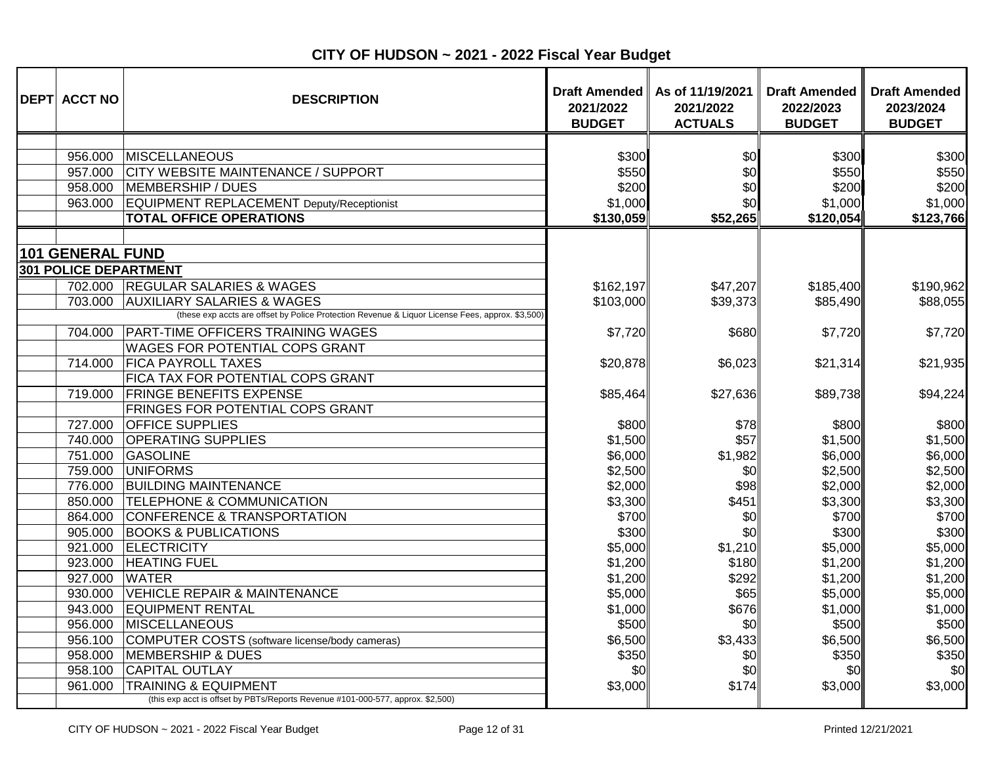| <b>DEPT ACCT NO</b>   | <b>DESCRIPTION</b>                                                                               | 2021/2022<br><b>BUDGET</b> | Draft Amended   As of 11/19/2021<br>2021/2022<br><b>ACTUALS</b> | <b>Draft Amended</b><br>2022/2023<br><b>BUDGET</b> | <b>Draft Amended</b><br>2023/2024<br><b>BUDGET</b> |
|-----------------------|--------------------------------------------------------------------------------------------------|----------------------------|-----------------------------------------------------------------|----------------------------------------------------|----------------------------------------------------|
|                       |                                                                                                  |                            |                                                                 |                                                    |                                                    |
| 956.000               | <b>MISCELLANEOUS</b>                                                                             | \$300                      | \$0                                                             | \$300                                              | \$300                                              |
| 957.000               | CITY WEBSITE MAINTENANCE / SUPPORT                                                               | \$550                      | \$0                                                             | \$550                                              | \$550                                              |
| 958.000               | MEMBERSHIP / DUES                                                                                | \$200                      | \$0                                                             | \$200                                              | \$200                                              |
| 963.000               | EQUIPMENT REPLACEMENT Deputy/Receptionist                                                        | \$1,000                    | \$0                                                             | \$1,000                                            | \$1,000                                            |
|                       | <b>TOTAL OFFICE OPERATIONS</b>                                                                   | \$130,059                  | \$52,265                                                        | \$120,054                                          | \$123,766                                          |
|                       |                                                                                                  |                            |                                                                 |                                                    |                                                    |
| 101 GENERAL FUND      |                                                                                                  |                            |                                                                 |                                                    |                                                    |
| 301 POLICE DEPARTMENT |                                                                                                  |                            |                                                                 |                                                    |                                                    |
| 702.000               | <b>REGULAR SALARIES &amp; WAGES</b>                                                              | \$162,197                  | \$47,207                                                        | \$185,400                                          | \$190,962                                          |
| 703.000               | <b>AUXILIARY SALARIES &amp; WAGES</b>                                                            | \$103,000                  | \$39,373                                                        | \$85,490                                           | \$88,055                                           |
|                       | (these exp accts are offset by Police Protection Revenue & Liquor License Fees, approx. \$3,500) |                            |                                                                 |                                                    |                                                    |
| 704.000               | <b>PART-TIME OFFICERS TRAINING WAGES</b>                                                         | \$7,720                    | \$680                                                           | \$7,720                                            | \$7,720                                            |
|                       | <b>WAGES FOR POTENTIAL COPS GRANT</b>                                                            |                            |                                                                 |                                                    |                                                    |
| 714.000               | <b>FICA PAYROLL TAXES</b>                                                                        | \$20,878                   | \$6,023                                                         | \$21,314                                           | \$21,935                                           |
|                       | FICA TAX FOR POTENTIAL COPS GRANT                                                                |                            |                                                                 |                                                    |                                                    |
| 719.000               | <b>FRINGE BENEFITS EXPENSE</b>                                                                   | \$85,464                   | \$27,636                                                        | \$89,738                                           | \$94,224                                           |
|                       | FRINGES FOR POTENTIAL COPS GRANT                                                                 |                            |                                                                 |                                                    |                                                    |
| 727.000               | <b>OFFICE SUPPLIES</b>                                                                           | \$800                      | \$78                                                            | \$800                                              | \$800                                              |
| 740.000               | <b>OPERATING SUPPLIES</b>                                                                        | \$1,500                    | \$57                                                            | \$1,500                                            | \$1,500                                            |
| 751.000               | GASOLINE                                                                                         | \$6,000                    | \$1,982                                                         | \$6,000                                            | \$6,000                                            |
| 759.000               | <b>UNIFORMS</b>                                                                                  | \$2,500                    | \$0                                                             | \$2,500                                            | \$2,500                                            |
| 776.000               | <b>BUILDING MAINTENANCE</b>                                                                      | \$2,000                    | \$98                                                            | \$2,000                                            | \$2,000                                            |
| 850.000               | <b>TELEPHONE &amp; COMMUNICATION</b>                                                             | \$3,300                    | \$451                                                           | \$3,300                                            | \$3,300                                            |
| 864.000               | CONFERENCE & TRANSPORTATION                                                                      | \$700                      | \$0                                                             | \$700                                              | \$700                                              |
| 905.000               | <b>BOOKS &amp; PUBLICATIONS</b>                                                                  | \$300                      | \$0                                                             | \$300                                              | \$300                                              |
| 921.000               | <b>ELECTRICITY</b>                                                                               | \$5,000                    | \$1,210                                                         | \$5,000                                            | \$5,000                                            |
| 923.000               | <b>HEATING FUEL</b>                                                                              | \$1,200                    | \$180                                                           | \$1,200                                            | \$1,200                                            |
| 927.000               | <b>WATER</b>                                                                                     | \$1,200                    | \$292                                                           | \$1,200                                            | \$1,200                                            |
| 930.000               | VEHICLE REPAIR & MAINTENANCE                                                                     | \$5,000                    | \$65                                                            | \$5,000                                            | \$5,000                                            |
| 943.000               | <b>EQUIPMENT RENTAL</b>                                                                          | \$1,000                    | \$676                                                           | \$1,000                                            | \$1,000                                            |
| 956.000               | MISCELLANEOUS                                                                                    | \$500                      | \$0                                                             | \$500                                              | \$500                                              |
| 956.100               | COMPUTER COSTS (software license/body cameras)                                                   | \$6,500                    | \$3,433                                                         | \$6,500                                            | \$6,500                                            |
| 958.000               | MEMBERSHIP & DUES                                                                                | \$350                      | \$0                                                             | \$350                                              | \$350                                              |
| 958.100               | <b>CAPITAL OUTLAY</b>                                                                            | \$0                        | \$0                                                             | \$0                                                | \$0                                                |
| 961.000               | <b>TRAINING &amp; EQUIPMENT</b>                                                                  | \$3,000                    | \$174                                                           | \$3,000                                            | \$3,000                                            |
|                       | (this exp acct is offset by PBTs/Reports Revenue #101-000-577, approx. \$2,500)                  |                            |                                                                 |                                                    |                                                    |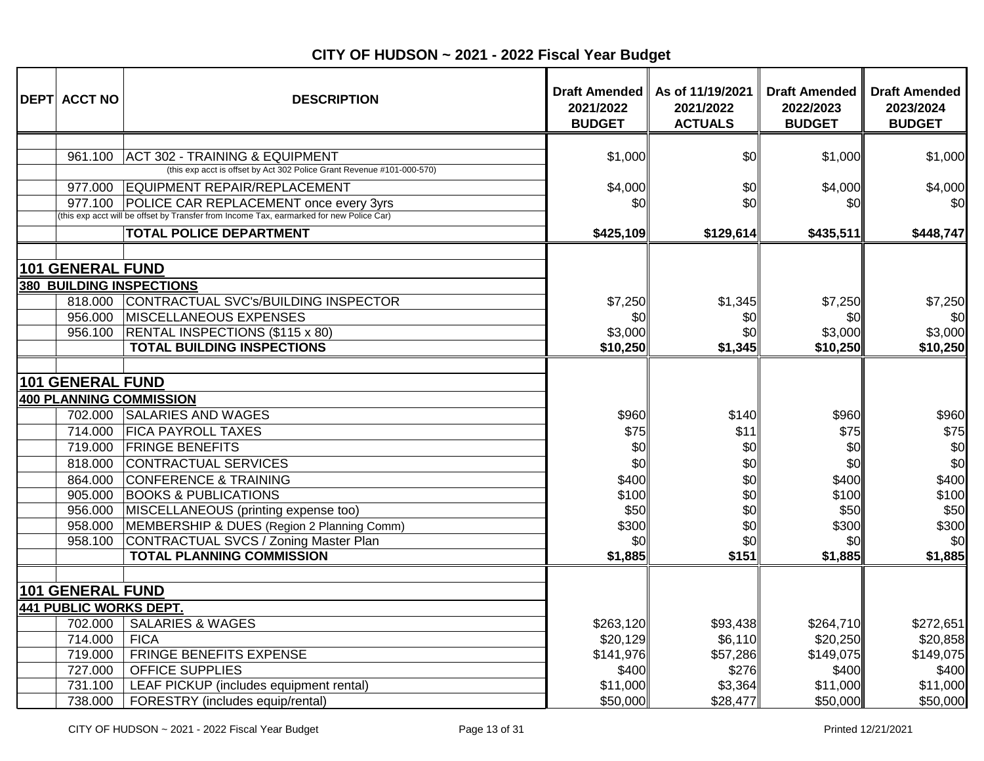| <b>DEPT ACCT NO</b>                      | <b>DESCRIPTION</b>                                                                                       | 2021/2022<br><b>BUDGET</b> | Draft Amended   As of 11/19/2021<br>2021/2022<br><b>ACTUALS</b> | <b>Draft Amended</b><br>2022/2023<br><b>BUDGET</b> | <b>Draft Amended</b><br>2023/2024<br><b>BUDGET</b> |
|------------------------------------------|----------------------------------------------------------------------------------------------------------|----------------------------|-----------------------------------------------------------------|----------------------------------------------------|----------------------------------------------------|
|                                          |                                                                                                          |                            |                                                                 |                                                    |                                                    |
| 961.100                                  | ACT 302 - TRAINING & EQUIPMENT<br>(this exp acct is offset by Act 302 Police Grant Revenue #101-000-570) | \$1,000                    | \$0                                                             | \$1,000                                            | \$1,000                                            |
| 977.000                                  | EQUIPMENT REPAIR/REPLACEMENT                                                                             | \$4,000                    | \$0                                                             | \$4,000                                            | \$4,000                                            |
|                                          | 977.100 POLICE CAR REPLACEMENT once every 3yrs                                                           | \$0                        | \$0                                                             | \$0                                                | \$0                                                |
|                                          | (this exp acct will be offset by Transfer from Income Tax, earmarked for new Police Car)                 |                            |                                                                 |                                                    |                                                    |
|                                          | <b>TOTAL POLICE DEPARTMENT</b>                                                                           | \$425,109                  | \$129,614                                                       | \$435,511                                          | \$448,747                                          |
|                                          |                                                                                                          |                            |                                                                 |                                                    |                                                    |
| <b>101 GENERAL FUND</b>                  |                                                                                                          |                            |                                                                 |                                                    |                                                    |
|                                          | <b>380 BUILDING INSPECTIONS</b>                                                                          |                            |                                                                 |                                                    |                                                    |
| 818.000                                  | CONTRACTUAL SVC's/BUILDING INSPECTOR                                                                     | \$7,250                    | \$1,345                                                         | \$7,250                                            | \$7,250                                            |
| 956.000                                  | <b>MISCELLANEOUS EXPENSES</b>                                                                            | \$0                        | \$0                                                             | \$0                                                | \$0                                                |
| 956.100                                  | <b>RENTAL INSPECTIONS (\$115 x 80)</b><br><b>TOTAL BUILDING INSPECTIONS</b>                              | \$3,000<br>\$10,250        | \$0<br>\$1,345                                                  | \$3,000<br>\$10,250                                | \$3,000<br>\$10,250                                |
|                                          |                                                                                                          |                            |                                                                 |                                                    |                                                    |
| 101 GENERAL FUND                         |                                                                                                          |                            |                                                                 |                                                    |                                                    |
|                                          | 400 PLANNING COMMISSION                                                                                  |                            |                                                                 |                                                    |                                                    |
| 702.000                                  | <b>SALARIES AND WAGES</b>                                                                                | \$960                      | \$140                                                           | \$960                                              | \$960                                              |
| 714.000                                  | <b>FICA PAYROLL TAXES</b>                                                                                | \$75                       | \$11                                                            | \$75                                               | \$75                                               |
| 719.000                                  | <b>FRINGE BENEFITS</b>                                                                                   | \$0                        | \$0                                                             | \$0                                                | \$0                                                |
| 818.000                                  | CONTRACTUAL SERVICES                                                                                     | \$0                        | \$0                                                             | \$0                                                | \$0                                                |
| 864.000                                  | <b>CONFERENCE &amp; TRAINING</b>                                                                         | \$400                      | \$0                                                             | \$400                                              | \$400                                              |
| 905.000                                  | <b>BOOKS &amp; PUBLICATIONS</b>                                                                          | \$100                      | \$0                                                             | \$100                                              | \$100                                              |
| 956.000                                  | MISCELLANEOUS (printing expense too)                                                                     | \$50                       | \$0                                                             | \$50                                               | \$50                                               |
| 958.000                                  | MEMBERSHIP & DUES (Region 2 Planning Comm)                                                               | \$300                      | \$0                                                             | \$300                                              | \$300                                              |
| 958.100                                  | CONTRACTUAL SVCS / Zoning Master Plan                                                                    | \$0                        | \$0                                                             | \$0                                                | \$0                                                |
|                                          | <b>TOTAL PLANNING COMMISSION</b>                                                                         | \$1,885                    | \$151                                                           | \$1,885                                            | \$1,885                                            |
|                                          |                                                                                                          |                            |                                                                 |                                                    |                                                    |
| 101 GENERAL FUND                         |                                                                                                          |                            |                                                                 |                                                    |                                                    |
| <b>441 PUBLIC WORKS DEPT.</b><br>702.000 | <b>SALARIES &amp; WAGES</b>                                                                              |                            |                                                                 |                                                    |                                                    |
| 714.000                                  | <b>FICA</b>                                                                                              | \$263,120<br>\$20,129      | \$93,438<br>\$6,110                                             | \$264,710<br>\$20,250                              | \$272,651<br>\$20,858                              |
| 719.000                                  | FRINGE BENEFITS EXPENSE                                                                                  | \$141,976                  | \$57,286                                                        | \$149,075                                          | \$149,075                                          |
| 727.000                                  | <b>OFFICE SUPPLIES</b>                                                                                   | \$400                      | \$276                                                           | \$400                                              | \$400                                              |
| 731.100                                  | LEAF PICKUP (includes equipment rental)                                                                  | \$11,000                   | \$3,364                                                         | \$11,000                                           | \$11,000                                           |
| 738.000                                  | FORESTRY (includes equip/rental)                                                                         | \$50,000                   | \$28,477                                                        | \$50,000                                           | \$50,000                                           |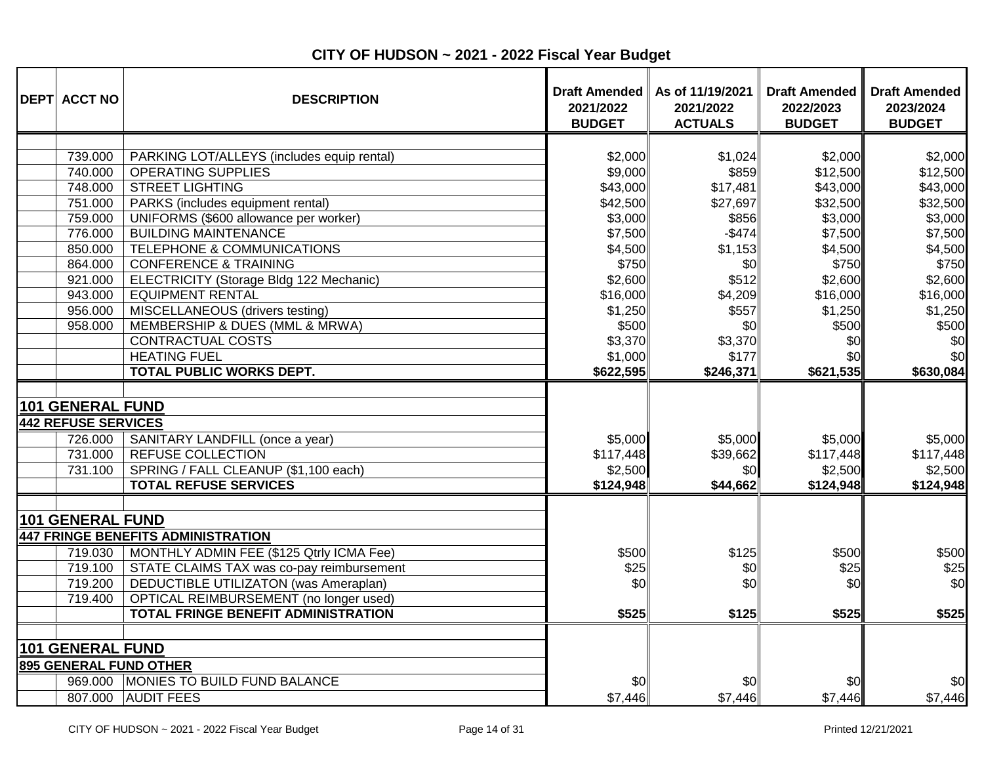| <b>DEPT ACCT NO</b>        | <b>DESCRIPTION</b>                         | <b>Draft Amended</b><br>2021/2022<br><b>BUDGET</b> | As of 11/19/2021<br>2021/2022<br><b>ACTUALS</b> | <b>Draft Amended</b><br>2022/2023<br><b>BUDGET</b> | <b>Draft Amended</b><br>2023/2024<br><b>BUDGET</b> |
|----------------------------|--------------------------------------------|----------------------------------------------------|-------------------------------------------------|----------------------------------------------------|----------------------------------------------------|
|                            |                                            |                                                    |                                                 |                                                    |                                                    |
| 739.000                    | PARKING LOT/ALLEYS (includes equip rental) | \$2,000                                            | \$1,024                                         | \$2,000                                            | \$2,000                                            |
| 740.000                    | <b>OPERATING SUPPLIES</b>                  | \$9,000                                            | \$859                                           | \$12,500                                           | \$12,500                                           |
| 748.000                    | <b>STREET LIGHTING</b>                     | \$43,000                                           | \$17,481                                        | \$43,000                                           | \$43,000                                           |
| 751.000                    | PARKS (includes equipment rental)          | \$42,500                                           | \$27,697                                        | \$32,500                                           | \$32,500                                           |
| 759.000                    | UNIFORMS (\$600 allowance per worker)      | \$3,000                                            | \$856                                           | \$3,000                                            | \$3,000                                            |
| 776.000                    | <b>BUILDING MAINTENANCE</b>                | \$7,500                                            | $-$ \$474                                       | \$7,500                                            | \$7,500                                            |
| 850.000                    | TELEPHONE & COMMUNICATIONS                 | \$4,500                                            | \$1,153                                         | \$4,500                                            | \$4,500                                            |
| 864.000                    | <b>CONFERENCE &amp; TRAINING</b>           | \$750                                              | \$0                                             | \$750                                              | \$750                                              |
| 921.000                    | ELECTRICITY (Storage Bldg 122 Mechanic)    | \$2,600                                            | \$512                                           | \$2,600                                            | \$2,600                                            |
| 943.000                    | <b>EQUIPMENT RENTAL</b>                    | \$16,000                                           | \$4,209                                         | \$16,000                                           | \$16,000                                           |
| 956.000                    | MISCELLANEOUS (drivers testing)            | \$1,250                                            | \$557                                           | \$1,250                                            | \$1,250                                            |
| 958.000                    | MEMBERSHIP & DUES (MML & MRWA)             | \$500                                              | \$0                                             | \$500                                              | \$500                                              |
|                            | CONTRACTUAL COSTS                          | \$3,370                                            | \$3,370                                         | \$0                                                | \$0                                                |
|                            | <b>HEATING FUEL</b>                        | \$1,000                                            | \$177                                           | \$0                                                | \$0                                                |
|                            | <b>TOTAL PUBLIC WORKS DEPT.</b>            | \$622,595                                          | \$246,371                                       | \$621,535                                          | \$630,084                                          |
| <b>101 GENERAL FUND</b>    |                                            |                                                    |                                                 |                                                    |                                                    |
| <b>442 REFUSE SERVICES</b> |                                            |                                                    |                                                 |                                                    |                                                    |
| 726.000                    | SANITARY LANDFILL (once a year)            | \$5,000                                            | \$5,000                                         | \$5,000                                            | \$5,000                                            |
| 731.000                    | <b>REFUSE COLLECTION</b>                   | \$117,448                                          | \$39,662                                        | \$117,448                                          | \$117,448                                          |
| 731.100                    | SPRING / FALL CLEANUP (\$1,100 each)       | \$2,500                                            | \$0                                             | \$2,500                                            | \$2,500                                            |
|                            | <b>TOTAL REFUSE SERVICES</b>               | \$124,948                                          | \$44,662                                        | \$124,948                                          | \$124,948                                          |
|                            |                                            |                                                    |                                                 |                                                    |                                                    |
| <b>101 GENERAL FUND</b>    |                                            |                                                    |                                                 |                                                    |                                                    |
|                            | <b>447 FRINGE BENEFITS ADMINISTRATION</b>  |                                                    |                                                 |                                                    |                                                    |
| 719.030                    | MONTHLY ADMIN FEE (\$125 Qtrly ICMA Fee)   | \$500                                              | \$125                                           | \$500                                              | \$500                                              |
| 719.100                    | STATE CLAIMS TAX was co-pay reimbursement  | \$25                                               | \$0                                             | \$25                                               | \$25                                               |
| 719.200                    | DEDUCTIBLE UTILIZATON (was Ameraplan)      | \$0                                                | \$0                                             | \$0                                                | \$0                                                |
| 719.400                    | OPTICAL REIMBURSEMENT (no longer used)     |                                                    |                                                 |                                                    |                                                    |
|                            | TOTAL FRINGE BENEFIT ADMINISTRATION        | \$525                                              | \$125                                           | \$525                                              | \$525                                              |
| <b>101 GENERAL FUND</b>    |                                            |                                                    |                                                 |                                                    |                                                    |
|                            | 895 GENERAL FUND OTHER                     |                                                    |                                                 |                                                    |                                                    |
| 969.000                    | MONIES TO BUILD FUND BALANCE               | \$0                                                | \$0                                             | \$0                                                | \$0                                                |
|                            | 807.000 AUDIT FEES                         | \$7,446                                            | \$7,446                                         | \$7,446                                            | \$7,446                                            |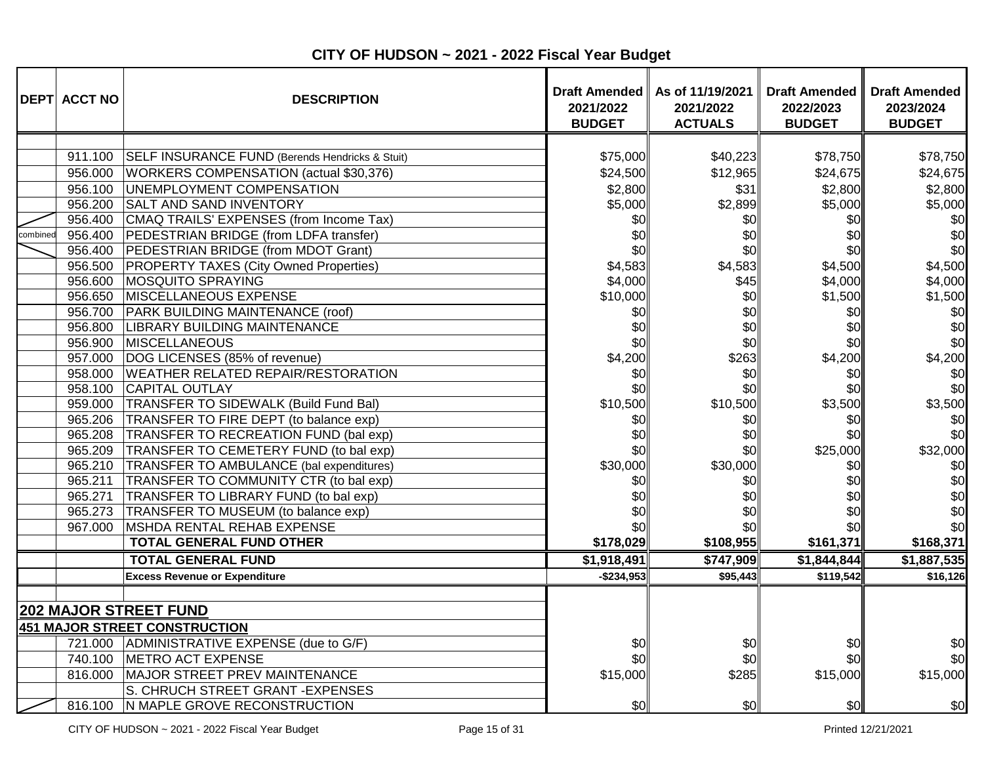|          | <b>DEPT ACCT NO</b> | <b>DESCRIPTION</b>                              | <b>Draft Amended</b><br>2021/2022<br><b>BUDGET</b> | As of 11/19/2021<br>2021/2022<br><b>ACTUALS</b> | Draft Amended II<br>2022/2023<br><b>BUDGET</b> | <b>Draft Amended</b><br>2023/2024<br><b>BUDGET</b> |
|----------|---------------------|-------------------------------------------------|----------------------------------------------------|-------------------------------------------------|------------------------------------------------|----------------------------------------------------|
|          |                     |                                                 |                                                    |                                                 |                                                |                                                    |
|          | 911.100             | SELF INSURANCE FUND (Berends Hendricks & Stuit) | \$75,000                                           | \$40,223                                        | \$78,750                                       | \$78,750                                           |
|          | 956.000             | WORKERS COMPENSATION (actual \$30,376)          | \$24,500                                           | \$12,965                                        | \$24,675                                       | \$24,675                                           |
|          | 956.100             | UNEMPLOYMENT COMPENSATION                       | \$2,800                                            | \$31                                            | \$2,800                                        | \$2,800                                            |
|          | 956.200             | <b>SALT AND SAND INVENTORY</b>                  | \$5,000                                            | \$2,899                                         | \$5,000                                        | \$5,000                                            |
|          | 956.400             | CMAQ TRAILS' EXPENSES (from Income Tax)         | \$0                                                | \$0                                             | \$0                                            | \$0                                                |
| combined | 956.400             | PEDESTRIAN BRIDGE (from LDFA transfer)          | \$0                                                | \$0                                             | \$0                                            | \$0                                                |
|          |                     | 956.400 PEDESTRIAN BRIDGE (from MDOT Grant)     | \$0                                                | \$0                                             | \$0                                            | \$0                                                |
|          |                     | 956.500 PROPERTY TAXES (City Owned Properties)  | \$4,583                                            | \$4,583                                         | \$4,500                                        | \$4,500                                            |
|          | 956.600             | <b>MOSQUITO SPRAYING</b>                        | \$4,000                                            | \$45                                            | \$4,000                                        | \$4,000                                            |
|          | 956.650             | MISCELLANEOUS EXPENSE                           | \$10,000                                           | \$0                                             | \$1,500                                        | \$1,500                                            |
|          | 956.700             | PARK BUILDING MAINTENANCE (roof)                | \$0                                                | \$0                                             | \$0                                            | \$0                                                |
|          | 956.800             | <b>LIBRARY BUILDING MAINTENANCE</b>             | \$0                                                | \$0                                             | \$0                                            | \$0                                                |
|          | 956.900             | <b>MISCELLANEOUS</b>                            | \$0                                                | \$0                                             | \$0                                            | \$0                                                |
|          | 957.000             | DOG LICENSES (85% of revenue)                   | \$4,200                                            | \$263                                           | \$4,200                                        | \$4,200                                            |
|          | 958.000             | <b>WEATHER RELATED REPAIR/RESTORATION</b>       | \$0                                                | \$0                                             | \$0                                            | \$0                                                |
|          | 958.100             | <b>CAPITAL OUTLAY</b>                           | \$0                                                | \$0                                             | \$0                                            | \$0                                                |
|          | 959.000             | <b>TRANSFER TO SIDEWALK (Build Fund Bal)</b>    | \$10,500                                           | \$10,500                                        | \$3,500                                        | \$3,500                                            |
|          | 965.206             | TRANSFER TO FIRE DEPT (to balance exp)          | \$0                                                | \$0                                             | \$0                                            | \$0                                                |
|          | 965.208             | TRANSFER TO RECREATION FUND (bal exp)           | \$0                                                | \$0                                             | \$0                                            | \$0                                                |
|          | 965.209             | TRANSFER TO CEMETERY FUND (to bal exp)          | \$0                                                | \$0                                             | \$25,000                                       | \$32,000                                           |
|          | 965.210             | TRANSFER TO AMBULANCE (bal expenditures)        | \$30,000                                           | \$30,000                                        | \$0                                            | \$0                                                |
|          | 965.211             | TRANSFER TO COMMUNITY CTR (to bal exp)          | \$0                                                | \$0                                             | \$0                                            | \$0                                                |
|          | 965.271             | TRANSFER TO LIBRARY FUND (to bal exp)           | \$0                                                | \$0                                             | \$0                                            | \$0                                                |
|          | 965.273             | TRANSFER TO MUSEUM (to balance exp)             | \$0                                                | \$0                                             | \$0                                            | \$0                                                |
|          | 967.000             | MSHDA RENTAL REHAB EXPENSE                      | \$0                                                | \$0                                             | \$0                                            | \$0                                                |
|          |                     | <b>TOTAL GENERAL FUND OTHER</b>                 | \$178,029                                          | \$108,955                                       | \$161,371                                      | \$168,371                                          |
|          |                     | <b>TOTAL GENERAL FUND</b>                       | \$1,918,491                                        | \$747,909                                       | \$1,844,844                                    | \$1,887,535                                        |
|          |                     | <b>Excess Revenue or Expenditure</b>            | $-$234,953$                                        | \$95,443                                        | \$119,542                                      | \$16,126                                           |
|          |                     |                                                 |                                                    |                                                 |                                                |                                                    |
|          |                     | <b>202 MAJOR STREET FUND</b>                    |                                                    |                                                 |                                                |                                                    |
|          |                     | 451 MAJOR STREET CONSTRUCTION                   |                                                    |                                                 |                                                |                                                    |
|          |                     | 721.000 ADMINISTRATIVE EXPENSE (due to G/F)     | \$0                                                | \$0                                             | \$0                                            | \$0                                                |
|          |                     | 740.100 METRO ACT EXPENSE                       | \$0                                                | \$0                                             | \$0                                            | \$0                                                |
|          | 816.000             | MAJOR STREET PREV MAINTENANCE                   | \$15,000                                           | \$285                                           | \$15,000                                       | \$15,000                                           |
|          |                     | S. CHRUCH STREET GRANT - EXPENSES               |                                                    |                                                 |                                                |                                                    |
|          |                     | 816.100 N MAPLE GROVE RECONSTRUCTION            | \$0                                                | \$0                                             | \$0                                            | \$0                                                |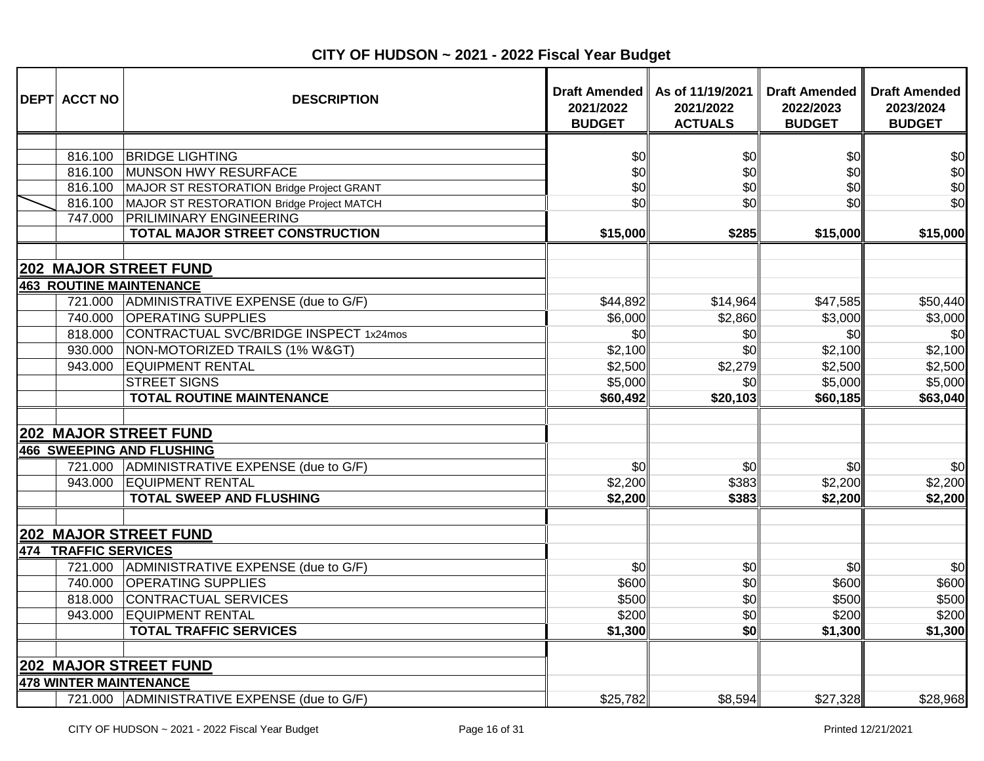| <b>DEPT ACCT NO</b>  | <b>DESCRIPTION</b>                                                       | Draft Amended   <br>2021/2022<br><b>BUDGET</b> | As of 11/19/2021<br>2021/2022<br><b>ACTUALS</b> | <b>Draft Amended</b><br>2022/2023<br><b>BUDGET</b> | <b>Draft Amended</b><br>2023/2024<br><b>BUDGET</b> |
|----------------------|--------------------------------------------------------------------------|------------------------------------------------|-------------------------------------------------|----------------------------------------------------|----------------------------------------------------|
|                      |                                                                          |                                                |                                                 |                                                    |                                                    |
| 816.100              | <b>BRIDGE LIGHTING</b>                                                   | \$0                                            | \$0                                             | \$0                                                | \$0                                                |
| 816.100              | MUNSON HWY RESURFACE                                                     | \$0                                            | \$0                                             | \$0                                                | \$0                                                |
| 816.100              | MAJOR ST RESTORATION Bridge Project GRANT                                | \$0                                            | \$0                                             | \$0                                                | \$0                                                |
| 816.100              | MAJOR ST RESTORATION Bridge Project MATCH                                | \$0                                            | \$0                                             | \$0                                                | \$0                                                |
| 747.000              | <b>PRILIMINARY ENGINEERING</b><br><b>TOTAL MAJOR STREET CONSTRUCTION</b> |                                                |                                                 |                                                    |                                                    |
|                      |                                                                          | \$15,000                                       | \$285                                           | \$15,000                                           | \$15,000                                           |
|                      | <b>202 MAJOR STREET FUND</b>                                             |                                                |                                                 |                                                    |                                                    |
|                      | <b>463 ROUTINE MAINTENANCE</b>                                           |                                                |                                                 |                                                    |                                                    |
| 721.000              | ADMINISTRATIVE EXPENSE (due to G/F)                                      | \$44,892                                       | \$14,964                                        | \$47,585                                           | \$50,440                                           |
| 740.000              | <b>OPERATING SUPPLIES</b>                                                | \$6,000                                        | \$2,860                                         | \$3,000                                            | \$3,000                                            |
| 818.000              | CONTRACTUAL SVC/BRIDGE INSPECT 1x24mos                                   | \$0                                            | \$0                                             | \$0                                                | \$0                                                |
| 930.000              | NON-MOTORIZED TRAILS (1% W>)                                             | \$2,100                                        | \$0                                             | \$2,100                                            | \$2,100                                            |
| 943.000              | <b>EQUIPMENT RENTAL</b>                                                  | \$2,500                                        | \$2,279                                         | \$2,500                                            | \$2,500                                            |
|                      | <b>STREET SIGNS</b>                                                      | \$5,000                                        | \$0                                             | \$5,000                                            | \$5,000                                            |
|                      | <b>TOTAL ROUTINE MAINTENANCE</b>                                         | \$60,492                                       | \$20,103                                        | \$60,185                                           | \$63,040                                           |
|                      |                                                                          |                                                |                                                 |                                                    |                                                    |
|                      | <b>202 MAJOR STREET FUND</b>                                             |                                                |                                                 |                                                    |                                                    |
|                      | <b>466 SWEEPING AND FLUSHING</b>                                         |                                                |                                                 |                                                    |                                                    |
| 721.000              | ADMINISTRATIVE EXPENSE (due to G/F)                                      | \$0                                            | \$0                                             | \$0                                                | \$0                                                |
| 943.000              | <b>EQUIPMENT RENTAL</b>                                                  | \$2,200                                        | \$383                                           | \$2,200                                            | \$2,200                                            |
|                      | <b>TOTAL SWEEP AND FLUSHING</b>                                          | \$2,200                                        | \$383                                           | \$2,200                                            | \$2,200                                            |
|                      | 202 MAJOR STREET FUND                                                    |                                                |                                                 |                                                    |                                                    |
| 474 TRAFFIC SERVICES |                                                                          |                                                |                                                 |                                                    |                                                    |
| 721.000              | ADMINISTRATIVE EXPENSE (due to G/F)                                      | \$0                                            | \$0                                             | \$0                                                | \$0                                                |
| 740.000              | <b>OPERATING SUPPLIES</b>                                                | \$600                                          | \$0                                             | \$600                                              | \$600                                              |
| 818.000              | CONTRACTUAL SERVICES                                                     | \$500                                          | \$0                                             | \$500                                              | \$500                                              |
| 943.000              | <b>EQUIPMENT RENTAL</b>                                                  | \$200                                          | \$0                                             | \$200                                              | \$200                                              |
|                      | <b>TOTAL TRAFFIC SERVICES</b>                                            | \$1,300                                        | \$0                                             | \$1,300                                            | \$1,300                                            |
|                      |                                                                          |                                                |                                                 |                                                    |                                                    |
|                      | <b>202 MAJOR STREET FUND</b>                                             |                                                |                                                 |                                                    |                                                    |
|                      | <b>478 WINTER MAINTENANCE</b>                                            |                                                |                                                 |                                                    |                                                    |
|                      | 721.000 ADMINISTRATIVE EXPENSE (due to G/F)                              | \$25,782                                       | \$8,594                                         | \$27,328                                           | \$28,968                                           |

**CITY OF HUDSON ~ 2021 - 2022 Fiscal Year Budget**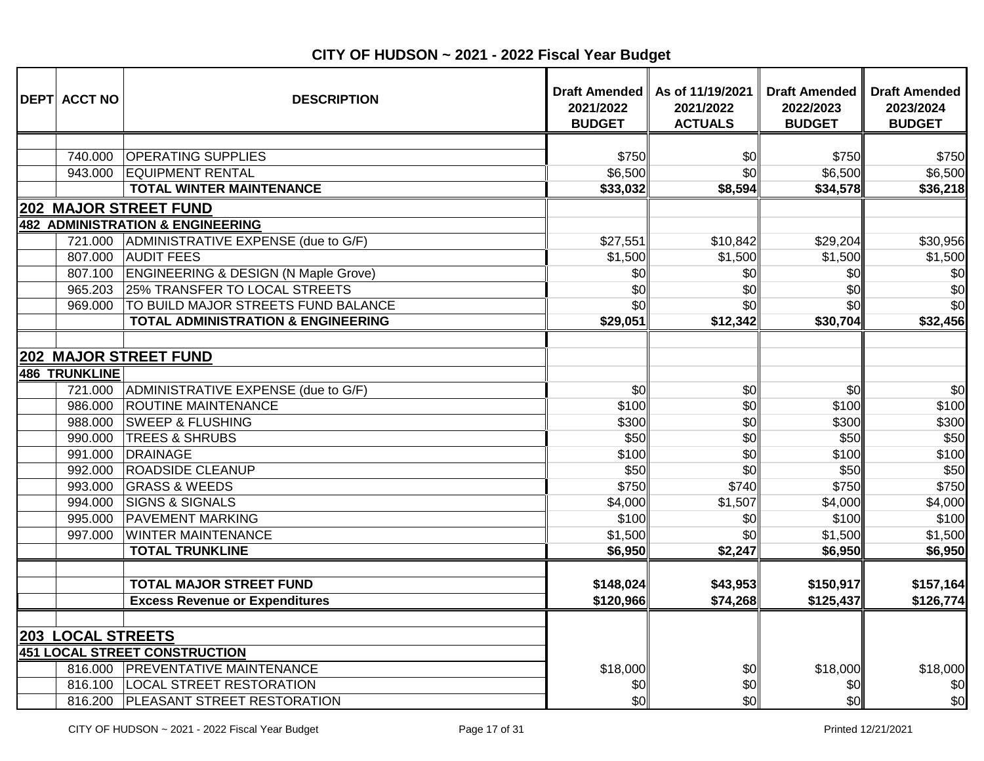| <b>DEPT ACCT NO</b>                 | <b>DESCRIPTION</b>                                               | 2021/2022<br><b>BUDGET</b> | Draft Amended   As of 11/19/2021<br>2021/2022<br><b>ACTUALS</b> | <b>Draft Amended</b><br>2022/2023<br><b>BUDGET</b> | <b>Draft Amended</b><br>2023/2024<br><b>BUDGET</b> |
|-------------------------------------|------------------------------------------------------------------|----------------------------|-----------------------------------------------------------------|----------------------------------------------------|----------------------------------------------------|
|                                     |                                                                  |                            |                                                                 |                                                    |                                                    |
| 740.000                             | <b>OPERATING SUPPLIES</b>                                        | \$750                      | \$0                                                             | \$750                                              | \$750                                              |
| 943.000                             | <b>EQUIPMENT RENTAL</b>                                          | \$6,500                    | \$0                                                             | \$6,500                                            | \$6,500                                            |
|                                     | <b>TOTAL WINTER MAINTENANCE</b>                                  | \$33,032                   | \$8,594                                                         | \$34,578                                           | \$36,218                                           |
|                                     | <b>202 MAJOR STREET FUND</b>                                     |                            |                                                                 |                                                    |                                                    |
|                                     | <b>482 ADMINISTRATION &amp; ENGINEERING</b>                      |                            |                                                                 |                                                    |                                                    |
| 721.000                             | ADMINISTRATIVE EXPENSE (due to G/F)                              | \$27,551                   | \$10,842                                                        | \$29,204                                           | \$30,956                                           |
| 807.000                             | <b>AUDIT FEES</b>                                                | \$1,500                    | \$1,500                                                         | \$1,500                                            | \$1,500                                            |
|                                     | 807.100 ENGINEERING & DESIGN (N Maple Grove)                     | \$0                        | \$0                                                             | \$0                                                | \$0                                                |
| 965.203                             | 25% TRANSFER TO LOCAL STREETS                                    | \$0                        | \$0                                                             | \$0                                                | \$0                                                |
| 969.000                             | TO BUILD MAJOR STREETS FUND BALANCE                              | \$0                        | \$0                                                             | \$0                                                | \$0                                                |
|                                     | <b>TOTAL ADMINISTRATION &amp; ENGINEERING</b>                    | \$29,051                   | \$12,342                                                        | \$30,704                                           | \$32,456                                           |
| <b>486 TRUNKLINE</b>                | <b>202 MAJOR STREET FUND</b>                                     |                            |                                                                 |                                                    |                                                    |
| 721.000                             | ADMINISTRATIVE EXPENSE (due to G/F)                              | \$0                        | \$0                                                             | \$0                                                | \$0                                                |
| 986.000                             | <b>ROUTINE MAINTENANCE</b>                                       | \$100                      | \$0                                                             | \$100                                              | \$100                                              |
| 988.000                             | <b>SWEEP &amp; FLUSHING</b>                                      | \$300                      | \$0                                                             | \$300                                              | \$300                                              |
| 990.000                             | <b>TREES &amp; SHRUBS</b>                                        | \$50                       | \$0                                                             | \$50                                               | \$50                                               |
| 991.000                             | DRAINAGE                                                         | \$100                      | \$0                                                             | \$100                                              | \$100                                              |
| 992.000                             | <b>ROADSIDE CLEANUP</b>                                          | \$50                       | \$0                                                             | \$50                                               | \$50                                               |
| 993.000                             | <b>GRASS &amp; WEEDS</b>                                         | \$750                      | \$740                                                           | \$750                                              | \$750                                              |
| 994.000                             | <b>SIGNS &amp; SIGNALS</b>                                       | \$4,000                    | \$1,507                                                         | \$4,000                                            | \$4,000                                            |
| 995.000                             | <b>PAVEMENT MARKING</b>                                          | \$100                      | \$0                                                             | \$100                                              | \$100                                              |
| 997.000                             | <b>WINTER MAINTENANCE</b>                                        | \$1,500                    | \$0                                                             | \$1,500                                            | \$1,500                                            |
|                                     | <b>TOTAL TRUNKLINE</b>                                           | \$6,950                    | \$2,247                                                         | \$6,950                                            | \$6,950                                            |
|                                     | <b>TOTAL MAJOR STREET FUND</b>                                   | \$148,024                  | \$43,953                                                        | \$150,917                                          | \$157,164                                          |
|                                     | <b>Excess Revenue or Expenditures</b>                            | \$120,966                  | \$74,268                                                        | \$125,437                                          | \$126,774                                          |
| <b>203 LOCAL STREETS</b><br>816.000 | 451 LOCAL STREET CONSTRUCTION<br><b>PREVENTATIVE MAINTENANCE</b> | \$18,000                   | \$0                                                             | \$18,000                                           | \$18,000                                           |
|                                     | 816.100   LOCAL STREET RESTORATION                               | \$0                        | \$0                                                             | \$0                                                | \$0                                                |
|                                     | 816.200 PLEASANT STREET RESTORATION                              | \$0                        | \$ol                                                            | \$0                                                | \$0                                                |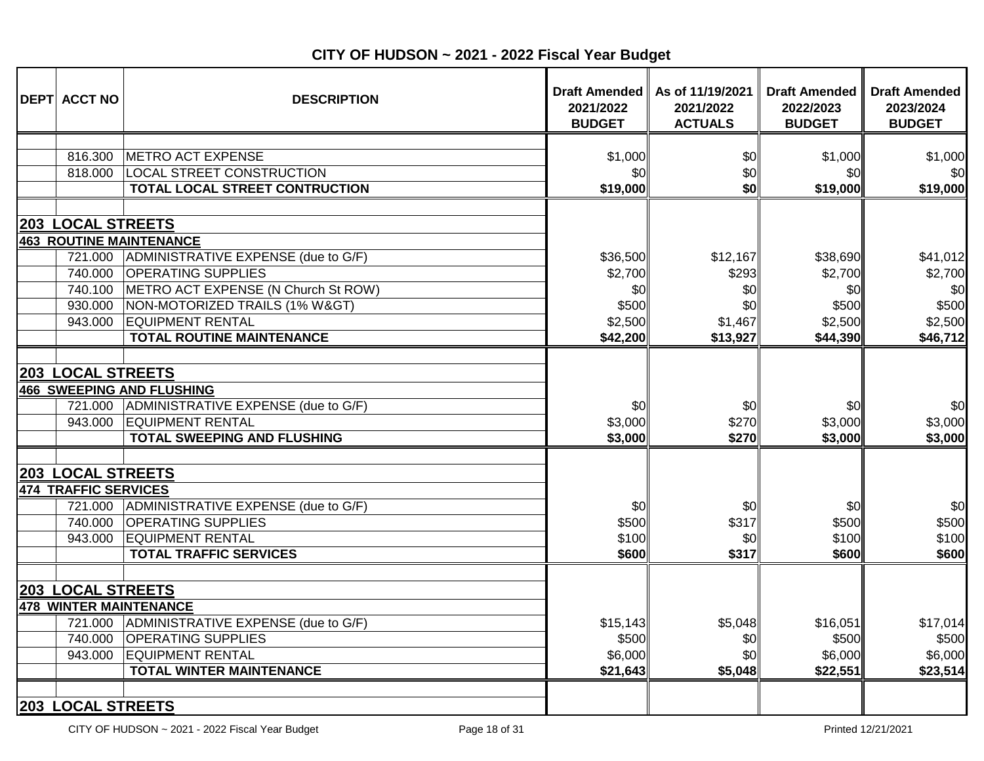| <b>DEPT ACCT NO</b>                                                                                                             | <b>DESCRIPTION</b>                                                                                                                                                                                           | 2021/2022<br><b>BUDGET</b>                | Draft Amended   As of 11/19/2021<br>2021/2022<br><b>ACTUALS</b> | <b>Draft Amended</b><br>2022/2023<br><b>BUDGET</b> | <b>Draft Amended</b><br>2023/2024<br><b>BUDGET</b> |
|---------------------------------------------------------------------------------------------------------------------------------|--------------------------------------------------------------------------------------------------------------------------------------------------------------------------------------------------------------|-------------------------------------------|-----------------------------------------------------------------|----------------------------------------------------|----------------------------------------------------|
|                                                                                                                                 |                                                                                                                                                                                                              |                                           |                                                                 |                                                    |                                                    |
| 816.300                                                                                                                         | <b>METRO ACT EXPENSE</b>                                                                                                                                                                                     | \$1,000                                   | \$0                                                             | \$1,000                                            | \$1,000                                            |
| 818.000                                                                                                                         | <b>LOCAL STREET CONSTRUCTION</b>                                                                                                                                                                             | \$0                                       | \$0<br>\$0                                                      | \$0                                                | \$0                                                |
|                                                                                                                                 | TOTAL LOCAL STREET CONTRUCTION                                                                                                                                                                               | \$19,000                                  |                                                                 | \$19,000                                           | \$19,000                                           |
| <b>203 LOCAL STREETS</b>                                                                                                        |                                                                                                                                                                                                              |                                           |                                                                 |                                                    |                                                    |
|                                                                                                                                 | <b>463 ROUTINE MAINTENANCE</b>                                                                                                                                                                               |                                           |                                                                 |                                                    |                                                    |
| 721.000                                                                                                                         | ADMINISTRATIVE EXPENSE (due to G/F)                                                                                                                                                                          | \$36,500                                  | \$12,167                                                        | \$38,690                                           | \$41,012                                           |
| 740.000                                                                                                                         | <b>OPERATING SUPPLIES</b>                                                                                                                                                                                    | \$2,700                                   | \$293                                                           | \$2,700                                            | \$2,700                                            |
| 740.100                                                                                                                         | METRO ACT EXPENSE (N Church St ROW)                                                                                                                                                                          | \$0                                       | \$0                                                             | \$0                                                | \$0                                                |
| 930.000                                                                                                                         | NON-MOTORIZED TRAILS (1% W>)                                                                                                                                                                                 | \$500                                     | \$0                                                             | \$500                                              | \$500                                              |
| 943.000                                                                                                                         | <b>EQUIPMENT RENTAL</b>                                                                                                                                                                                      | \$2,500                                   | \$1,467                                                         | \$2,500                                            | \$2,500                                            |
|                                                                                                                                 | <b>TOTAL ROUTINE MAINTENANCE</b>                                                                                                                                                                             | \$42,200                                  | \$13,927                                                        | \$44,390                                           | \$46,712                                           |
| <b>203 LOCAL STREETS</b><br>721.000<br>943.000<br><b>203 LOCAL STREETS</b><br><b>474 TRAFFIC SERVICES</b><br>721.000<br>740.000 | <b>466 SWEEPING AND FLUSHING</b><br>ADMINISTRATIVE EXPENSE (due to G/F)<br><b>EQUIPMENT RENTAL</b><br><b>TOTAL SWEEPING AND FLUSHING</b><br>ADMINISTRATIVE EXPENSE (due to G/F)<br><b>OPERATING SUPPLIES</b> | \$0<br>\$3,000<br>\$3,000<br>\$0<br>\$500 | \$0<br>\$270<br>\$270<br>\$0<br>\$317                           | \$0<br>\$3,000<br>\$3,000<br>\$0<br>\$500          | \$0<br>\$3,000<br>\$3,000<br>\$0<br>\$500          |
| 943.000                                                                                                                         | <b>EQUIPMENT RENTAL</b><br><b>TOTAL TRAFFIC SERVICES</b>                                                                                                                                                     | \$100<br>\$600                            | \$0<br>\$317                                                    | \$100<br>\$600                                     | \$100<br>\$600                                     |
| <b>203 LOCAL STREETS</b>                                                                                                        |                                                                                                                                                                                                              |                                           |                                                                 |                                                    |                                                    |
|                                                                                                                                 | <b>478 WINTER MAINTENANCE</b>                                                                                                                                                                                |                                           |                                                                 |                                                    |                                                    |
| 721.000                                                                                                                         | ADMINISTRATIVE EXPENSE (due to G/F)                                                                                                                                                                          | \$15,143                                  | \$5,048                                                         | \$16,051                                           | \$17,014                                           |
| 740.000                                                                                                                         | <b>OPERATING SUPPLIES</b>                                                                                                                                                                                    | \$500                                     | \$0                                                             | \$500                                              | \$500                                              |
| 943.000                                                                                                                         | <b>EQUIPMENT RENTAL</b>                                                                                                                                                                                      | \$6,000                                   | \$0                                                             | \$6,000                                            | \$6,000                                            |
|                                                                                                                                 | <b>TOTAL WINTER MAINTENANCE</b>                                                                                                                                                                              | \$21,643                                  | \$5,048                                                         | \$22,551                                           | \$23,514                                           |
| <b>203 LOCAL STREETS</b>                                                                                                        |                                                                                                                                                                                                              |                                           |                                                                 |                                                    |                                                    |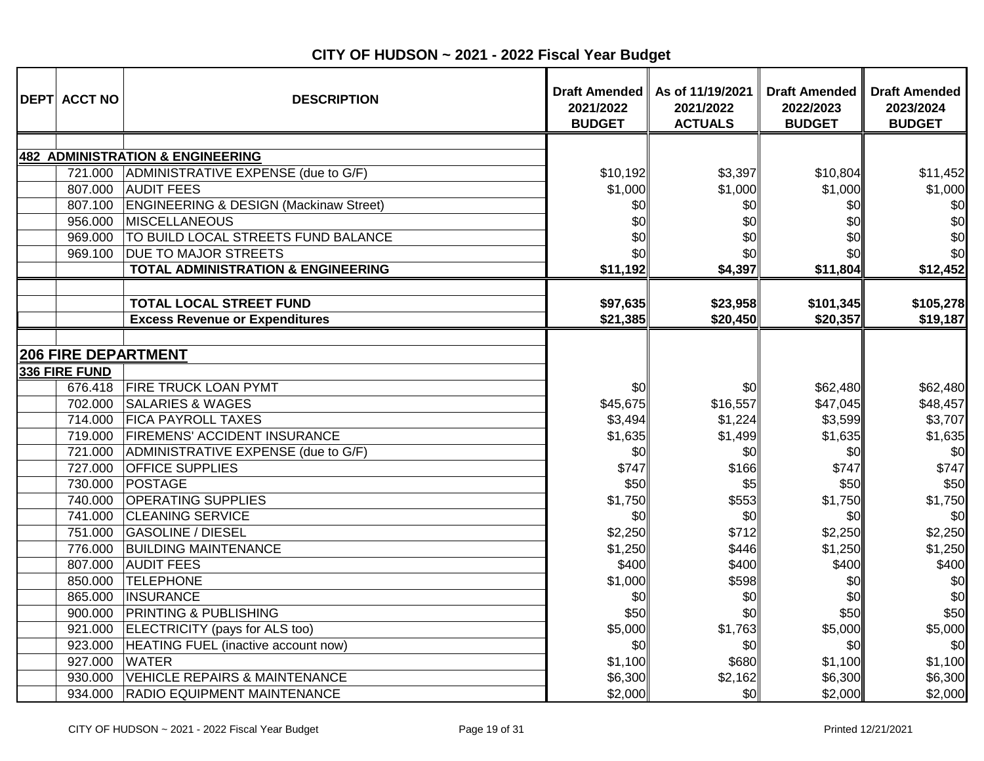| <b>DEPT ACCT NO</b>        | <b>DESCRIPTION</b>                                | <b>Draft Amended</b><br>2021/2022<br><b>BUDGET</b> | As of 11/19/2021<br>2021/2022<br><b>ACTUALS</b> | <b>Draft Amended</b><br>2022/2023<br><b>BUDGET</b> | <b>Draft Amended</b><br>2023/2024<br><b>BUDGET</b> |
|----------------------------|---------------------------------------------------|----------------------------------------------------|-------------------------------------------------|----------------------------------------------------|----------------------------------------------------|
|                            |                                                   |                                                    |                                                 |                                                    |                                                    |
|                            | <b>482 ADMINISTRATION &amp; ENGINEERING</b>       |                                                    |                                                 |                                                    |                                                    |
| 721.000                    | ADMINISTRATIVE EXPENSE (due to G/F)               | \$10,192                                           | \$3,397                                         | \$10,804                                           | \$11,452                                           |
| 807.000                    | <b>AUDIT FEES</b>                                 | \$1,000                                            | \$1,000                                         | \$1,000                                            | \$1,000                                            |
| 807.100                    | <b>ENGINEERING &amp; DESIGN (Mackinaw Street)</b> | \$0                                                | \$0                                             | \$0                                                | \$0                                                |
| 956.000                    | MISCELLANEOUS                                     | \$0                                                | \$0                                             | \$0                                                | \$0                                                |
| 969.000                    | TO BUILD LOCAL STREETS FUND BALANCE               | \$0                                                | \$0                                             | \$0                                                | \$0                                                |
| 969.100                    | <b>DUE TO MAJOR STREETS</b>                       | \$0                                                | \$0                                             | \$0                                                | \$0                                                |
|                            | <b>TOTAL ADMINISTRATION &amp; ENGINEERING</b>     | \$11,192                                           | \$4,397                                         | \$11,804                                           | \$12,452                                           |
|                            | <b>TOTAL LOCAL STREET FUND</b>                    | \$97,635                                           | \$23,958                                        | \$101,345                                          | \$105,278                                          |
|                            | <b>Excess Revenue or Expenditures</b>             | \$21,385                                           | \$20,450                                        | \$20,357                                           | \$19,187                                           |
|                            |                                                   |                                                    |                                                 |                                                    |                                                    |
| <b>206 FIRE DEPARTMENT</b> |                                                   |                                                    |                                                 |                                                    |                                                    |
| 336 FIRE FUND              |                                                   |                                                    |                                                 |                                                    |                                                    |
| 676.418                    | <b>FIRE TRUCK LOAN PYMT</b>                       | \$0                                                | \$0                                             | \$62,480                                           | \$62,480                                           |
| 702.000                    | <b>SALARIES &amp; WAGES</b>                       | \$45,675                                           | \$16,557                                        | \$47,045                                           | \$48,457                                           |
| 714.000                    | <b>FICA PAYROLL TAXES</b>                         | \$3,494                                            | \$1,224                                         | \$3,599                                            | \$3,707                                            |
| 719.000                    | <b>FIREMENS' ACCIDENT INSURANCE</b>               | \$1,635                                            | \$1,499                                         | \$1,635                                            | \$1,635                                            |
| 721.000                    | ADMINISTRATIVE EXPENSE (due to G/F)               | \$0                                                | \$0                                             | \$0                                                | \$0                                                |
| 727.000                    | <b>OFFICE SUPPLIES</b>                            | \$747                                              | \$166                                           | \$747                                              | \$747                                              |
| 730.000                    | POSTAGE                                           | \$50                                               | \$5                                             | \$50                                               | \$50                                               |
| 740.000                    | <b>OPERATING SUPPLIES</b>                         | \$1,750                                            | \$553                                           | \$1,750                                            | \$1,750                                            |
| 741.000                    | <b>CLEANING SERVICE</b>                           | \$0                                                | \$0                                             | \$0                                                | \$0                                                |
| 751.000                    | <b>GASOLINE / DIESEL</b>                          | \$2,250                                            | \$712                                           | \$2,250                                            | \$2,250                                            |
| 776.000                    | <b>BUILDING MAINTENANCE</b>                       | \$1,250                                            | \$446                                           | \$1,250                                            | \$1,250                                            |
| 807.000                    | <b>AUDIT FEES</b>                                 | \$400                                              | \$400                                           | \$400                                              | \$400                                              |
| 850.000                    | <b>TELEPHONE</b>                                  | \$1,000                                            | \$598                                           | \$0                                                | \$0                                                |
| 865.000                    | INSURANCE                                         | \$0                                                | \$0                                             | \$0                                                | \$0                                                |
| 900.000                    | <b>PRINTING &amp; PUBLISHING</b>                  | \$50                                               | \$0                                             | \$50                                               | \$50                                               |
| 921.000                    | ELECTRICITY (pays for ALS too)                    | \$5,000                                            | \$1,763                                         | \$5,000                                            | \$5,000                                            |
| 923.000                    | HEATING FUEL (inactive account now)               | \$0                                                | \$0                                             | \$0                                                | \$0                                                |
| 927.000                    | <b>WATER</b>                                      | \$1,100                                            | \$680                                           | \$1,100                                            | \$1,100                                            |
| 930.000                    | <b>VEHICLE REPAIRS &amp; MAINTENANCE</b>          | \$6,300                                            | \$2,162                                         | \$6,300                                            | \$6,300                                            |
| 934.000                    | <b>RADIO EQUIPMENT MAINTENANCE</b>                | \$2,000                                            | \$0                                             | \$2,000                                            | \$2,000                                            |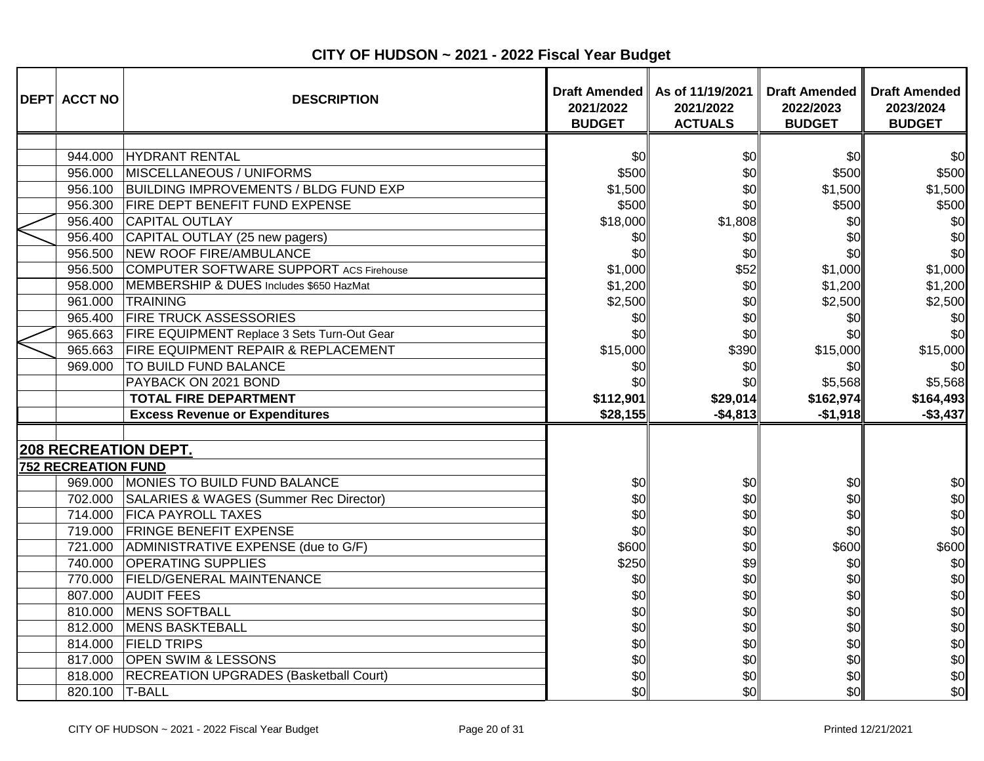| <b>DEPT ACCT NO</b>        | <b>DESCRIPTION</b>                             | <b>Draft Amended</b><br>2021/2022<br><b>BUDGET</b> | As of 11/19/2021<br>2021/2022<br><b>ACTUALS</b> | <b>Draft Amended</b><br>2022/2023<br><b>BUDGET</b> | <b>Draft Amended</b><br>2023/2024<br><b>BUDGET</b> |
|----------------------------|------------------------------------------------|----------------------------------------------------|-------------------------------------------------|----------------------------------------------------|----------------------------------------------------|
|                            |                                                |                                                    |                                                 |                                                    |                                                    |
| 944.000                    | HYDRANT RENTAL                                 | \$0                                                | \$0                                             | \$0                                                | \$0                                                |
| 956.000                    | MISCELLANEOUS / UNIFORMS                       | \$500                                              | \$0                                             | \$500                                              | \$500                                              |
| 956.100                    | <b>BUILDING IMPROVEMENTS / BLDG FUND EXP</b>   | \$1,500                                            | \$0                                             | \$1,500                                            | \$1,500                                            |
| 956.300                    | <b>FIRE DEPT BENEFIT FUND EXPENSE</b>          | \$500                                              | \$0                                             | \$500                                              | \$500                                              |
| 956.400                    | <b>CAPITAL OUTLAY</b>                          | \$18,000                                           | \$1,808                                         | \$0                                                | \$0                                                |
| 956.400                    | CAPITAL OUTLAY (25 new pagers)                 | \$0                                                | \$0                                             | \$0                                                | \$0                                                |
| 956.500                    | NEW ROOF FIRE/AMBULANCE                        | \$0                                                | \$0                                             | \$0                                                | \$0                                                |
| 956.500                    | COMPUTER SOFTWARE SUPPORT ACS Firehouse        | \$1,000                                            | \$52                                            | \$1,000                                            | \$1,000                                            |
| 958.000                    | MEMBERSHIP & DUES Includes \$650 HazMat        | \$1,200                                            | \$0                                             | \$1,200                                            | \$1,200                                            |
| 961.000                    | <b>TRAINING</b>                                | \$2,500                                            | \$0                                             | \$2,500                                            | \$2,500                                            |
| 965.400                    | <b>FIRE TRUCK ASSESSORIES</b>                  | \$0                                                | \$0                                             | \$0                                                | \$0                                                |
| 965.663                    | FIRE EQUIPMENT Replace 3 Sets Turn-Out Gear    | \$0                                                | \$0                                             | \$0                                                | \$0                                                |
| 965.663                    | <b>FIRE EQUIPMENT REPAIR &amp; REPLACEMENT</b> | \$15,000                                           | \$390                                           | \$15,000                                           | \$15,000                                           |
| 969.000                    | <b>TO BUILD FUND BALANCE</b>                   | \$0                                                | \$0                                             | \$0                                                | \$0                                                |
|                            | PAYBACK ON 2021 BOND                           | \$0                                                | \$0                                             | \$5,568                                            | \$5,568                                            |
|                            | <b>TOTAL FIRE DEPARTMENT</b>                   | \$112,901                                          | \$29,014                                        | \$162,974                                          | \$164,493                                          |
|                            | <b>Excess Revenue or Expenditures</b>          | \$28,155                                           | $-$4,813$                                       | $-$1,918$                                          | $-$3,437$                                          |
|                            |                                                |                                                    |                                                 |                                                    |                                                    |
|                            | <b>208 RECREATION DEPT.</b>                    |                                                    |                                                 |                                                    |                                                    |
| <b>752 RECREATION FUND</b> |                                                |                                                    |                                                 |                                                    |                                                    |
|                            | 969.000 MONIES TO BUILD FUND BALANCE           | \$0                                                | \$0                                             | \$0                                                | \$0                                                |
|                            | 702.000 SALARIES & WAGES (Summer Rec Director) | \$0                                                | \$0                                             | \$0                                                | \$0                                                |
| 714.000                    | <b>FICA PAYROLL TAXES</b>                      | \$0                                                | \$0                                             | \$0                                                | \$0                                                |
| 719.000                    | <b>FRINGE BENEFIT EXPENSE</b>                  | \$0                                                | \$0                                             | \$0                                                | \$0                                                |
| 721.000                    | ADMINISTRATIVE EXPENSE (due to G/F)            | \$600                                              | \$0                                             | \$600                                              | \$600                                              |
| 740.000                    | <b>OPERATING SUPPLIES</b>                      | \$250                                              | \$9                                             | \$0                                                | \$0                                                |
| 770.000                    | <b>FIELD/GENERAL MAINTENANCE</b>               | \$0                                                | \$0                                             | \$0                                                | \$0                                                |
| 807.000                    | <b>AUDIT FEES</b>                              | \$0                                                | \$0                                             | \$0                                                | \$0                                                |
| 810.000                    | MENS SOFTBALL                                  | \$0                                                | \$0                                             | \$0                                                | \$0                                                |
| 812.000                    | <b>MENS BASKTEBALL</b>                         | \$0                                                | \$0                                             | \$0                                                | \$0                                                |
| 814.000                    | <b>FIELD TRIPS</b>                             | \$0                                                | \$0                                             | \$0                                                | \$0                                                |
| 817.000                    | <b>OPEN SWIM &amp; LESSONS</b>                 | \$0                                                | \$0                                             | \$0                                                | \$0                                                |
| 818.000                    | <b>RECREATION UPGRADES (Basketball Court)</b>  | \$0                                                | \$0                                             | \$0                                                | \$0                                                |
| 820.100                    | <b>T-BALL</b>                                  | \$0                                                | \$0                                             | \$0                                                | \$0                                                |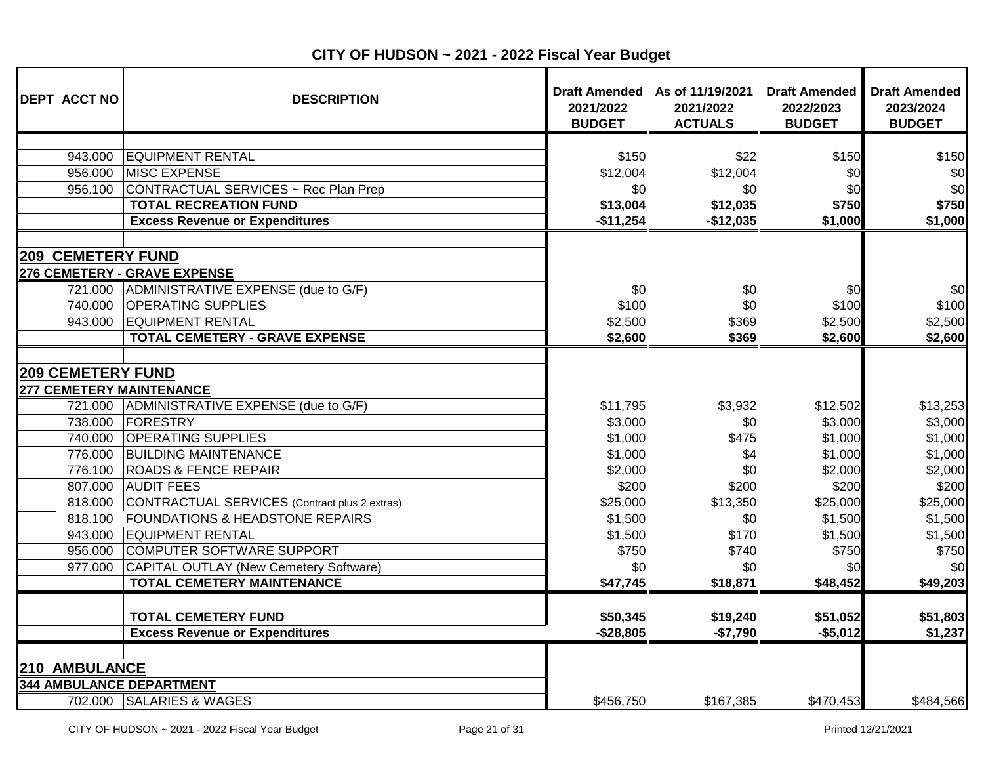| <b>DEPT ACCT NO</b>                              | <b>DESCRIPTION</b>                            | 2021/2022<br><b>BUDGET</b> | Draft Amended   As of 11/19/2021<br>2021/2022<br><b>ACTUALS</b> | <b>Draft Amended</b><br>2022/2023<br><b>BUDGET</b> | <b>Draft Amended</b><br>2023/2024<br><b>BUDGET</b> |
|--------------------------------------------------|-----------------------------------------------|----------------------------|-----------------------------------------------------------------|----------------------------------------------------|----------------------------------------------------|
|                                                  |                                               |                            |                                                                 |                                                    |                                                    |
| 943.000                                          | <b>EQUIPMENT RENTAL</b>                       | \$150                      | \$22                                                            | \$150                                              | \$150                                              |
| 956.000                                          | MISC EXPENSE                                  | \$12,004                   | \$12,004                                                        | \$0                                                | \$0                                                |
| 956.100                                          | CONTRACTUAL SERVICES ~ Rec Plan Prep          | \$0                        | \$0                                                             | \$0                                                | \$0                                                |
|                                                  | <b>TOTAL RECREATION FUND</b>                  | \$13,004                   | \$12,035                                                        | \$750                                              | \$750                                              |
|                                                  | <b>Excess Revenue or Expenditures</b>         | $-$11,254$                 | $-$12,035$                                                      | \$1,000                                            | \$1,000                                            |
|                                                  |                                               |                            |                                                                 |                                                    |                                                    |
| <b>209 CEMETERY FUND</b>                         | 276 CEMETERY - GRAVE EXPENSE                  |                            |                                                                 |                                                    |                                                    |
| 721.000                                          | ADMINISTRATIVE EXPENSE (due to G/F)           | \$0                        | \$0                                                             | \$0                                                | \$0                                                |
| 740.000                                          | <b>OPERATING SUPPLIES</b>                     | \$100                      | \$0                                                             | \$100                                              | \$100                                              |
| 943.000                                          | <b>EQUIPMENT RENTAL</b>                       | \$2,500                    | \$369                                                           | \$2,500                                            | \$2,500                                            |
|                                                  | <b>TOTAL CEMETERY - GRAVE EXPENSE</b>         | \$2,600                    | \$369                                                           | \$2,600                                            | \$2,600                                            |
|                                                  |                                               |                            |                                                                 |                                                    |                                                    |
| <b>209 CEMETERY FUND</b>                         |                                               |                            |                                                                 |                                                    |                                                    |
| <b>277 CEMETERY MAINTENANCE</b>                  |                                               |                            |                                                                 |                                                    |                                                    |
| 721.000                                          | ADMINISTRATIVE EXPENSE (due to G/F)           | \$11,795                   | \$3,932                                                         | \$12,502                                           | \$13,253                                           |
| 738.000                                          | FORESTRY                                      | \$3,000                    | \$0                                                             | \$3,000                                            | \$3,000                                            |
| 740.000                                          | <b>OPERATING SUPPLIES</b>                     | \$1,000                    | \$475                                                           | \$1,000                                            | \$1,000                                            |
| 776.000                                          | <b>BUILDING MAINTENANCE</b>                   | \$1,000                    | \$4                                                             | \$1,000                                            | \$1,000                                            |
|                                                  | 776.100 ROADS & FENCE REPAIR                  | \$2,000                    | \$0                                                             | \$2,000                                            | \$2,000                                            |
|                                                  | 807.000 AUDIT FEES                            | \$200                      | \$200                                                           | \$200                                              | \$200                                              |
| 818.000                                          | CONTRACTUAL SERVICES (Contract plus 2 extras) | \$25,000                   | \$13,350                                                        | \$25,000                                           | \$25,000                                           |
| 818.100                                          | <b>FOUNDATIONS &amp; HEADSTONE REPAIRS</b>    | \$1,500                    | \$0                                                             | \$1,500                                            | \$1,500                                            |
| 943.000                                          | <b>EQUIPMENT RENTAL</b>                       | \$1,500                    | \$170                                                           | \$1,500                                            | \$1,500                                            |
| 956.000                                          | COMPUTER SOFTWARE SUPPORT                     | \$750                      | \$740                                                           | \$750                                              | \$750                                              |
| 977.000                                          | CAPITAL OUTLAY (New Cemetery Software)        | \$0                        | \$0                                                             | \$0l                                               | \$0                                                |
|                                                  | <b>TOTAL CEMETERY MAINTENANCE</b>             | \$47,745                   | \$18,871                                                        | \$48,452                                           | \$49,203                                           |
|                                                  |                                               |                            |                                                                 |                                                    |                                                    |
|                                                  | <b>TOTAL CEMETERY FUND</b>                    | \$50,345                   | \$19,240                                                        | \$51,052                                           | \$51,803                                           |
|                                                  | <b>Excess Revenue or Expenditures</b>         | $-$28,805$                 | $-$7,790$                                                       | $-$5,012$                                          | \$1,237                                            |
|                                                  |                                               |                            |                                                                 |                                                    |                                                    |
| 210 AMBULANCE<br><b>344 AMBULANCE DEPARTMENT</b> |                                               |                            |                                                                 |                                                    |                                                    |
|                                                  | 702.000 SALARIES & WAGES                      | \$456,750                  | \$167,385                                                       | \$470,453                                          | \$484,566                                          |
|                                                  |                                               |                            |                                                                 |                                                    |                                                    |

**CITY OF HUDSON ~ 2021 - 2022 Fiscal Year Budget**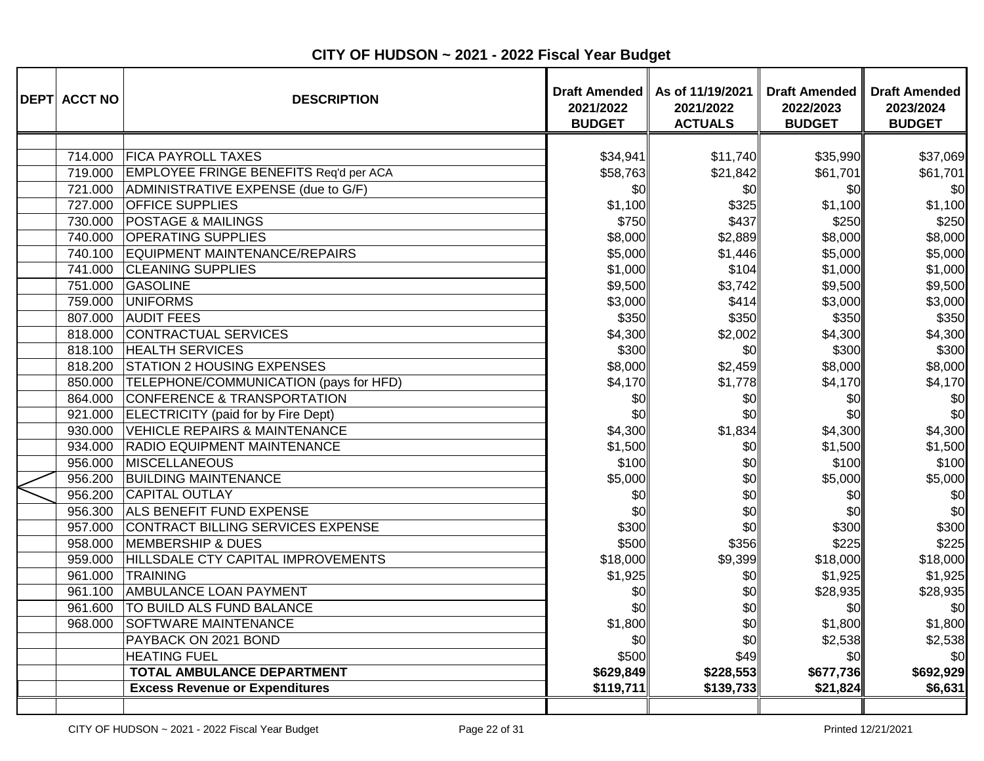| <b>DEPT ACCT NO</b> | <b>DESCRIPTION</b>                       | 2021/2022<br><b>BUDGET</b> | Draft Amended   As of 11/19/2021<br>2021/2022<br><b>ACTUALS</b> | <b>Draft Amended</b><br>2022/2023<br><b>BUDGET</b> | <b>Draft Amended</b><br>2023/2024<br><b>BUDGET</b> |
|---------------------|------------------------------------------|----------------------------|-----------------------------------------------------------------|----------------------------------------------------|----------------------------------------------------|
|                     |                                          |                            |                                                                 |                                                    |                                                    |
| 714.000             | <b>FICA PAYROLL TAXES</b>                | \$34,941                   | \$11,740                                                        | \$35,990                                           | \$37,069                                           |
| 719.000             | EMPLOYEE FRINGE BENEFITS Req'd per ACA   | \$58,763                   | \$21,842                                                        | \$61,701                                           | \$61,701                                           |
| 721.000             | ADMINISTRATIVE EXPENSE (due to G/F)      | \$0                        | \$0                                                             | \$0                                                | \$0                                                |
| 727.000             | <b>OFFICE SUPPLIES</b>                   | \$1,100                    | \$325                                                           | \$1,100                                            | \$1,100                                            |
| 730.000             | <b>POSTAGE &amp; MAILINGS</b>            | \$750                      | \$437                                                           | \$250                                              | \$250                                              |
| 740.000             | <b>OPERATING SUPPLIES</b>                | \$8,000                    | \$2,889                                                         | \$8,000                                            | \$8,000                                            |
| 740.100             | EQUIPMENT MAINTENANCE/REPAIRS            | \$5,000                    | \$1,446                                                         | \$5,000                                            | \$5,000                                            |
| 741.000             | <b>CLEANING SUPPLIES</b>                 | \$1,000                    | \$104                                                           | \$1,000                                            | \$1,000                                            |
| 751.000             | GASOLINE                                 | \$9,500                    | \$3,742                                                         | \$9,500                                            | \$9,500                                            |
| 759.000             | <b>UNIFORMS</b>                          | \$3,000                    | \$414                                                           | \$3,000                                            | \$3,000                                            |
| 807.000             | <b>AUDIT FEES</b>                        | \$350                      | \$350                                                           | \$350                                              | \$350                                              |
| 818.000             | CONTRACTUAL SERVICES                     | \$4,300                    | \$2,002                                                         | \$4,300                                            | \$4,300                                            |
| 818.100             | <b>HEALTH SERVICES</b>                   | \$300                      | \$0                                                             | \$300                                              | \$300                                              |
| 818.200             | <b>STATION 2 HOUSING EXPENSES</b>        | \$8,000                    | \$2,459                                                         | \$8,000                                            | \$8,000                                            |
| 850.000             | TELEPHONE/COMMUNICATION (pays for HFD)   | \$4,170                    | \$1,778                                                         | \$4,170                                            | \$4,170                                            |
| 864.000             | CONFERENCE & TRANSPORTATION              | \$0                        | \$0                                                             | \$0                                                | \$0                                                |
| 921.000             | ELECTRICITY (paid for by Fire Dept)      | \$0                        | \$0                                                             | \$0                                                | \$0                                                |
| 930.000             | <b>VEHICLE REPAIRS &amp; MAINTENANCE</b> | \$4,300                    | \$1,834                                                         | \$4,300                                            | \$4,300                                            |
| 934.000             | <b>RADIO EQUIPMENT MAINTENANCE</b>       | \$1,500                    | \$0                                                             | \$1,500                                            | \$1,500                                            |
| 956.000             | MISCELLANEOUS                            | \$100                      | \$0                                                             | \$100                                              | \$100                                              |
| 956.200             | <b>BUILDING MAINTENANCE</b>              | \$5,000                    | \$0                                                             | \$5,000                                            | \$5,000                                            |
| 956.200             | <b>CAPITAL OUTLAY</b>                    | \$0                        | \$0                                                             | \$0                                                | \$0                                                |
| 956.300             | ALS BENEFIT FUND EXPENSE                 | \$0                        | \$0                                                             | \$0                                                | \$0                                                |
| 957.000             | CONTRACT BILLING SERVICES EXPENSE        | \$300                      | \$0                                                             | \$300                                              | \$300                                              |
| 958.000             | <b>MEMBERSHIP &amp; DUES</b>             | \$500                      | \$356                                                           | \$225                                              | \$225                                              |
| 959.000             | HILLSDALE CTY CAPITAL IMPROVEMENTS       | \$18,000                   | \$9,399                                                         | \$18,000                                           | \$18,000                                           |
| 961.000             | TRAINING                                 | \$1,925                    | \$0                                                             | \$1,925                                            | \$1,925                                            |
| 961.100             | AMBULANCE LOAN PAYMENT                   | \$0                        | \$0                                                             | \$28,935                                           | \$28,935                                           |
| 961.600             | TO BUILD ALS FUND BALANCE                | \$0                        | \$0                                                             | \$0                                                | \$0                                                |
| 968.000             | <b>SOFTWARE MAINTENANCE</b>              | \$1,800                    | \$0                                                             | \$1,800                                            | \$1,800                                            |
|                     | PAYBACK ON 2021 BOND                     | \$0                        | \$0                                                             | \$2,538                                            | \$2,538                                            |
|                     | <b>HEATING FUEL</b>                      | \$500                      | \$49                                                            | \$0                                                | \$0                                                |
|                     | <b>TOTAL AMBULANCE DEPARTMENT</b>        | \$629,849                  | \$228,553                                                       | \$677,736                                          | \$692,929                                          |
|                     | <b>Excess Revenue or Expenditures</b>    | \$119,711                  | \$139,733                                                       | \$21,824                                           | \$6,631                                            |
|                     |                                          |                            |                                                                 |                                                    |                                                    |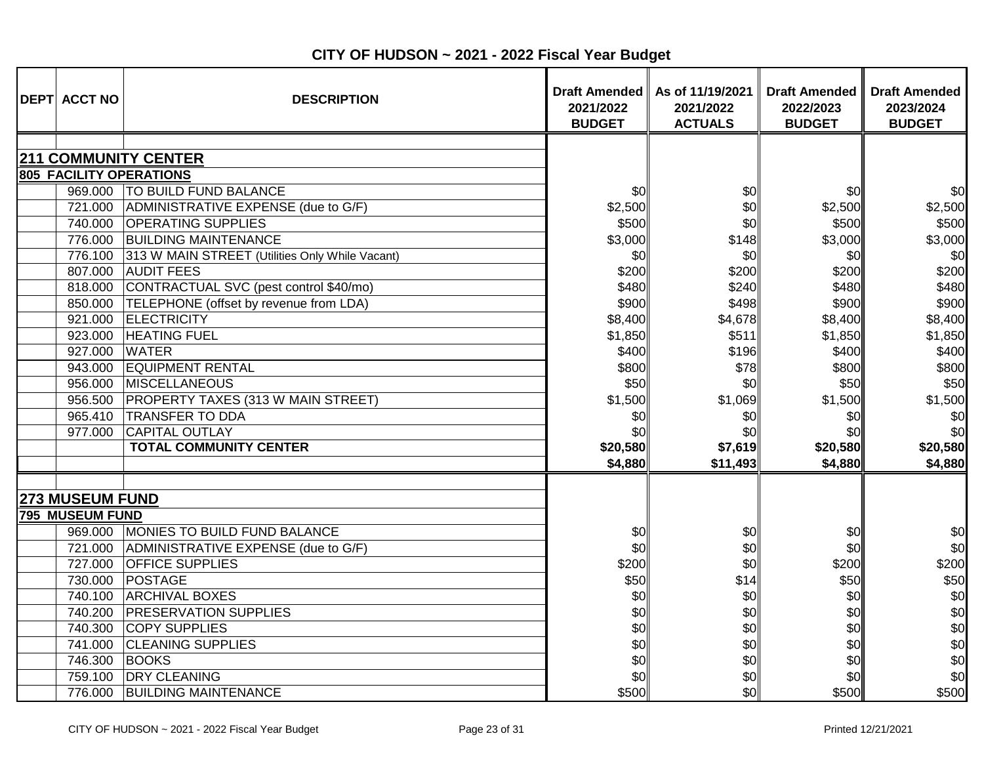| <b>DEPT ACCT NO</b>         | <b>DESCRIPTION</b>                              | 2021/2022<br><b>BUDGET</b> | Draft Amended   As of 11/19/2021<br>2021/2022<br><b>ACTUALS</b> | <b>Draft Amended</b><br>2022/2023<br><b>BUDGET</b> | <b>Draft Amended</b><br>2023/2024<br><b>BUDGET</b> |
|-----------------------------|-------------------------------------------------|----------------------------|-----------------------------------------------------------------|----------------------------------------------------|----------------------------------------------------|
|                             |                                                 |                            |                                                                 |                                                    |                                                    |
| <b>211 COMMUNITY CENTER</b> |                                                 |                            |                                                                 |                                                    |                                                    |
| 805 FACILITY OPERATIONS     |                                                 |                            |                                                                 |                                                    |                                                    |
| 969.000                     | <b>TO BUILD FUND BALANCE</b>                    | <b>SOI</b>                 | \$0                                                             | \$0                                                | \$0                                                |
| 721.000                     | ADMINISTRATIVE EXPENSE (due to G/F)             | \$2,500                    | \$0                                                             | \$2,500                                            | \$2,500                                            |
| 740.000                     | <b>OPERATING SUPPLIES</b>                       | \$500                      | \$0                                                             | \$500                                              | \$500                                              |
| 776.000                     | <b>BUILDING MAINTENANCE</b>                     | \$3,000                    | \$148                                                           | \$3,000                                            | \$3,000                                            |
| 776.100                     | 313 W MAIN STREET (Utilities Only While Vacant) | \$0                        | \$0                                                             | \$0                                                | \$0                                                |
| 807.000                     | <b>AUDIT FEES</b>                               | \$200                      | \$200                                                           | \$200                                              | \$200                                              |
| 818.000                     | CONTRACTUAL SVC (pest control \$40/mo)          | \$480                      | \$240                                                           | \$480                                              | \$480                                              |
| 850.000                     | TELEPHONE (offset by revenue from LDA)          | \$900                      | \$498                                                           | \$900                                              | \$900                                              |
| 921.000                     | <b>ELECTRICITY</b>                              | \$8,400                    | \$4,678                                                         | \$8,400                                            | \$8,400                                            |
| 923.000                     | <b>HEATING FUEL</b>                             | \$1,850                    | \$511                                                           | \$1,850                                            | \$1,850                                            |
| 927.000                     | <b>WATER</b>                                    | \$400                      | \$196                                                           | \$400                                              | \$400                                              |
| 943.000                     | <b>EQUIPMENT RENTAL</b>                         | \$800                      | \$78                                                            | \$800                                              | \$800                                              |
| 956.000                     | <b>MISCELLANEOUS</b>                            | \$50                       | \$0                                                             | \$50                                               | \$50                                               |
| 956.500                     | PROPERTY TAXES (313 W MAIN STREET)              | \$1,500                    | \$1,069                                                         | \$1,500                                            | \$1,500                                            |
| 965.410                     | <b>TRANSFER TO DDA</b>                          | \$0                        | \$0                                                             | \$0                                                | \$0                                                |
| 977.000                     | <b>CAPITAL OUTLAY</b>                           | \$0                        | \$0                                                             | \$0                                                | \$0                                                |
|                             | <b>TOTAL COMMUNITY CENTER</b>                   | \$20,580                   | \$7,619                                                         | \$20,580                                           | \$20,580                                           |
|                             |                                                 | \$4,880                    | \$11,493                                                        | \$4,880                                            | \$4,880                                            |
|                             |                                                 |                            |                                                                 |                                                    |                                                    |
| <b>273 MUSEUM FUND</b>      |                                                 |                            |                                                                 |                                                    |                                                    |
| <b>795 MUSEUM FUND</b>      |                                                 |                            |                                                                 |                                                    |                                                    |
| 969.000                     | MONIES TO BUILD FUND BALANCE                    | \$0                        | \$0                                                             | \$0                                                | \$0                                                |
| 721.000                     | ADMINISTRATIVE EXPENSE (due to G/F)             | \$0                        | \$0                                                             | \$0                                                | \$0                                                |
| 727.000                     | <b>OFFICE SUPPLIES</b>                          | \$200                      | \$0                                                             | \$200                                              | \$200                                              |
| 730.000                     | POSTAGE                                         | \$50                       | \$14                                                            | \$50                                               | \$50                                               |
| 740.100                     | <b>ARCHIVAL BOXES</b>                           | \$0                        | \$0                                                             | \$0                                                | \$0                                                |
| 740.200                     | <b>PRESERVATION SUPPLIES</b>                    | \$0                        | \$0                                                             | \$0                                                | \$0                                                |
| 740.300                     | <b>COPY SUPPLIES</b>                            | \$0                        | \$0                                                             | \$0                                                | \$0                                                |
| 741.000                     | <b>CLEANING SUPPLIES</b>                        | \$0                        | \$0                                                             | \$0                                                | \$0                                                |
| 746.300                     | <b>BOOKS</b>                                    | \$0                        | \$0                                                             | \$0                                                | \$0                                                |
| 759.100                     | <b>DRY CLEANING</b>                             | \$0                        | \$0                                                             | \$0                                                | \$0                                                |
| 776.000                     | <b>BUILDING MAINTENANCE</b>                     | \$500                      | \$0                                                             | \$500                                              | \$500                                              |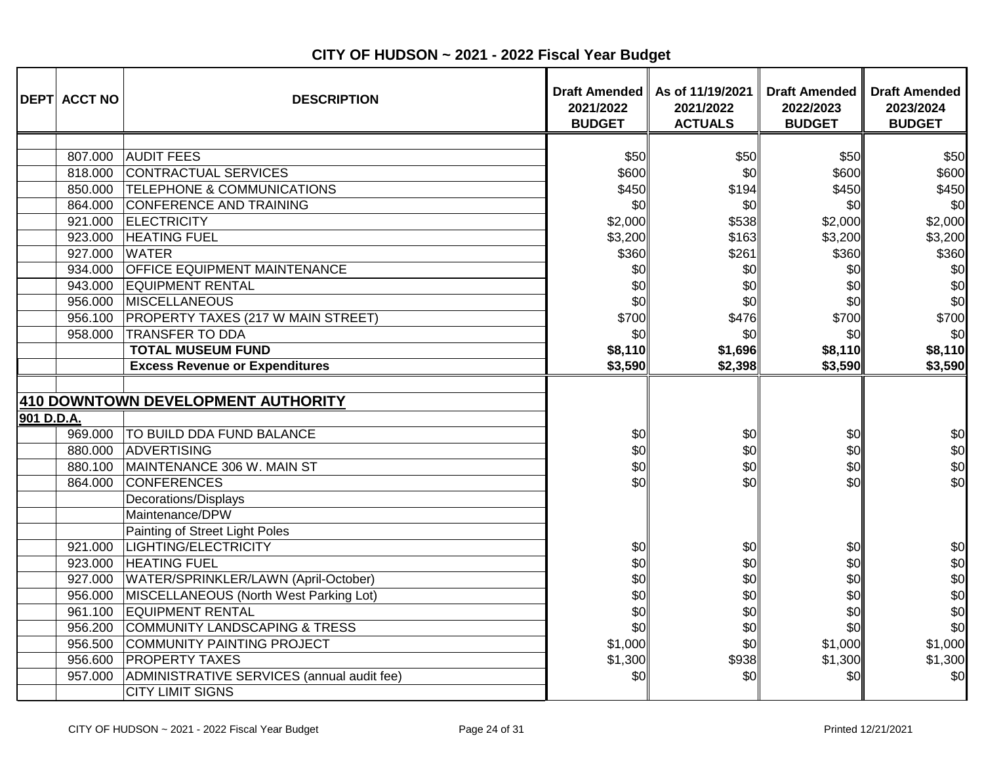| <b>DEPT ACCT NO</b>                                 | <b>DESCRIPTION</b>                                                                                                                                 | 2021/2022<br><b>BUDGET</b>                | Draft Amended   As of 11/19/2021  <br>2021/2022<br><b>ACTUALS</b> | <b>Draft Amended</b><br>2022/2023<br><b>BUDGET</b> | <b>Draft Amended</b><br>2023/2024<br><b>BUDGET</b> |
|-----------------------------------------------------|----------------------------------------------------------------------------------------------------------------------------------------------------|-------------------------------------------|-------------------------------------------------------------------|----------------------------------------------------|----------------------------------------------------|
| 807.000<br>818.000<br>850.000<br>864.000            | <b>AUDIT FEES</b><br>CONTRACTUAL SERVICES<br><b>TELEPHONE &amp; COMMUNICATIONS</b><br>CONFERENCE AND TRAINING                                      | \$50<br>\$600<br>\$450<br>\$0             | \$50<br>\$0<br>\$194<br>\$0                                       | \$50<br>\$600<br>\$450<br>\$0                      | \$50<br>\$600<br>\$450<br>\$0                      |
| 921.000<br>923.000<br>927.000<br>934.000<br>943.000 | <b>ELECTRICITY</b><br><b>HEATING FUEL</b><br><b>WATER</b><br><b>OFFICE EQUIPMENT MAINTENANCE</b><br><b>EQUIPMENT RENTAL</b>                        | \$2,000<br>\$3,200<br>\$360<br>\$0<br>\$0 | \$538<br>\$163<br>\$261<br>\$0<br>\$0                             | \$2,000<br>\$3,200<br>\$360<br>\$0<br>\$0          | \$2,000<br>\$3,200<br>\$360<br>\$0<br>\$0          |
| 956.000<br>956.100<br>958.000                       | MISCELLANEOUS<br>PROPERTY TAXES (217 W MAIN STREET)<br><b>TRANSFER TO DDA</b><br><b>TOTAL MUSEUM FUND</b><br><b>Excess Revenue or Expenditures</b> | \$0<br>\$700<br>\$0<br>\$8,110<br>\$3,590 | \$0<br>\$476<br>\$0<br>\$1,696<br>\$2,398                         | \$0<br>\$700<br>\$0<br>\$8,110<br>\$3,590          | \$0<br>\$700<br>\$0<br>\$8,110<br>\$3,590          |
| 901 D.D.A.                                          | 410 DOWNTOWN DEVELOPMENT AUTHORITY                                                                                                                 |                                           |                                                                   |                                                    |                                                    |
| 969.000<br>880.000<br>880.100<br>864.000            | <b>TO BUILD DDA FUND BALANCE</b><br>ADVERTISING<br>MAINTENANCE 306 W. MAIN ST<br><b>CONFERENCES</b><br>Decorations/Displays                        | \$0<br>\$0<br>\$0<br>\$0                  | \$0<br>\$0<br>\$0<br>\$0                                          | \$0<br>\$0<br>\$0<br>\$0                           | \$0<br>\$0<br>\$0<br>\$0                           |
| 921.000<br>923.000                                  | Maintenance/DPW<br>Painting of Street Light Poles<br>LIGHTING/ELECTRICITY<br><b>HEATING FUEL</b>                                                   | \$0<br>\$0                                | \$0<br>\$0                                                        | \$0<br>\$0                                         | \$0<br>\$0                                         |
| 927.000<br>956.000<br>961.100<br>956.200            | WATER/SPRINKLER/LAWN (April-October)<br>MISCELLANEOUS (North West Parking Lot)<br><b>EQUIPMENT RENTAL</b><br>COMMUNITY LANDSCAPING & TRESS         | \$0<br>\$0<br>\$0<br>\$0                  | \$0<br>\$0<br>\$0<br>\$0                                          | \$0<br>\$0<br>\$0<br>\$0                           | \$0<br>\$0<br>\$0<br>\$0                           |
| 956.500<br>956.600<br>957.000                       | COMMUNITY PAINTING PROJECT<br><b>PROPERTY TAXES</b><br>ADMINISTRATIVE SERVICES (annual audit fee)<br><b>CITY LIMIT SIGNS</b>                       | \$1,000<br>\$1,300<br>\$0                 | \$0<br>\$938<br>\$0                                               | \$1,000<br>\$1,300<br>\$0                          | \$1,000<br>\$1,300<br>\$0                          |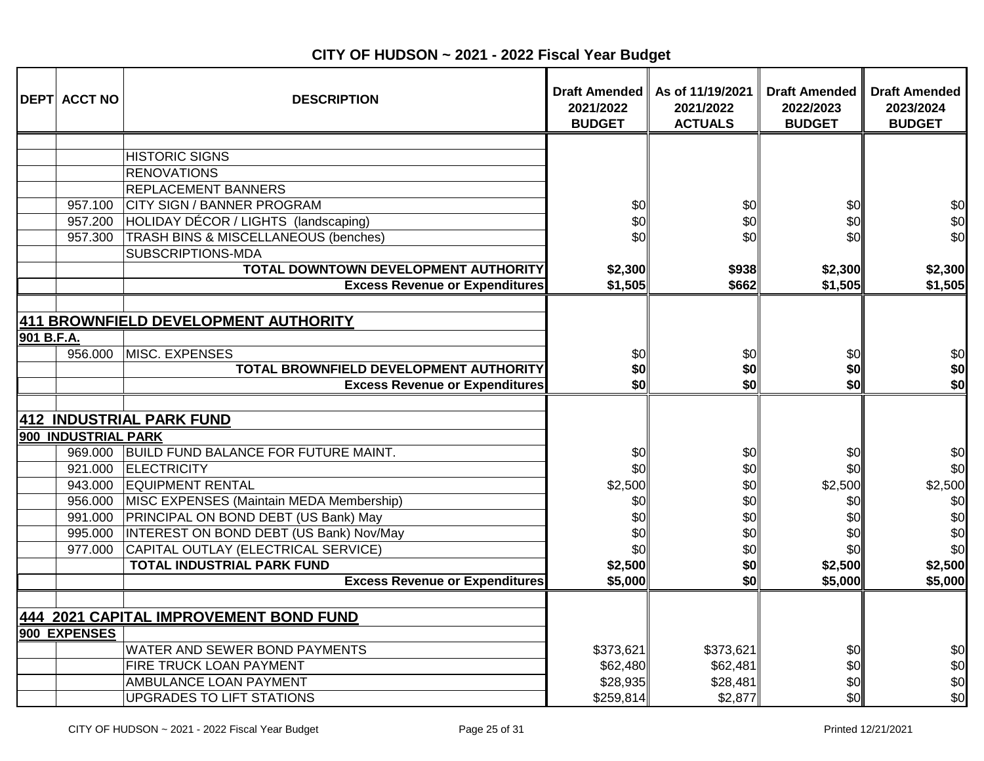|            | <b>DEPT ACCT NO</b> | <b>DESCRIPTION</b>                           | <b>Draft Amended</b><br>2021/2022<br><b>BUDGET</b> | As of 11/19/2021<br>2021/2022<br><b>ACTUALS</b> | <b>Draft Amended</b><br>2022/2023<br><b>BUDGET</b> | <b>Draft Amended</b><br>2023/2024<br><b>BUDGET</b> |
|------------|---------------------|----------------------------------------------|----------------------------------------------------|-------------------------------------------------|----------------------------------------------------|----------------------------------------------------|
|            |                     |                                              |                                                    |                                                 |                                                    |                                                    |
|            |                     | <b>HISTORIC SIGNS</b>                        |                                                    |                                                 |                                                    |                                                    |
|            |                     | <b>RENOVATIONS</b>                           |                                                    |                                                 |                                                    |                                                    |
|            |                     | REPLACEMENT BANNERS                          |                                                    |                                                 |                                                    |                                                    |
|            | 957.100             | <b>CITY SIGN / BANNER PROGRAM</b>            | \$0                                                | \$0                                             | \$0                                                | \$0                                                |
|            | 957.200             | HOLIDAY DÉCOR / LIGHTS (landscaping)         | \$0                                                | \$0                                             | \$0                                                | \$0                                                |
|            | 957.300             | TRASH BINS & MISCELLANEOUS (benches)         | \$0                                                | \$0                                             | \$0                                                | \$0                                                |
|            |                     | SUBSCRIPTIONS-MDA                            |                                                    |                                                 |                                                    |                                                    |
|            |                     | TOTAL DOWNTOWN DEVELOPMENT AUTHORITY         | \$2,300                                            | \$938                                           | \$2,300                                            | \$2,300                                            |
|            |                     | <b>Excess Revenue or Expenditures</b>        | \$1,505                                            | \$662                                           | \$1,505                                            | \$1,505                                            |
|            |                     |                                              |                                                    |                                                 |                                                    |                                                    |
|            |                     | 411 BROWNFIELD DEVELOPMENT AUTHORITY         |                                                    |                                                 |                                                    |                                                    |
| 901 B.F.A. |                     |                                              |                                                    |                                                 |                                                    |                                                    |
|            | 956.000             | MISC. EXPENSES                               | \$0                                                | \$0                                             | \$0                                                | \$0<br>\$0                                         |
|            |                     | TOTAL BROWNFIELD DEVELOPMENT AUTHORITY       | \$0<br>\$0                                         | \$0<br>\$0                                      | \$0<br>\$O                                         | \$0                                                |
|            |                     | <b>Excess Revenue or Expenditures</b>        |                                                    |                                                 |                                                    |                                                    |
|            |                     |                                              |                                                    |                                                 |                                                    |                                                    |
|            |                     | 412 INDUSTRIAL PARK FUND                     |                                                    |                                                 |                                                    |                                                    |
|            | 900 INDUSTRIAL PARK | 969.000 BUILD FUND BALANCE FOR FUTURE MAINT. |                                                    |                                                 |                                                    | \$0                                                |
|            |                     | 921.000 ELECTRICITY                          | \$0                                                | \$0                                             | \$0                                                | \$0                                                |
|            |                     | 943.000 EQUIPMENT RENTAL                     | \$0                                                | \$0<br>\$0                                      | \$0<br>\$2,500                                     |                                                    |
|            | 956.000             | MISC EXPENSES (Maintain MEDA Membership)     | \$2,500                                            |                                                 | \$0                                                | \$2,500                                            |
|            | 991.000             | <b>PRINCIPAL ON BOND DEBT (US Bank) May</b>  | \$0<br>\$0                                         | \$0                                             | \$0                                                | \$0<br>\$0                                         |
|            | 995.000             | INTEREST ON BOND DEBT (US Bank) Nov/May      | \$0                                                | \$0<br>\$0                                      | \$0                                                | \$0                                                |
|            | 977.000             | CAPITAL OUTLAY (ELECTRICAL SERVICE)          | \$0                                                | \$0                                             | \$0                                                | \$0                                                |
|            |                     | <b>TOTAL INDUSTRIAL PARK FUND</b>            | \$2,500                                            | \$0                                             | \$2,500                                            | \$2,500                                            |
|            |                     | <b>Excess Revenue or Expenditures</b>        | \$5,000                                            | \$0                                             | \$5,000                                            | \$5,000                                            |
|            |                     |                                              |                                                    |                                                 |                                                    |                                                    |
|            |                     | 444 2021 CAPITAL IMPROVEMENT BOND FUND       |                                                    |                                                 |                                                    |                                                    |
|            | 900 EXPENSES        |                                              |                                                    |                                                 |                                                    |                                                    |
|            |                     | WATER AND SEWER BOND PAYMENTS                | \$373,621                                          | \$373,621                                       | \$0                                                | \$0                                                |
|            |                     | FIRE TRUCK LOAN PAYMENT                      | \$62,480                                           | \$62,481                                        | \$0                                                | \$0                                                |
|            |                     | AMBULANCE LOAN PAYMENT                       | \$28,935                                           | \$28,481                                        | \$0                                                | \$0                                                |
|            |                     | <b>UPGRADES TO LIFT STATIONS</b>             | \$259,814                                          | \$2,877                                         | \$0                                                | \$0                                                |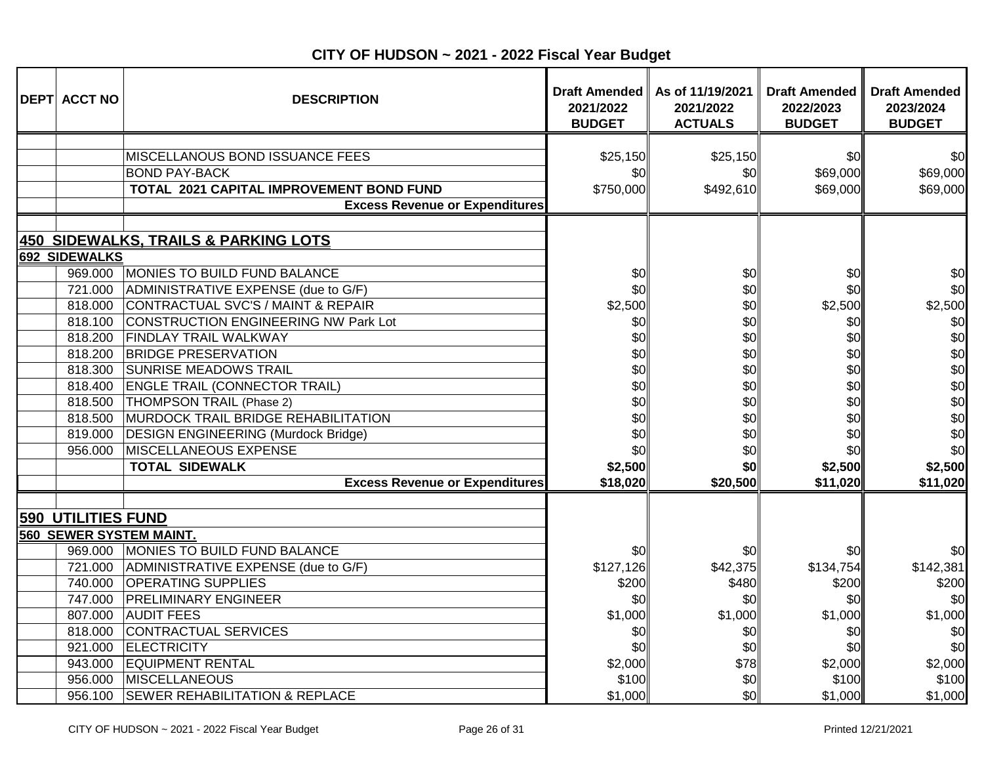| <b>DEPT ACCT NO</b>       | <b>DESCRIPTION</b>                         | Draft Amended<br>2021/2022<br><b>BUDGET</b> | As of 11/19/2021<br>2021/2022<br><b>ACTUALS</b> | <b>Draft Amended</b><br>2022/2023<br><b>BUDGET</b> | <b>Draft Amended</b><br>2023/2024<br><b>BUDGET</b> |
|---------------------------|--------------------------------------------|---------------------------------------------|-------------------------------------------------|----------------------------------------------------|----------------------------------------------------|
|                           |                                            |                                             |                                                 |                                                    |                                                    |
|                           | <b>MISCELLANOUS BOND ISSUANCE FEES</b>     | \$25,150                                    | \$25,150                                        | \$0                                                | \$0                                                |
|                           | <b>BOND PAY-BACK</b>                       | \$0                                         | \$0                                             | \$69,000                                           | \$69,000                                           |
|                           | TOTAL 2021 CAPITAL IMPROVEMENT BOND FUND   | \$750,000                                   | \$492,610                                       | \$69,000                                           | \$69,000                                           |
|                           | <b>Excess Revenue or Expenditures</b>      |                                             |                                                 |                                                    |                                                    |
|                           |                                            |                                             |                                                 |                                                    |                                                    |
|                           | 450 SIDEWALKS, TRAILS & PARKING LOTS       |                                             |                                                 |                                                    |                                                    |
| 692 SIDEWALKS             |                                            |                                             |                                                 |                                                    |                                                    |
|                           | 969.000 MONIES TO BUILD FUND BALANCE       | \$0                                         | \$0                                             | \$0                                                | \$0                                                |
| 721.000                   | ADMINISTRATIVE EXPENSE (due to G/F)        | \$0                                         | \$0                                             | \$0                                                | \$0                                                |
| 818.000                   | CONTRACTUAL SVC'S / MAINT & REPAIR         | \$2,500                                     | \$0                                             | \$2,500                                            | \$2,500                                            |
| 818.100                   | CONSTRUCTION ENGINEERING NW Park Lot       | \$0                                         | \$0                                             | \$0                                                | \$0                                                |
| 818.200                   | <b>FINDLAY TRAIL WALKWAY</b>               | \$0                                         | \$0                                             | \$0                                                | \$0                                                |
| 818.200                   | <b>BRIDGE PRESERVATION</b>                 | \$0                                         | \$0                                             | \$0                                                | \$0                                                |
| 818.300                   | <b>SUNRISE MEADOWS TRAIL</b>               | \$0                                         | \$0                                             | \$0                                                | \$0                                                |
| 818.400                   | <b>ENGLE TRAIL (CONNECTOR TRAIL)</b>       | \$0                                         | \$0                                             | \$0                                                | \$0                                                |
| 818.500                   | THOMPSON TRAIL (Phase 2)                   | \$0                                         | \$0                                             | \$0                                                | \$0                                                |
| 818.500                   | MURDOCK TRAIL BRIDGE REHABILITATION        | \$0                                         | \$0                                             | \$0                                                | \$0                                                |
| 819.000                   | <b>DESIGN ENGINEERING (Murdock Bridge)</b> | \$0                                         | \$0                                             | \$0                                                | \$0                                                |
| 956.000                   | MISCELLANEOUS EXPENSE                      | \$0                                         | \$0                                             | \$0                                                | \$0                                                |
|                           | <b>TOTAL SIDEWALK</b>                      | \$2,500                                     | \$0                                             | \$2,500                                            | \$2,500                                            |
|                           | <b>Excess Revenue or Expenditures</b>      | \$18,020                                    | \$20,500                                        | \$11,020                                           | \$11,020                                           |
| <b>590 UTILITIES FUND</b> |                                            |                                             |                                                 |                                                    |                                                    |
|                           | <b>560 SEWER SYSTEM MAINT.</b>             |                                             |                                                 |                                                    |                                                    |
| 969.000                   | MONIES TO BUILD FUND BALANCE               | \$0                                         | \$0                                             | \$0                                                | \$0                                                |
| 721.000                   | ADMINISTRATIVE EXPENSE (due to G/F)        | \$127,126                                   | \$42,375                                        | \$134,754                                          | \$142,381                                          |
| 740.000                   | <b>OPERATING SUPPLIES</b>                  | \$200                                       | \$480                                           | \$200                                              | \$200                                              |
| 747.000                   | <b>PRELIMINARY ENGINEER</b>                | \$0                                         | \$0                                             | \$0                                                | \$0                                                |
| 807.000                   | <b>AUDIT FEES</b>                          | \$1,000                                     | \$1,000                                         | \$1,000                                            | \$1,000                                            |
| 818.000                   | CONTRACTUAL SERVICES                       | \$0                                         | \$0                                             | \$0                                                | \$0                                                |
| 921.000                   | <b>ELECTRICITY</b>                         | \$0                                         | \$0                                             | \$0                                                | \$0                                                |
| 943.000                   | <b>EQUIPMENT RENTAL</b>                    | \$2,000                                     | \$78                                            | \$2,000                                            | \$2,000                                            |
| 956.000                   | MISCELLANEOUS                              | \$100                                       | \$0                                             | \$100                                              | \$100                                              |
| 956.100                   | <b>SEWER REHABILITATION &amp; REPLACE</b>  | \$1,000                                     | \$0                                             | \$1,000                                            | \$1,000                                            |

**CITY OF HUDSON ~ 2021 - 2022 Fiscal Year Budget**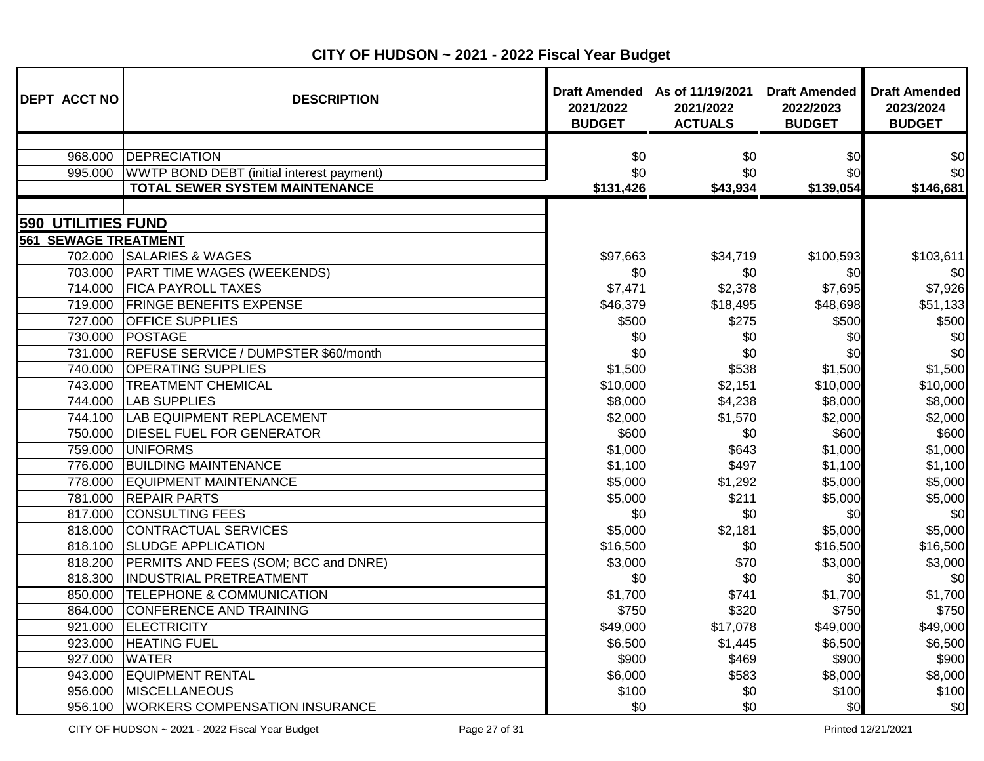| <b>DEPT ACCT NO</b>         | <b>DESCRIPTION</b>                        | 2021/2022<br><b>BUDGET</b> | Draft Amended   As of 11/19/2021<br>2021/2022<br><b>ACTUALS</b> | <b>Draft Amended</b><br>2022/2023<br><b>BUDGET</b> | <b>Draft Amended</b><br>2023/2024<br><b>BUDGET</b> |
|-----------------------------|-------------------------------------------|----------------------------|-----------------------------------------------------------------|----------------------------------------------------|----------------------------------------------------|
| 968.000                     | DEPRECIATION                              | \$0                        | \$0                                                             | \$0                                                | \$0                                                |
| 995.000                     | WWTP BOND DEBT (initial interest payment) | \$0                        | \$0                                                             | \$0                                                | \$0                                                |
|                             | <b>TOTAL SEWER SYSTEM MAINTENANCE</b>     | \$131,426                  | \$43,934                                                        | \$139,054                                          | \$146,681                                          |
|                             |                                           |                            |                                                                 |                                                    |                                                    |
| <b>590 UTILITIES FUND</b>   |                                           |                            |                                                                 |                                                    |                                                    |
| <b>561 SEWAGE TREATMENT</b> |                                           |                            |                                                                 |                                                    |                                                    |
| 702.000                     | <b>SALARIES &amp; WAGES</b>               | \$97,663                   | \$34,719                                                        | \$100,593                                          | \$103,611                                          |
| 703.000                     | <b>PART TIME WAGES (WEEKENDS)</b>         | \$0                        | \$0                                                             | \$0                                                | \$0                                                |
| 714.000                     | <b>FICA PAYROLL TAXES</b>                 | \$7,471                    | \$2,378                                                         | \$7,695                                            | \$7,926                                            |
| 719.000                     | <b>FRINGE BENEFITS EXPENSE</b>            | \$46,379                   | \$18,495                                                        | \$48,698                                           | \$51,133                                           |
| 727.000                     | <b>OFFICE SUPPLIES</b>                    | \$500                      | \$275                                                           | \$500                                              | \$500                                              |
| 730.000                     | POSTAGE                                   | \$0                        | \$0                                                             | \$0                                                | \$0                                                |
| 731.000                     | REFUSE SERVICE / DUMPSTER \$60/month      | \$0                        | \$0                                                             | \$0                                                | \$0                                                |
| 740.000                     | <b>OPERATING SUPPLIES</b>                 | \$1,500                    | \$538                                                           | \$1,500                                            | \$1,500                                            |
| 743.000                     | <b>TREATMENT CHEMICAL</b>                 | \$10,000                   | \$2,151                                                         | \$10,000                                           | \$10,000                                           |
| 744.000                     | <b>LAB SUPPLIES</b>                       | \$8,000                    | \$4,238                                                         | \$8,000                                            | \$8,000                                            |
| 744.100                     | LAB EQUIPMENT REPLACEMENT                 | \$2,000                    | \$1,570                                                         | \$2,000                                            | \$2,000                                            |
| 750.000                     | <b>DIESEL FUEL FOR GENERATOR</b>          | \$600                      | \$0                                                             | \$600                                              | \$600                                              |
| 759.000                     | <b>UNIFORMS</b>                           | \$1,000                    | \$643                                                           | \$1,000                                            | \$1,000                                            |
| 776.000                     | <b>BUILDING MAINTENANCE</b>               | \$1,100                    | \$497                                                           | \$1,100                                            | \$1,100                                            |
| 778.000                     | <b>EQUIPMENT MAINTENANCE</b>              | \$5,000                    | \$1,292                                                         | \$5,000                                            | \$5,000                                            |
| 781.000                     | <b>REPAIR PARTS</b>                       | \$5,000                    | \$211                                                           | \$5,000                                            | \$5,000                                            |
| 817.000                     | <b>CONSULTING FEES</b>                    | \$0                        | \$0                                                             | \$0                                                | \$0                                                |
| 818.000                     | CONTRACTUAL SERVICES                      | \$5,000                    | \$2,181                                                         | \$5,000                                            | \$5,000                                            |
| 818.100                     | <b>SLUDGE APPLICATION</b>                 | \$16,500                   | \$0                                                             | \$16,500                                           | \$16,500                                           |
| 818.200                     | PERMITS AND FEES (SOM; BCC and DNRE)      | \$3,000                    | \$70                                                            | \$3,000                                            | \$3,000                                            |
| 818.300                     | INDUSTRIAL PRETREATMENT                   | \$0                        | \$0                                                             | \$0                                                | \$0                                                |
| 850.000                     | <b>TELEPHONE &amp; COMMUNICATION</b>      | \$1,700                    | \$741                                                           | \$1,700                                            | \$1,700                                            |
| 864.000                     | CONFERENCE AND TRAINING                   | \$750                      | \$320                                                           | \$750                                              | \$750                                              |
| 921.000                     | <b>ELECTRICITY</b>                        | \$49,000                   | \$17,078                                                        | \$49,000                                           | \$49,000                                           |
| 923.000                     | <b>HEATING FUEL</b>                       | \$6,500                    | \$1,445                                                         | \$6,500                                            | \$6,500                                            |
| 927.000                     | <b>WATER</b>                              | \$900                      | \$469                                                           | \$900                                              | \$900                                              |
| 943.000                     | <b>EQUIPMENT RENTAL</b>                   | \$6,000                    | \$583                                                           | \$8,000                                            | \$8,000                                            |
| 956.000                     | MISCELLANEOUS                             | \$100                      | \$0                                                             | \$100                                              | \$100                                              |
| 956.100                     | <b>WORKERS COMPENSATION INSURANCE</b>     | \$0                        | \$0                                                             | \$0                                                | \$0                                                |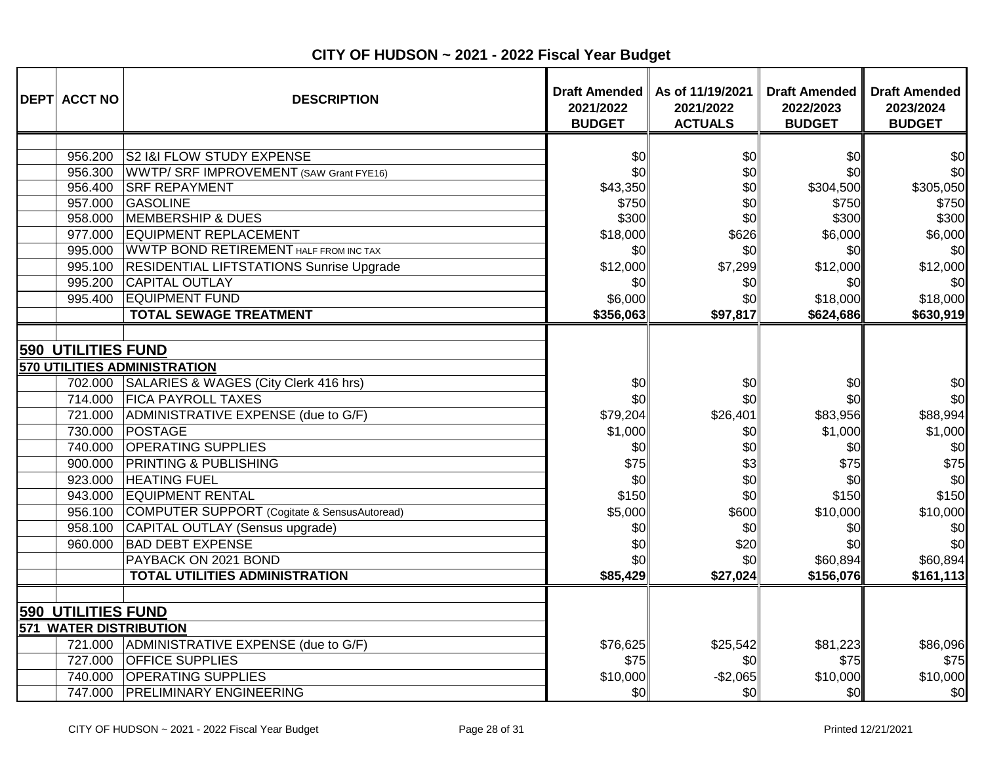| <b>DEPT ACCT NO</b>                                        | <b>DESCRIPTION</b>                              | <b>Draft Amended</b><br>2021/2022<br><b>BUDGET</b> | As of 11/19/2021<br>2021/2022<br><b>ACTUALS</b> | <b>Draft Amended</b><br>2022/2023<br><b>BUDGET</b> | <b>Draft Amended</b><br>2023/2024<br><b>BUDGET</b> |
|------------------------------------------------------------|-------------------------------------------------|----------------------------------------------------|-------------------------------------------------|----------------------------------------------------|----------------------------------------------------|
| 956.200                                                    | S2 I&I FLOW STUDY EXPENSE                       | \$0                                                | \$0                                             | \$0                                                | \$0                                                |
| 956.300                                                    | WWTP/ SRF IMPROVEMENT (SAW Grant FYE16)         | \$0                                                | \$0                                             | \$0                                                | \$0                                                |
| 956.400                                                    | <b>SRF REPAYMENT</b>                            | \$43,350                                           | \$0                                             | \$304,500                                          | \$305,050                                          |
| 957.000                                                    | GASOLINE                                        | \$750                                              | \$0                                             | \$750                                              | \$750                                              |
| 958.000                                                    | <b>MEMBERSHIP &amp; DUES</b>                    | \$300                                              | \$0                                             | \$300                                              | \$300                                              |
| 977.000                                                    | <b>EQUIPMENT REPLACEMENT</b>                    | \$18,000                                           | \$626                                           | \$6,000                                            | \$6,000                                            |
| 995.000                                                    | <b>WWTP BOND RETIREMENT HALF FROM INC TAX</b>   | \$0                                                | \$0                                             | \$0                                                | \$0                                                |
| 995.100                                                    | <b>RESIDENTIAL LIFTSTATIONS Sunrise Upgrade</b> | \$12,000                                           | \$7,299                                         | \$12,000                                           | \$12,000                                           |
| 995.200                                                    | <b>CAPITAL OUTLAY</b>                           | \$0                                                | \$0                                             | \$0                                                | \$0                                                |
| 995.400                                                    | <b>EQUIPMENT FUND</b>                           | \$6,000                                            | \$0                                             | \$18,000                                           | \$18,000                                           |
|                                                            | <b>TOTAL SEWAGE TREATMENT</b>                   | \$356,063                                          | \$97,817                                        | \$624,686                                          | \$630,919                                          |
| <b>590 UTILITIES FUND</b>                                  | 570 UTILITIES ADMINISTRATION                    |                                                    |                                                 |                                                    |                                                    |
|                                                            | 702.000 SALARIES & WAGES (City Clerk 416 hrs)   | \$0                                                | \$0                                             | \$0                                                | \$0                                                |
| 714.000                                                    | <b>FICA PAYROLL TAXES</b>                       | \$0                                                | \$0                                             | \$0                                                | \$0                                                |
|                                                            | 721.000 ADMINISTRATIVE EXPENSE (due to G/F)     | \$79,204                                           | \$26,401                                        | \$83,956                                           | \$88,994                                           |
|                                                            | 730.000 POSTAGE                                 | \$1,000                                            | \$0                                             | \$1,000                                            | \$1,000                                            |
| 740.000                                                    | <b>OPERATING SUPPLIES</b>                       | \$0                                                | \$0                                             | \$0                                                | \$0                                                |
| 900.000                                                    | <b>PRINTING &amp; PUBLISHING</b>                | \$75                                               | \$3                                             | \$75                                               | \$75                                               |
| 923.000                                                    | <b>HEATING FUEL</b>                             | \$0                                                | \$0                                             | \$0                                                | \$0                                                |
| 943.000                                                    | <b>EQUIPMENT RENTAL</b>                         | \$150                                              | \$0                                             | \$150                                              | \$150                                              |
| 956.100                                                    | COMPUTER SUPPORT (Cogitate & SensusAutoread)    | \$5,000                                            | \$600                                           | \$10,000                                           | \$10,000                                           |
| 958.100                                                    | CAPITAL OUTLAY (Sensus upgrade)                 | \$0                                                | \$0                                             | \$0                                                | \$0                                                |
| 960.000                                                    | <b>BAD DEBT EXPENSE</b>                         | \$0                                                | \$20                                            | \$0                                                | \$0                                                |
|                                                            | PAYBACK ON 2021 BOND                            | \$0                                                | \$0                                             | \$60,894                                           | \$60,894                                           |
|                                                            | <b>TOTAL UTILITIES ADMINISTRATION</b>           | \$85,429                                           | \$27,024                                        | \$156,076                                          | \$161,113                                          |
| <b>590 UTILITIES FUND</b><br><b>571 WATER DISTRIBUTION</b> |                                                 |                                                    |                                                 |                                                    |                                                    |
|                                                            | 721.000 ADMINISTRATIVE EXPENSE (due to G/F)     | \$76,625                                           | \$25,542                                        | \$81,223                                           | \$86,096                                           |
| 727.000                                                    | <b>OFFICE SUPPLIES</b>                          | \$75                                               | \$0                                             | \$75                                               | \$75                                               |
| 740.000                                                    | <b>OPERATING SUPPLIES</b>                       | \$10,000                                           | $-$2,065$                                       | \$10,000                                           | \$10,000                                           |
|                                                            | 747.000 PRELIMINARY ENGINEERING                 | \$0                                                | \$0                                             | \$0                                                | \$0                                                |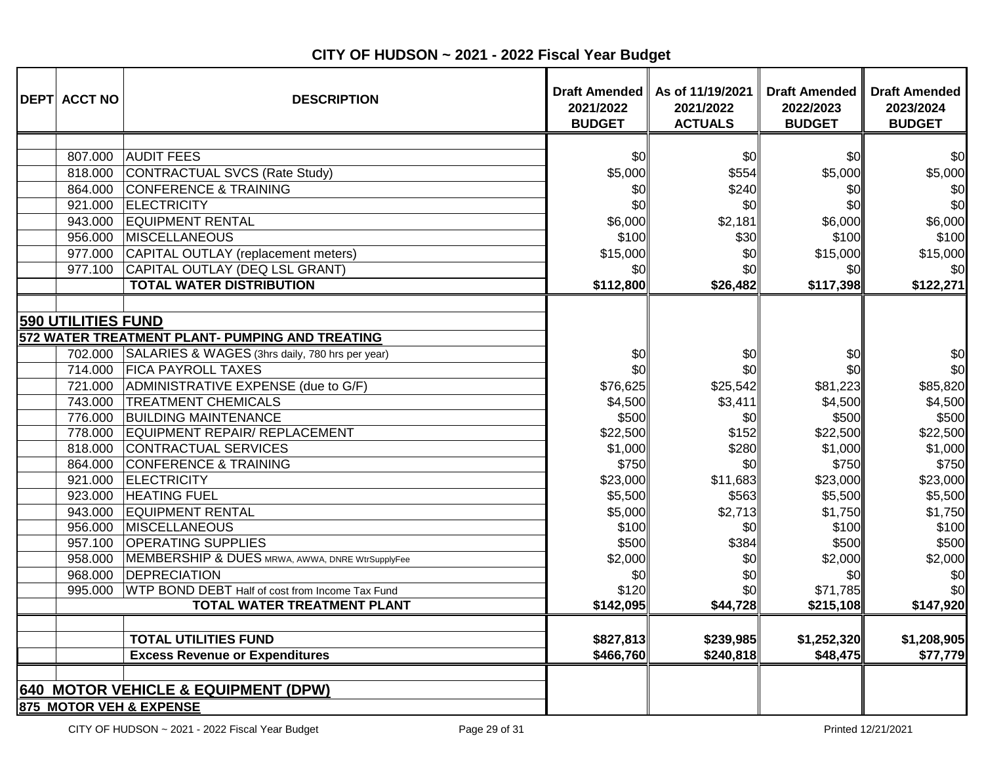| <b>DEPT ACCT NO</b>                                                                                                                                           | <b>DESCRIPTION</b>                                                                                                                                                                                                                                                                                                                                                                                                                                                                                                                                                                                                                          | 2021/2022<br><b>BUDGET</b>                                                                                                                                             | Draft Amended   As of 11/19/2021<br>2021/2022<br><b>ACTUALS</b>                                                                                    | <b>Draft Amended</b><br>2022/2023<br><b>BUDGET</b>                                                                                                                        | <b>Draft Amended</b><br>2023/2024<br><b>BUDGET</b>                                                                                                                   |
|---------------------------------------------------------------------------------------------------------------------------------------------------------------|---------------------------------------------------------------------------------------------------------------------------------------------------------------------------------------------------------------------------------------------------------------------------------------------------------------------------------------------------------------------------------------------------------------------------------------------------------------------------------------------------------------------------------------------------------------------------------------------------------------------------------------------|------------------------------------------------------------------------------------------------------------------------------------------------------------------------|----------------------------------------------------------------------------------------------------------------------------------------------------|---------------------------------------------------------------------------------------------------------------------------------------------------------------------------|----------------------------------------------------------------------------------------------------------------------------------------------------------------------|
| 807.000<br>818.000<br>864.000<br>921.000<br>943.000<br>956.000<br>977.000<br>977.100                                                                          | <b>AUDIT FEES</b><br>CONTRACTUAL SVCS (Rate Study)<br>CONFERENCE & TRAINING<br><b>ELECTRICITY</b><br><b>EQUIPMENT RENTAL</b><br><b>MISCELLANEOUS</b><br>CAPITAL OUTLAY (replacement meters)<br>CAPITAL OUTLAY (DEQ LSL GRANT)<br><b>TOTAL WATER DISTRIBUTION</b>                                                                                                                                                                                                                                                                                                                                                                            | \$0<br>\$5,000<br>\$0<br>\$0<br>\$6,000<br>\$100<br>\$15,000<br>\$0<br>\$112,800                                                                                       | \$0<br>\$554<br>\$240<br>\$0<br>\$2,181<br>\$30<br>\$0<br>\$0<br>\$26,482                                                                          | \$0<br>\$5,000<br>\$0<br>\$0<br>\$6,000<br>\$100<br>\$15,000<br>\$0<br>\$117,398                                                                                          | \$0<br>\$5,000<br>\$0<br>\$0<br>\$6,000<br>\$100<br>\$15,000<br>\$0<br>\$122,271                                                                                     |
| <b>590 UTILITIES FUND</b><br>743.000<br>778.000<br>818.000<br>864.000<br>921.000<br>923.000<br>943.000<br>956.000<br>957.100<br>958.000<br>968.000<br>995.000 | 572 WATER TREATMENT PLANT- PUMPING AND TREATING<br>702.000 SALARIES & WAGES (3hrs daily, 780 hrs per year)<br>714.000 FICA PAYROLL TAXES<br>721.000 ADMINISTRATIVE EXPENSE (due to G/F)<br><b>TREATMENT CHEMICALS</b><br>776.000 BUILDING MAINTENANCE<br>EQUIPMENT REPAIR/ REPLACEMENT<br>CONTRACTUAL SERVICES<br><b>CONFERENCE &amp; TRAINING</b><br><b>ELECTRICITY</b><br><b>HEATING FUEL</b><br><b>EQUIPMENT RENTAL</b><br>MISCELLANEOUS<br><b>OPERATING SUPPLIES</b><br>MEMBERSHIP & DUES MRWA, AWWA, DNRE WtrSupplyFee<br><b>DEPRECIATION</b><br>WTP BOND DEBT Half of cost from Income Tax Fund<br><b>TOTAL WATER TREATMENT PLANT</b> | \$0<br>\$0<br>\$76,625<br>\$4,500<br>\$500<br>\$22,500<br>\$1,000<br>\$750<br>\$23,000<br>\$5,500<br>\$5,000<br>\$100<br>\$500<br>\$2,000<br>\$0<br>\$120<br>\$142,095 | \$0<br>\$0<br>\$25,542<br>\$3,411<br>\$0<br>\$152<br>\$280<br>\$0<br>\$11,683<br>\$563<br>\$2,713<br>\$0<br>\$384<br>\$0<br>\$0<br>\$0<br>\$44,728 | \$0<br>\$0<br>\$81,223<br>\$4,500<br>\$500<br>\$22,500<br>\$1,000<br>\$750<br>\$23,000<br>\$5,500<br>\$1,750<br>\$100<br>\$500<br>\$2,000<br>\$0<br>\$71,785<br>\$215,108 | \$0<br>\$0<br>\$85,820<br>\$4,500<br>\$500<br>\$22,500<br>\$1,000<br>\$750<br>\$23,000<br>\$5,500<br>\$1,750<br>\$100<br>\$500<br>\$2,000<br>\$0<br>\$0<br>\$147,920 |
|                                                                                                                                                               | <b>TOTAL UTILITIES FUND</b><br><b>Excess Revenue or Expenditures</b><br>640 MOTOR VEHICLE & EQUIPMENT (DPW)<br>875 MOTOR VEH & EXPENSE                                                                                                                                                                                                                                                                                                                                                                                                                                                                                                      | \$827,813<br>\$466,760                                                                                                                                                 | \$239,985<br>\$240,818                                                                                                                             | \$1,252,320<br>\$48,475                                                                                                                                                   | \$1,208,905<br>\$77,779                                                                                                                                              |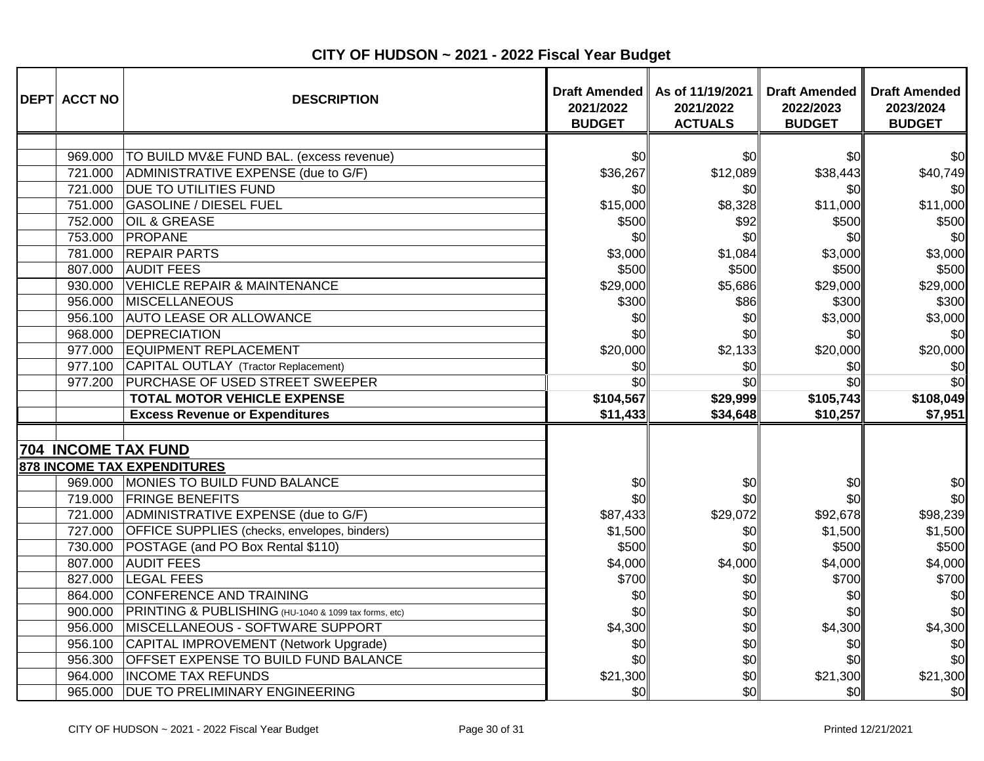| <b>DEPT ACCT NO</b>        | <b>DESCRIPTION</b>                                    | <b>Draft Amended</b><br>2021/2022<br><b>BUDGET</b> | As of 11/19/2021<br>2021/2022<br><b>ACTUALS</b> | <b>Draft Amended</b><br>2022/2023<br><b>BUDGET</b> | <b>Draft Amended</b><br>2023/2024<br><b>BUDGET</b> |
|----------------------------|-------------------------------------------------------|----------------------------------------------------|-------------------------------------------------|----------------------------------------------------|----------------------------------------------------|
|                            |                                                       |                                                    |                                                 |                                                    |                                                    |
| 969.000                    | TO BUILD MV&E FUND BAL. (excess revenue)              | \$0                                                | \$0                                             | \$0                                                | \$0                                                |
| 721.000                    | ADMINISTRATIVE EXPENSE (due to G/F)                   | \$36,267                                           | \$12,089                                        | \$38,443                                           | \$40,749                                           |
| 721.000                    | <b>DUE TO UTILITIES FUND</b>                          | \$0                                                | \$0                                             | \$0                                                | \$0                                                |
| 751.000                    | <b>GASOLINE / DIESEL FUEL</b>                         | \$15,000                                           | \$8,328                                         | \$11,000                                           | \$11,000                                           |
| 752.000                    | <b>OIL &amp; GREASE</b>                               | \$500                                              | \$92                                            | \$500                                              | \$500                                              |
| 753.000                    | PROPANE                                               | \$0                                                | \$0                                             | \$0                                                | \$0                                                |
| 781.000                    | <b>REPAIR PARTS</b>                                   | \$3,000                                            | \$1,084                                         | \$3,000                                            | \$3,000                                            |
| 807.000                    | <b>AUDIT FEES</b>                                     | \$500                                              | \$500                                           | \$500                                              | \$500                                              |
| 930.000                    | <b>VEHICLE REPAIR &amp; MAINTENANCE</b>               | \$29,000                                           | \$5,686                                         | \$29,000                                           | \$29,000                                           |
| 956.000                    | <b>MISCELLANEOUS</b>                                  | \$300                                              | \$86                                            | \$300                                              | \$300                                              |
| 956.100                    | <b>AUTO LEASE OR ALLOWANCE</b>                        | \$0                                                | \$0                                             | \$3,000                                            | \$3,000                                            |
| 968.000                    | DEPRECIATION                                          | \$0                                                | \$0                                             | \$0                                                | \$0                                                |
| 977.000                    | <b>EQUIPMENT REPLACEMENT</b>                          | \$20,000                                           | \$2,133                                         | \$20,000                                           | \$20,000                                           |
| 977.100                    | CAPITAL OUTLAY (Tractor Replacement)                  | \$0                                                | \$0                                             | \$0                                                | \$0                                                |
| 977.200                    | PURCHASE OF USED STREET SWEEPER                       | \$0                                                | \$0                                             | \$0                                                | \$0                                                |
|                            | <b>TOTAL MOTOR VEHICLE EXPENSE</b>                    | \$104,567                                          | \$29,999                                        | \$105,743                                          | \$108,049                                          |
|                            | <b>Excess Revenue or Expenditures</b>                 | \$11,433                                           | \$34,648                                        | \$10,257                                           | \$7,951                                            |
|                            |                                                       |                                                    |                                                 |                                                    |                                                    |
| <b>704 INCOME TAX FUND</b> |                                                       |                                                    |                                                 |                                                    |                                                    |
|                            | 878 INCOME TAX EXPENDITURES                           |                                                    |                                                 |                                                    |                                                    |
|                            | 969.000 MONIES TO BUILD FUND BALANCE                  | \$0                                                | \$0                                             | \$0                                                | \$0                                                |
|                            | 719.000 FRINGE BENEFITS                               | \$0                                                | \$0                                             | \$0                                                | \$0                                                |
|                            | 721.000 ADMINISTRATIVE EXPENSE (due to G/F)           | \$87,433                                           | \$29,072                                        | \$92,678                                           | \$98,239                                           |
| 727.000                    | <b>OFFICE SUPPLIES</b> (checks, envelopes, binders)   | \$1,500                                            | \$0                                             | \$1,500                                            | \$1,500                                            |
| 730.000                    | POSTAGE (and PO Box Rental \$110)                     | \$500                                              | \$0                                             | \$500                                              | \$500                                              |
| 807.000                    | <b>AUDIT FEES</b>                                     | \$4,000                                            | \$4,000                                         | \$4,000                                            | \$4,000                                            |
| 827.000                    | <b>LEGAL FEES</b>                                     | \$700                                              | \$0                                             | \$700                                              | \$700                                              |
| 864.000                    | <b>CONFERENCE AND TRAINING</b>                        | \$0                                                | \$0                                             | \$0                                                | \$0                                                |
| 900.000                    | PRINTING & PUBLISHING (HU-1040 & 1099 tax forms, etc) | \$0                                                | \$0                                             | \$0                                                | \$0                                                |
| 956.000                    | <b>MISCELLANEOUS - SOFTWARE SUPPORT</b>               | \$4,300                                            | \$0                                             | \$4,300                                            | \$4,300                                            |
| 956.100                    | CAPITAL IMPROVEMENT (Network Upgrade)                 | \$0                                                | \$0                                             | \$0                                                | \$0                                                |
| 956.300                    | <b>OFFSET EXPENSE TO BUILD FUND BALANCE</b>           | \$0                                                | \$0                                             | \$0                                                | \$0                                                |
| 964.000                    | <b>INCOME TAX REFUNDS</b>                             | \$21,300                                           | \$0                                             | \$21,300                                           | \$21,300                                           |
| 965.000                    | <b>DUE TO PRELIMINARY ENGINEERING</b>                 | \$0                                                | \$0                                             | \$0                                                | \$0                                                |